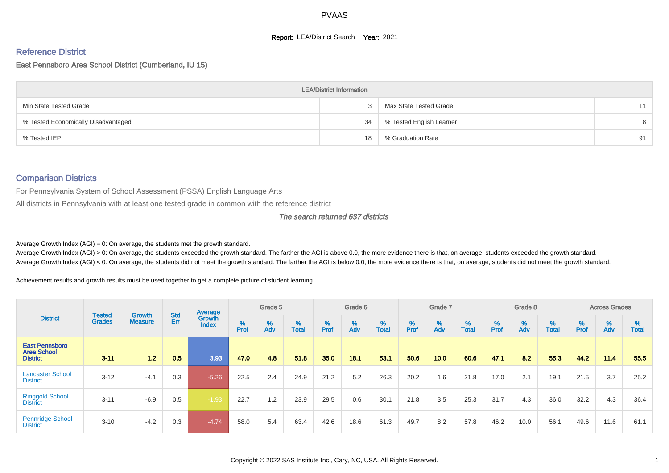#### **Report: LEA/District Search Year: 2021**

# Reference District

#### East Pennsboro Area School District (Cumberland, IU 15)

|                                     | <b>LEA/District Information</b> |                          |    |
|-------------------------------------|---------------------------------|--------------------------|----|
| Min State Tested Grade              |                                 | Max State Tested Grade   | 11 |
| % Tested Economically Disadvantaged | 34                              | % Tested English Learner | 8  |
| % Tested IEP                        | 18                              | % Graduation Rate        | 91 |

#### Comparison Districts

For Pennsylvania System of School Assessment (PSSA) English Language Arts

All districts in Pennsylvania with at least one tested grade in common with the reference district

#### The search returned 637 districts

Average Growth Index  $(AGI) = 0$ : On average, the students met the growth standard.

Average Growth Index (AGI) > 0: On average, the students exceeded the growth standard. The farther the AGI is above 0.0, the more evidence there is that, on average, students exceeded the growth standard. Average Growth Index (AGI) < 0: On average, the students did not meet the growth standard. The farther the AGI is below 0.0, the more evidence there is that, on average, students did not meet the growth standard.

Achievement results and growth results must be used together to get a complete picture of student learning.

|                                                                |                                |                                 |            | Average                |           | Grade 5  |                   |           | Grade 6  |                   |           | Grade 7  |                   |           | Grade 8  |                   |           | <b>Across Grades</b> |                   |
|----------------------------------------------------------------|--------------------------------|---------------------------------|------------|------------------------|-----------|----------|-------------------|-----------|----------|-------------------|-----------|----------|-------------------|-----------|----------|-------------------|-----------|----------------------|-------------------|
| <b>District</b>                                                | <b>Tested</b><br><b>Grades</b> | <b>Growth</b><br><b>Measure</b> | Std<br>Err | Growth<br><b>Index</b> | %<br>Prof | %<br>Adv | %<br><b>Total</b> | %<br>Prof | %<br>Adv | %<br><b>Total</b> | %<br>Prof | %<br>Adv | %<br><b>Total</b> | %<br>Prof | %<br>Adv | %<br><b>Total</b> | %<br>Prof | %<br>Adv             | %<br><b>Total</b> |
| <b>East Pennsboro</b><br><b>Area School</b><br><b>District</b> | $3 - 11$                       | 12                              | 0.5        | 3.93                   | 47.0      | 4.8      | 51.8              | 35.0      | 18.1     | 53.1              | 50.6      | 10.0     | 60.6              | 47.1      | 8.2      | 55.3              | 44.2      | 11.4                 | 55.5              |
| <b>Lancaster School</b><br><b>District</b>                     | $3 - 12$                       | $-4.1$                          | 0.3        | $-5.26$                | 22.5      | 2.4      | 24.9              | 21.2      | 5.2      | 26.3              | 20.2      | 1.6      | 21.8              | 17.0      | 2.1      | 19.1              | 21.5      | 3.7                  | 25.2              |
| <b>Ringgold School</b><br><b>District</b>                      | $3 - 11$                       | $-6.9$                          | 0.5        | $-1.93$                | 22.7      | 1.2      | 23.9              | 29.5      | 0.6      | 30.1              | 21.8      | 3.5      | 25.3              | 31.7      | 4.3      | 36.0              | 32.2      | 4.3                  | 36.4              |
| <b>Pennridge School</b><br><b>District</b>                     | $3 - 10$                       | $-4.2$                          | 0.3        | $-4.74$                | 58.0      | 5.4      | 63.4              | 42.6      | 18.6     | 61.3              | 49.7      | 8.2      | 57.8              | 46.2      | 10.0     | 56.1              | 49.6      | 11.6                 | 61.1              |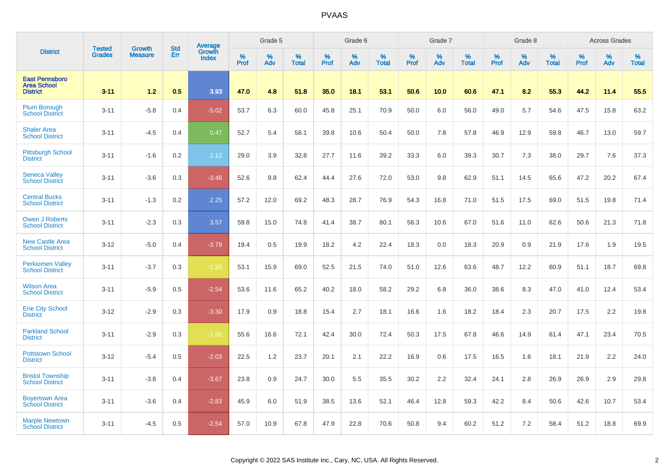|                                                                |                         | <b>Growth</b>  | <b>Std</b> | Average                |                     | Grade 5  |                   |              | Grade 6  |                      |                     | Grade 7     |                      |                     | Grade 8     |                   |              | <b>Across Grades</b> |                   |
|----------------------------------------------------------------|-------------------------|----------------|------------|------------------------|---------------------|----------|-------------------|--------------|----------|----------------------|---------------------|-------------|----------------------|---------------------|-------------|-------------------|--------------|----------------------|-------------------|
| <b>District</b>                                                | <b>Tested</b><br>Grades | <b>Measure</b> | Err        | Growth<br><b>Index</b> | $\%$<br><b>Prof</b> | %<br>Adv | %<br><b>Total</b> | $\%$<br>Prof | %<br>Adv | $\%$<br><b>Total</b> | $\%$<br><b>Prof</b> | $\%$<br>Adv | $\%$<br><b>Total</b> | $\%$<br><b>Prof</b> | $\%$<br>Adv | %<br><b>Total</b> | $\%$<br>Prof | %<br>Adv             | %<br><b>Total</b> |
| <b>East Pennsboro</b><br><b>Area School</b><br><b>District</b> | $3 - 11$                | 1.2            | 0.5        | 3.93                   | 47.0                | 4.8      | 51.8              | 35.0         | 18.1     | 53.1                 | 50.6                | 10.0        | 60.6                 | 47.1                | 8.2         | 55.3              | 44.2         | 11.4                 | 55.5              |
| Plum Borough<br><b>School District</b>                         | $3 - 11$                | $-5.8$         | 0.4        | $-5.02$                | 53.7                | 6.3      | 60.0              | 45.8         | 25.1     | 70.9                 | 50.0                | 6.0         | 56.0                 | 49.0                | 5.7         | 54.6              | 47.5         | 15.8                 | 63.2              |
| <b>Shaler Area</b><br><b>School District</b>                   | $3 - 11$                | $-4.5$         | 0.4        | 0.47                   | 52.7                | 5.4      | 58.1              | 39.8         | 10.6     | 50.4                 | 50.0                | 7.8         | 57.8                 | 46.9                | 12.9        | 59.8              | 46.7         | 13.0                 | 59.7              |
| <b>Pittsburgh School</b><br><b>District</b>                    | $3 - 11$                | $-1.6$         | 0.2        | 1.12                   | 29.0                | 3.9      | 32.8              | 27.7         | 11.6     | 39.2                 | 33.3                | 6.0         | 39.3                 | 30.7                | 7.3         | 38.0              | 29.7         | 7.6                  | 37.3              |
| <b>Seneca Valley</b><br><b>School District</b>                 | $3 - 11$                | $-3.6$         | 0.3        | $-3.48$                | 52.6                | 9.8      | 62.4              | 44.4         | 27.6     | 72.0                 | 53.0                | 9.8         | 62.9                 | 51.1                | 14.5        | 65.6              | 47.2         | 20.2                 | 67.4              |
| <b>Central Bucks</b><br><b>School District</b>                 | $3 - 11$                | $-1.3$         | 0.2        | 2.25                   | 57.2                | 12.0     | 69.2              | 48.3         | 28.7     | 76.9                 | 54.3                | 16.8        | 71.0                 | 51.5                | 17.5        | 69.0              | 51.5         | 19.8                 | 71.4              |
| <b>Owen J Roberts</b><br><b>School District</b>                | $3 - 11$                | $-2.3$         | 0.3        | 3.57                   | 59.8                | 15.0     | 74.8              | 41.4         | 38.7     | 80.1                 | 56.3                | 10.6        | 67.0                 | 51.6                | 11.0        | 62.6              | 50.6         | 21.3                 | 71.8              |
| <b>New Castle Area</b><br><b>School District</b>               | $3 - 12$                | $-5.0$         | 0.4        | $-3.79$                | 19.4                | 0.5      | 19.9              | 18.2         | 4.2      | 22.4                 | 18.3                | 0.0         | 18.3                 | 20.9                | 0.9         | 21.9              | 17.6         | 1.9                  | 19.5              |
| <b>Perkiomen Valley</b><br><b>School District</b>              | $3 - 11$                | $-3.7$         | 0.3        | $-1.26$                | 53.1                | 15.9     | 69.0              | 52.5         | 21.5     | 74.0                 | 51.0                | 12.6        | 63.6                 | 48.7                | 12.2        | 60.9              | 51.1         | 18.7                 | 69.8              |
| <b>Wilson Area</b><br><b>School District</b>                   | $3 - 11$                | $-5.9$         | 0.5        | $-2.54$                | 53.6                | 11.6     | 65.2              | 40.2         | 18.0     | 58.2                 | 29.2                | 6.8         | 36.0                 | 38.6                | 8.3         | 47.0              | 41.0         | 12.4                 | 53.4              |
| <b>Erie City School</b><br><b>District</b>                     | $3 - 12$                | $-2.9$         | 0.3        | $-3.30$                | 17.9                | 0.9      | 18.8              | 15.4         | 2.7      | 18.1                 | 16.6                | 1.6         | 18.2                 | 18.4                | 2.3         | 20.7              | 17.5         | 2.2                  | 19.8              |
| <b>Parkland School</b><br><b>District</b>                      | $3 - 11$                | $-2.9$         | 0.3        | $-1.56$                | 55.6                | 16.6     | 72.1              | 42.4         | 30.0     | 72.4                 | 50.3                | 17.5        | 67.8                 | 46.6                | 14.9        | 61.4              | 47.1         | 23.4                 | 70.5              |
| <b>Pottstown School</b><br><b>District</b>                     | $3 - 12$                | $-5.4$         | 0.5        | $-2.03$                | 22.5                | 1.2      | 23.7              | 20.1         | 2.1      | 22.2                 | 16.9                | 0.6         | 17.5                 | 16.5                | 1.6         | 18.1              | 21.9         | 2.2                  | 24.0              |
| <b>Bristol Township</b><br><b>School District</b>              | $3 - 11$                | $-3.8$         | 0.4        | $-3.67$                | 23.8                | 0.9      | 24.7              | 30.0         | 5.5      | 35.5                 | 30.2                | 2.2         | 32.4                 | 24.1                | 2.8         | 26.9              | 26.9         | 2.9                  | 29.8              |
| <b>Boyertown Area</b><br><b>School District</b>                | $3 - 11$                | $-3.6$         | 0.4        | $-2.83$                | 45.9                | 6.0      | 51.9              | 38.5         | 13.6     | 52.1                 | 46.4                | 12.8        | 59.3                 | 42.2                | 8.4         | 50.6              | 42.6         | 10.7                 | 53.4              |
| <b>Marple Newtown</b><br><b>School District</b>                | $3 - 11$                | $-4.5$         | 0.5        | $-2.54$                | 57.0                | 10.9     | 67.8              | 47.9         | 22.8     | 70.6                 | 50.8                | 9.4         | 60.2                 | 51.2                | 7.2         | 58.4              | 51.2         | 18.8                 | 69.9              |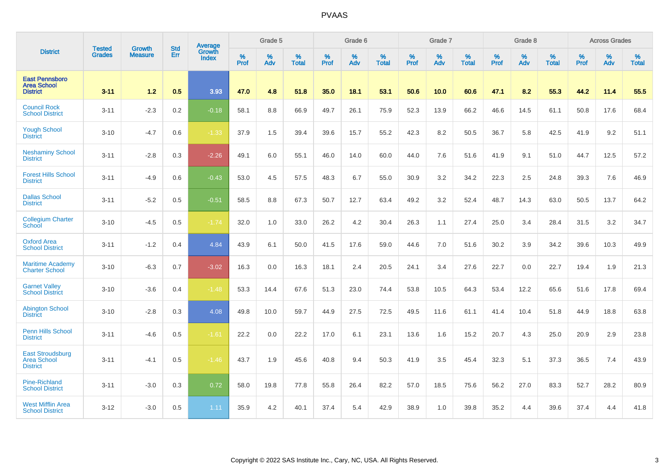|                                                                  | <b>Tested</b> | <b>Growth</b>  | <b>Std</b> | Average                |           | Grade 5  |                   |           | Grade 6  |                   |           | Grade 7  |                   |           | Grade 8  |                   |           | <b>Across Grades</b> |                   |
|------------------------------------------------------------------|---------------|----------------|------------|------------------------|-----------|----------|-------------------|-----------|----------|-------------------|-----------|----------|-------------------|-----------|----------|-------------------|-----------|----------------------|-------------------|
| <b>District</b>                                                  | <b>Grades</b> | <b>Measure</b> | Err        | Growth<br><b>Index</b> | %<br>Prof | %<br>Adv | %<br><b>Total</b> | %<br>Prof | %<br>Adv | %<br><b>Total</b> | %<br>Prof | %<br>Adv | %<br><b>Total</b> | %<br>Prof | %<br>Adv | %<br><b>Total</b> | %<br>Prof | %<br>Adv             | %<br><b>Total</b> |
| <b>East Pennsboro</b><br><b>Area School</b><br><b>District</b>   | $3 - 11$      | 1.2            | 0.5        | 3.93                   | 47.0      | 4.8      | 51.8              | 35.0      | 18.1     | 53.1              | 50.6      | 10.0     | 60.6              | 47.1      | 8.2      | 55.3              | 44.2      | 11.4                 | 55.5              |
| <b>Council Rock</b><br><b>School District</b>                    | $3 - 11$      | $-2.3$         | 0.2        | $-0.18$                | 58.1      | 8.8      | 66.9              | 49.7      | 26.1     | 75.9              | 52.3      | 13.9     | 66.2              | 46.6      | 14.5     | 61.1              | 50.8      | 17.6                 | 68.4              |
| <b>Yough School</b><br><b>District</b>                           | $3 - 10$      | $-4.7$         | 0.6        | $-1.33$                | 37.9      | 1.5      | 39.4              | 39.6      | 15.7     | 55.2              | 42.3      | 8.2      | 50.5              | 36.7      | 5.8      | 42.5              | 41.9      | 9.2                  | 51.1              |
| <b>Neshaminy School</b><br><b>District</b>                       | $3 - 11$      | $-2.8$         | 0.3        | $-2.26$                | 49.1      | 6.0      | 55.1              | 46.0      | 14.0     | 60.0              | 44.0      | 7.6      | 51.6              | 41.9      | 9.1      | 51.0              | 44.7      | 12.5                 | 57.2              |
| <b>Forest Hills School</b><br><b>District</b>                    | $3 - 11$      | $-4.9$         | 0.6        | $-0.43$                | 53.0      | 4.5      | 57.5              | 48.3      | 6.7      | 55.0              | 30.9      | 3.2      | 34.2              | 22.3      | 2.5      | 24.8              | 39.3      | 7.6                  | 46.9              |
| <b>Dallas School</b><br><b>District</b>                          | $3 - 11$      | $-5.2$         | 0.5        | $-0.51$                | 58.5      | 8.8      | 67.3              | 50.7      | 12.7     | 63.4              | 49.2      | 3.2      | 52.4              | 48.7      | 14.3     | 63.0              | 50.5      | 13.7                 | 64.2              |
| <b>Collegium Charter</b><br>School                               | $3 - 10$      | $-4.5$         | 0.5        | $-1.74$                | 32.0      | 1.0      | 33.0              | 26.2      | 4.2      | 30.4              | 26.3      | 1.1      | 27.4              | 25.0      | 3.4      | 28.4              | 31.5      | 3.2                  | 34.7              |
| <b>Oxford Area</b><br><b>School District</b>                     | $3 - 11$      | $-1.2$         | 0.4        | 4.84                   | 43.9      | 6.1      | 50.0              | 41.5      | 17.6     | 59.0              | 44.6      | 7.0      | 51.6              | 30.2      | 3.9      | 34.2              | 39.6      | 10.3                 | 49.9              |
| <b>Maritime Academy</b><br><b>Charter School</b>                 | $3 - 10$      | $-6.3$         | 0.7        | $-3.02$                | 16.3      | 0.0      | 16.3              | 18.1      | 2.4      | 20.5              | 24.1      | 3.4      | 27.6              | 22.7      | 0.0      | 22.7              | 19.4      | 1.9                  | 21.3              |
| <b>Garnet Valley</b><br><b>School District</b>                   | $3 - 10$      | $-3.6$         | 0.4        | $-1.48$                | 53.3      | 14.4     | 67.6              | 51.3      | 23.0     | 74.4              | 53.8      | 10.5     | 64.3              | 53.4      | 12.2     | 65.6              | 51.6      | 17.8                 | 69.4              |
| <b>Abington School</b><br><b>District</b>                        | $3 - 10$      | $-2.8$         | 0.3        | 4.08                   | 49.8      | 10.0     | 59.7              | 44.9      | 27.5     | 72.5              | 49.5      | 11.6     | 61.1              | 41.4      | 10.4     | 51.8              | 44.9      | 18.8                 | 63.8              |
| <b>Penn Hills School</b><br><b>District</b>                      | $3 - 11$      | $-4.6$         | 0.5        | $-1.61$                | 22.2      | 0.0      | 22.2              | 17.0      | 6.1      | 23.1              | 13.6      | 1.6      | 15.2              | 20.7      | 4.3      | 25.0              | 20.9      | 2.9                  | 23.8              |
| <b>East Stroudsburg</b><br><b>Area School</b><br><b>District</b> | $3 - 11$      | $-4.1$         | 0.5        | $-1.46$                | 43.7      | 1.9      | 45.6              | 40.8      | 9.4      | 50.3              | 41.9      | 3.5      | 45.4              | 32.3      | 5.1      | 37.3              | 36.5      | 7.4                  | 43.9              |
| <b>Pine-Richland</b><br><b>School District</b>                   | $3 - 11$      | $-3.0$         | 0.3        | 0.72                   | 58.0      | 19.8     | 77.8              | 55.8      | 26.4     | 82.2              | 57.0      | 18.5     | 75.6              | 56.2      | 27.0     | 83.3              | 52.7      | 28.2                 | 80.9              |
| <b>West Mifflin Area</b><br><b>School District</b>               | $3 - 12$      | $-3.0$         | 0.5        | 1.11                   | 35.9      | 4.2      | 40.1              | 37.4      | 5.4      | 42.9              | 38.9      | 1.0      | 39.8              | 35.2      | 4.4      | 39.6              | 37.4      | 4.4                  | 41.8              |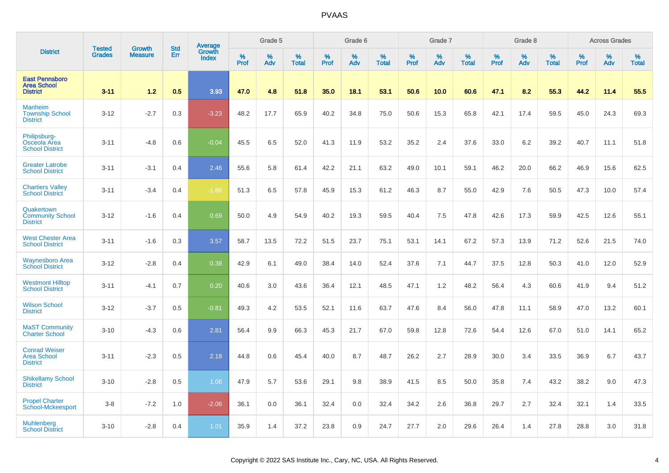|                                                                | <b>Tested</b> | <b>Growth</b>  | <b>Std</b> |                                          |              | Grade 5  |                   |           | Grade 6  |                   |           | Grade 7  |                   |           | Grade 8  |                   |           | <b>Across Grades</b> |                   |
|----------------------------------------------------------------|---------------|----------------|------------|------------------------------------------|--------------|----------|-------------------|-----------|----------|-------------------|-----------|----------|-------------------|-----------|----------|-------------------|-----------|----------------------|-------------------|
| <b>District</b>                                                | <b>Grades</b> | <b>Measure</b> | Err        | <b>Average</b><br>Growth<br><b>Index</b> | $\%$<br>Prof | %<br>Adv | %<br><b>Total</b> | %<br>Prof | %<br>Adv | %<br><b>Total</b> | %<br>Prof | %<br>Adv | %<br><b>Total</b> | %<br>Prof | %<br>Adv | %<br><b>Total</b> | %<br>Prof | %<br>Adv             | %<br><b>Total</b> |
| <b>East Pennsboro</b><br><b>Area School</b><br><b>District</b> | $3 - 11$      | 1.2            | 0.5        | 3.93                                     | 47.0         | 4.8      | 51.8              | 35.0      | 18.1     | 53.1              | 50.6      | 10.0     | 60.6              | 47.1      | 8.2      | 55.3              | 44.2      | 11.4                 | 55.5              |
| <b>Manheim</b><br><b>Township School</b><br><b>District</b>    | $3 - 12$      | $-2.7$         | 0.3        | $-3.23$                                  | 48.2         | 17.7     | 65.9              | 40.2      | 34.8     | 75.0              | 50.6      | 15.3     | 65.8              | 42.1      | 17.4     | 59.5              | 45.0      | 24.3                 | 69.3              |
| Philipsburg-<br><b>Osceola Area</b><br><b>School District</b>  | $3 - 11$      | $-4.8$         | 0.6        | $-0.04$                                  | 45.5         | 6.5      | 52.0              | 41.3      | 11.9     | 53.2              | 35.2      | 2.4      | 37.6              | 33.0      | 6.2      | 39.2              | 40.7      | 11.1                 | 51.8              |
| <b>Greater Latrobe</b><br><b>School District</b>               | $3 - 11$      | $-3.1$         | 0.4        | 2.46                                     | 55.6         | 5.8      | 61.4              | 42.2      | 21.1     | 63.2              | 49.0      | 10.1     | 59.1              | 46.2      | 20.0     | 66.2              | 46.9      | 15.6                 | 62.5              |
| <b>Chartiers Valley</b><br><b>School District</b>              | $3 - 11$      | $-3.4$         | 0.4        | $-1.86$                                  | 51.3         | 6.5      | 57.8              | 45.9      | 15.3     | 61.2              | 46.3      | 8.7      | 55.0              | 42.9      | 7.6      | 50.5              | 47.3      | 10.0                 | 57.4              |
| Quakertown<br><b>Community School</b><br><b>District</b>       | $3 - 12$      | $-1.6$         | 0.4        | 0.69                                     | 50.0         | 4.9      | 54.9              | 40.2      | 19.3     | 59.5              | 40.4      | 7.5      | 47.8              | 42.6      | 17.3     | 59.9              | 42.5      | 12.6                 | 55.1              |
| <b>West Chester Area</b><br><b>School District</b>             | $3 - 11$      | $-1.6$         | 0.3        | 3.57                                     | 58.7         | 13.5     | 72.2              | 51.5      | 23.7     | 75.1              | 53.1      | 14.1     | 67.2              | 57.3      | 13.9     | 71.2              | 52.6      | 21.5                 | 74.0              |
| <b>Waynesboro Area</b><br><b>School District</b>               | $3 - 12$      | $-2.8$         | 0.4        | 0.38                                     | 42.9         | 6.1      | 49.0              | 38.4      | 14.0     | 52.4              | 37.6      | 7.1      | 44.7              | 37.5      | 12.8     | 50.3              | 41.0      | 12.0                 | 52.9              |
| <b>Westmont Hilltop</b><br><b>School District</b>              | $3 - 11$      | $-4.1$         | 0.7        | 0.20                                     | 40.6         | 3.0      | 43.6              | 36.4      | 12.1     | 48.5              | 47.1      | 1.2      | 48.2              | 56.4      | 4.3      | 60.6              | 41.9      | 9.4                  | 51.2              |
| <b>Wilson School</b><br><b>District</b>                        | $3-12$        | $-3.7$         | 0.5        | $-0.81$                                  | 49.3         | 4.2      | 53.5              | 52.1      | 11.6     | 63.7              | 47.6      | 8.4      | 56.0              | 47.8      | 11.1     | 58.9              | 47.0      | 13.2                 | 60.1              |
| <b>MaST Community</b><br><b>Charter School</b>                 | $3 - 10$      | $-4.3$         | 0.6        | 2.81                                     | 56.4         | 9.9      | 66.3              | 45.3      | 21.7     | 67.0              | 59.8      | 12.8     | 72.6              | 54.4      | 12.6     | 67.0              | 51.0      | 14.1                 | 65.2              |
| <b>Conrad Weiser</b><br><b>Area School</b><br><b>District</b>  | $3 - 11$      | $-2.3$         | 0.5        | 2.18                                     | 44.8         | 0.6      | 45.4              | 40.0      | 8.7      | 48.7              | 26.2      | 2.7      | 28.9              | 30.0      | 3.4      | 33.5              | 36.9      | 6.7                  | 43.7              |
| <b>Shikellamy School</b><br><b>District</b>                    | $3 - 10$      | $-2.8$         | 0.5        | 1.06                                     | 47.9         | 5.7      | 53.6              | 29.1      | 9.8      | 38.9              | 41.5      | 8.5      | 50.0              | 35.8      | 7.4      | 43.2              | 38.2      | 9.0                  | 47.3              |
| <b>Propel Charter</b><br>School-Mckeesport                     | $3 - 8$       | $-7.2$         | 1.0        | $-2.06$                                  | 36.1         | 0.0      | 36.1              | 32.4      | 0.0      | 32.4              | 34.2      | 2.6      | 36.8              | 29.7      | 2.7      | 32.4              | 32.1      | 1.4                  | 33.5              |
| <b>Muhlenberg</b><br><b>School District</b>                    | $3 - 10$      | $-2.8$         | 0.4        | 1.01                                     | 35.9         | 1.4      | 37.2              | 23.8      | 0.9      | 24.7              | 27.7      | 2.0      | 29.6              | 26.4      | 1.4      | 27.8              | 28.8      | 3.0                  | 31.8              |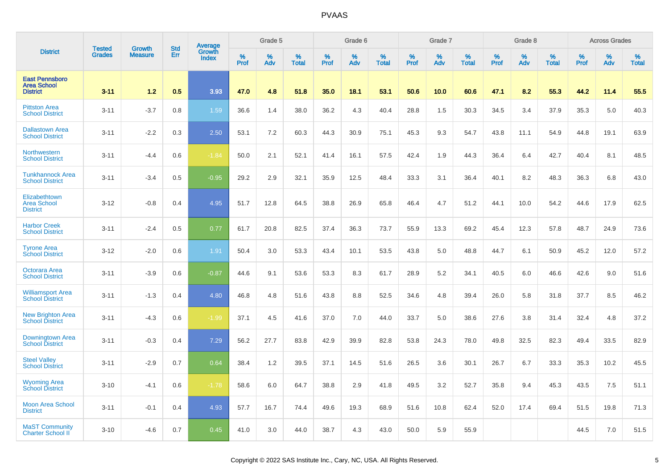|                                                                | <b>Tested</b> | <b>Growth</b>  | <b>Std</b> | Average<br>Growth |                     | Grade 5     |                   |                  | Grade 6  |                   |                     | Grade 7  |                   |                  | Grade 8  |                   |              | <b>Across Grades</b> |                   |
|----------------------------------------------------------------|---------------|----------------|------------|-------------------|---------------------|-------------|-------------------|------------------|----------|-------------------|---------------------|----------|-------------------|------------------|----------|-------------------|--------------|----------------------|-------------------|
| <b>District</b>                                                | <b>Grades</b> | <b>Measure</b> | Err        | <b>Index</b>      | $\%$<br><b>Prof</b> | $\%$<br>Adv | %<br><b>Total</b> | %<br><b>Prof</b> | %<br>Adv | %<br><b>Total</b> | $\%$<br><b>Prof</b> | %<br>Adv | %<br><b>Total</b> | %<br><b>Prof</b> | %<br>Adv | %<br><b>Total</b> | $\%$<br>Prof | %<br>Adv             | %<br><b>Total</b> |
| <b>East Pennsboro</b><br><b>Area School</b><br><b>District</b> | $3 - 11$      | 1.2            | 0.5        | 3.93              | 47.0                | 4.8         | 51.8              | 35.0             | 18.1     | 53.1              | 50.6                | 10.0     | 60.6              | 47.1             | 8.2      | 55.3              | 44.2         | 11.4                 | 55.5              |
| <b>Pittston Area</b><br><b>School District</b>                 | $3 - 11$      | $-3.7$         | 0.8        | 1.59              | 36.6                | 1.4         | 38.0              | 36.2             | 4.3      | 40.4              | 28.8                | 1.5      | 30.3              | 34.5             | 3.4      | 37.9              | 35.3         | 5.0                  | 40.3              |
| <b>Dallastown Area</b><br><b>School District</b>               | $3 - 11$      | $-2.2$         | 0.3        | 2.50              | 53.1                | 7.2         | 60.3              | 44.3             | 30.9     | 75.1              | 45.3                | 9.3      | 54.7              | 43.8             | 11.1     | 54.9              | 44.8         | 19.1                 | 63.9              |
| <b>Northwestern</b><br><b>School District</b>                  | $3 - 11$      | $-4.4$         | 0.6        | $-1.84$           | 50.0                | 2.1         | 52.1              | 41.4             | 16.1     | 57.5              | 42.4                | 1.9      | 44.3              | 36.4             | 6.4      | 42.7              | 40.4         | 8.1                  | 48.5              |
| <b>Tunkhannock Area</b><br><b>School District</b>              | $3 - 11$      | $-3.4$         | 0.5        | $-0.95$           | 29.2                | 2.9         | 32.1              | 35.9             | 12.5     | 48.4              | 33.3                | 3.1      | 36.4              | 40.1             | 8.2      | 48.3              | 36.3         | 6.8                  | 43.0              |
| Elizabethtown<br><b>Area School</b><br><b>District</b>         | $3 - 12$      | $-0.8$         | 0.4        | 4.95              | 51.7                | 12.8        | 64.5              | 38.8             | 26.9     | 65.8              | 46.4                | 4.7      | 51.2              | 44.1             | 10.0     | 54.2              | 44.6         | 17.9                 | 62.5              |
| <b>Harbor Creek</b><br><b>School District</b>                  | $3 - 11$      | $-2.4$         | 0.5        | 0.77              | 61.7                | 20.8        | 82.5              | 37.4             | 36.3     | 73.7              | 55.9                | 13.3     | 69.2              | 45.4             | 12.3     | 57.8              | 48.7         | 24.9                 | 73.6              |
| <b>Tyrone Area</b><br><b>School District</b>                   | $3 - 12$      | $-2.0$         | 0.6        | 1.91              | 50.4                | 3.0         | 53.3              | 43.4             | 10.1     | 53.5              | 43.8                | 5.0      | 48.8              | 44.7             | 6.1      | 50.9              | 45.2         | 12.0                 | 57.2              |
| Octorara Area<br><b>School District</b>                        | $3 - 11$      | $-3.9$         | 0.6        | $-0.87$           | 44.6                | 9.1         | 53.6              | 53.3             | 8.3      | 61.7              | 28.9                | 5.2      | 34.1              | 40.5             | 6.0      | 46.6              | 42.6         | 9.0                  | 51.6              |
| <b>Williamsport Area</b><br><b>School District</b>             | $3 - 11$      | $-1.3$         | 0.4        | 4.80              | 46.8                | 4.8         | 51.6              | 43.8             | 8.8      | 52.5              | 34.6                | 4.8      | 39.4              | 26.0             | 5.8      | 31.8              | 37.7         | 8.5                  | 46.2              |
| <b>New Brighton Area</b><br><b>School District</b>             | $3 - 11$      | $-4.3$         | 0.6        | $-1.99$           | 37.1                | 4.5         | 41.6              | 37.0             | 7.0      | 44.0              | 33.7                | 5.0      | 38.6              | 27.6             | 3.8      | 31.4              | 32.4         | 4.8                  | 37.2              |
| Downingtown Area<br><b>School District</b>                     | $3 - 11$      | $-0.3$         | 0.4        | 7.29              | 56.2                | 27.7        | 83.8              | 42.9             | 39.9     | 82.8              | 53.8                | 24.3     | 78.0              | 49.8             | 32.5     | 82.3              | 49.4         | 33.5                 | 82.9              |
| <b>Steel Valley</b><br><b>School District</b>                  | $3 - 11$      | $-2.9$         | 0.7        | 0.64              | 38.4                | 1.2         | 39.5              | 37.1             | 14.5     | 51.6              | 26.5                | 3.6      | 30.1              | 26.7             | 6.7      | 33.3              | 35.3         | 10.2                 | 45.5              |
| <b>Wyoming Area</b><br><b>School District</b>                  | $3 - 10$      | $-4.1$         | 0.6        | $-1.78$           | 58.6                | 6.0         | 64.7              | 38.8             | 2.9      | 41.8              | 49.5                | 3.2      | 52.7              | 35.8             | 9.4      | 45.3              | 43.5         | 7.5                  | 51.1              |
| <b>Moon Area School</b><br><b>District</b>                     | $3 - 11$      | $-0.1$         | 0.4        | 4.93              | 57.7                | 16.7        | 74.4              | 49.6             | 19.3     | 68.9              | 51.6                | 10.8     | 62.4              | 52.0             | 17.4     | 69.4              | 51.5         | 19.8                 | 71.3              |
| <b>MaST Community</b><br><b>Charter School II</b>              | $3 - 10$      | $-4.6$         | 0.7        | 0.45              | 41.0                | 3.0         | 44.0              | 38.7             | 4.3      | 43.0              | 50.0                | 5.9      | 55.9              |                  |          |                   | 44.5         | 7.0                  | 51.5              |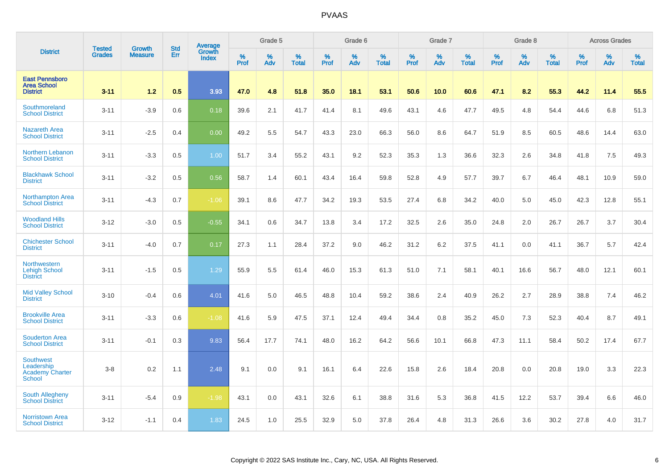|                                                                    |                                |                                 | <b>Std</b> | Average                |              | Grade 5  |                   |           | Grade 6  |                   |           | Grade 7  |                   |           | Grade 8  |                   |           | <b>Across Grades</b> |                   |
|--------------------------------------------------------------------|--------------------------------|---------------------------------|------------|------------------------|--------------|----------|-------------------|-----------|----------|-------------------|-----------|----------|-------------------|-----------|----------|-------------------|-----------|----------------------|-------------------|
| <b>District</b>                                                    | <b>Tested</b><br><b>Grades</b> | <b>Growth</b><br><b>Measure</b> | Err        | Growth<br><b>Index</b> | $\%$<br>Prof | %<br>Adv | %<br><b>Total</b> | %<br>Prof | %<br>Adv | %<br><b>Total</b> | %<br>Prof | %<br>Adv | %<br><b>Total</b> | %<br>Prof | %<br>Adv | %<br><b>Total</b> | %<br>Prof | %<br>Adv             | %<br><b>Total</b> |
| <b>East Pennsboro</b><br><b>Area School</b><br><b>District</b>     | $3 - 11$                       | 1.2                             | 0.5        | 3.93                   | 47.0         | 4.8      | 51.8              | 35.0      | 18.1     | 53.1              | 50.6      | 10.0     | 60.6              | 47.1      | 8.2      | 55.3              | 44.2      | 11.4                 | 55.5              |
| Southmoreland<br><b>School District</b>                            | $3 - 11$                       | $-3.9$                          | 0.6        | 0.18                   | 39.6         | 2.1      | 41.7              | 41.4      | 8.1      | 49.6              | 43.1      | 4.6      | 47.7              | 49.5      | 4.8      | 54.4              | 44.6      | 6.8                  | 51.3              |
| <b>Nazareth Area</b><br><b>School District</b>                     | $3 - 11$                       | $-2.5$                          | 0.4        | 0.00                   | 49.2         | 5.5      | 54.7              | 43.3      | 23.0     | 66.3              | 56.0      | 8.6      | 64.7              | 51.9      | 8.5      | 60.5              | 48.6      | 14.4                 | 63.0              |
| <b>Northern Lebanon</b><br><b>School District</b>                  | $3 - 11$                       | $-3.3$                          | 0.5        | 1.00                   | 51.7         | 3.4      | 55.2              | 43.1      | 9.2      | 52.3              | 35.3      | 1.3      | 36.6              | 32.3      | 2.6      | 34.8              | 41.8      | 7.5                  | 49.3              |
| <b>Blackhawk School</b><br><b>District</b>                         | $3 - 11$                       | $-3.2$                          | 0.5        | 0.56                   | 58.7         | 1.4      | 60.1              | 43.4      | 16.4     | 59.8              | 52.8      | 4.9      | 57.7              | 39.7      | 6.7      | 46.4              | 48.1      | 10.9                 | 59.0              |
| <b>Northampton Area</b><br><b>School District</b>                  | $3 - 11$                       | $-4.3$                          | 0.7        | $-1.06$                | 39.1         | 8.6      | 47.7              | 34.2      | 19.3     | 53.5              | 27.4      | 6.8      | 34.2              | 40.0      | 5.0      | 45.0              | 42.3      | 12.8                 | 55.1              |
| <b>Woodland Hills</b><br><b>School District</b>                    | $3 - 12$                       | $-3.0$                          | 0.5        | $-0.55$                | 34.1         | 0.6      | 34.7              | 13.8      | 3.4      | 17.2              | 32.5      | 2.6      | 35.0              | 24.8      | 2.0      | 26.7              | 26.7      | 3.7                  | 30.4              |
| <b>Chichester School</b><br><b>District</b>                        | $3 - 11$                       | $-4.0$                          | 0.7        | 0.17                   | 27.3         | 1.1      | 28.4              | 37.2      | 9.0      | 46.2              | 31.2      | 6.2      | 37.5              | 41.1      | 0.0      | 41.1              | 36.7      | 5.7                  | 42.4              |
| Northwestern<br><b>Lehigh School</b><br><b>District</b>            | $3 - 11$                       | $-1.5$                          | 0.5        | 1.29                   | 55.9         | 5.5      | 61.4              | 46.0      | 15.3     | 61.3              | 51.0      | 7.1      | 58.1              | 40.1      | 16.6     | 56.7              | 48.0      | 12.1                 | 60.1              |
| <b>Mid Valley School</b><br><b>District</b>                        | $3 - 10$                       | $-0.4$                          | 0.6        | 4.01                   | 41.6         | 5.0      | 46.5              | 48.8      | 10.4     | 59.2              | 38.6      | 2.4      | 40.9              | 26.2      | 2.7      | 28.9              | 38.8      | 7.4                  | 46.2              |
| <b>Brookville Area</b><br><b>School District</b>                   | $3 - 11$                       | $-3.3$                          | 0.6        | $-1.08$                | 41.6         | 5.9      | 47.5              | 37.1      | 12.4     | 49.4              | 34.4      | 0.8      | 35.2              | 45.0      | 7.3      | 52.3              | 40.4      | 8.7                  | 49.1              |
| <b>Souderton Area</b><br><b>School District</b>                    | $3 - 11$                       | $-0.1$                          | 0.3        | 9.83                   | 56.4         | 17.7     | 74.1              | 48.0      | 16.2     | 64.2              | 56.6      | 10.1     | 66.8              | 47.3      | 11.1     | 58.4              | 50.2      | 17.4                 | 67.7              |
| Southwest<br>Leadership<br><b>Academy Charter</b><br><b>School</b> | $3 - 8$                        | 0.2                             | 1.1        | 2.48                   | 9.1          | 0.0      | 9.1               | 16.1      | 6.4      | 22.6              | 15.8      | 2.6      | 18.4              | 20.8      | 0.0      | 20.8              | 19.0      | 3.3                  | 22.3              |
| <b>South Allegheny</b><br><b>School District</b>                   | $3 - 11$                       | $-5.4$                          | 0.9        | $-1.98$                | 43.1         | 0.0      | 43.1              | 32.6      | 6.1      | 38.8              | 31.6      | 5.3      | 36.8              | 41.5      | 12.2     | 53.7              | 39.4      | 6.6                  | 46.0              |
| <b>Norristown Area</b><br><b>School District</b>                   | $3 - 12$                       | $-1.1$                          | 0.4        | 1.83                   | 24.5         | 1.0      | 25.5              | 32.9      | 5.0      | 37.8              | 26.4      | 4.8      | 31.3              | 26.6      | 3.6      | 30.2              | 27.8      | 4.0                  | 31.7              |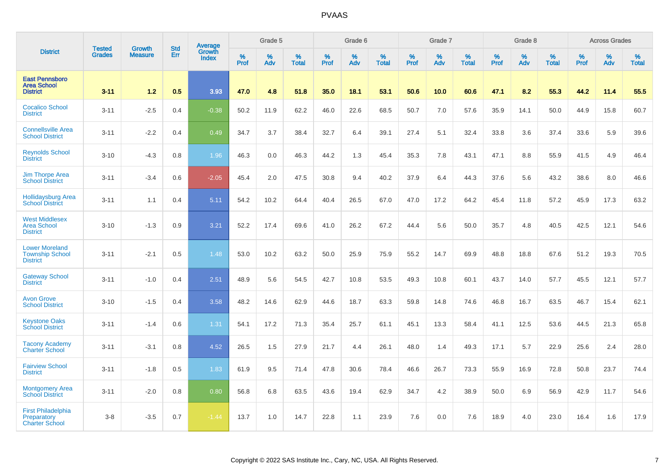|                                                                    |                                |                                 |                   | Average                |           | Grade 5  |                   |           | Grade 6  |                   |           | Grade 7  |                   |                  | Grade 8  |                   |                  | <b>Across Grades</b> |                   |
|--------------------------------------------------------------------|--------------------------------|---------------------------------|-------------------|------------------------|-----------|----------|-------------------|-----------|----------|-------------------|-----------|----------|-------------------|------------------|----------|-------------------|------------------|----------------------|-------------------|
| <b>District</b>                                                    | <b>Tested</b><br><b>Grades</b> | <b>Growth</b><br><b>Measure</b> | <b>Std</b><br>Err | Growth<br><b>Index</b> | %<br>Prof | %<br>Adv | %<br><b>Total</b> | %<br>Prof | %<br>Adv | %<br><b>Total</b> | %<br>Prof | %<br>Adv | %<br><b>Total</b> | %<br><b>Prof</b> | %<br>Adv | %<br><b>Total</b> | %<br><b>Prof</b> | %<br>Adv             | %<br><b>Total</b> |
| <b>East Pennsboro</b><br><b>Area School</b><br><b>District</b>     | $3 - 11$                       | 1.2                             | 0.5               | 3.93                   | 47.0      | 4.8      | 51.8              | 35.0      | 18.1     | 53.1              | 50.6      | 10.0     | 60.6              | 47.1             | 8.2      | 55.3              | 44.2             | 11.4                 | 55.5              |
| <b>Cocalico School</b><br><b>District</b>                          | $3 - 11$                       | $-2.5$                          | 0.4               | $-0.38$                | 50.2      | 11.9     | 62.2              | 46.0      | 22.6     | 68.5              | 50.7      | 7.0      | 57.6              | 35.9             | 14.1     | 50.0              | 44.9             | 15.8                 | 60.7              |
| <b>Connellsville Area</b><br><b>School District</b>                | $3 - 11$                       | $-2.2$                          | 0.4               | 0.49                   | 34.7      | 3.7      | 38.4              | 32.7      | 6.4      | 39.1              | 27.4      | 5.1      | 32.4              | 33.8             | 3.6      | 37.4              | 33.6             | 5.9                  | 39.6              |
| <b>Reynolds School</b><br><b>District</b>                          | $3 - 10$                       | $-4.3$                          | 0.8               | 1.96                   | 46.3      | 0.0      | 46.3              | 44.2      | 1.3      | 45.4              | 35.3      | 7.8      | 43.1              | 47.1             | 8.8      | 55.9              | 41.5             | 4.9                  | 46.4              |
| <b>Jim Thorpe Area</b><br><b>School District</b>                   | $3 - 11$                       | $-3.4$                          | 0.6               | $-2.05$                | 45.4      | 2.0      | 47.5              | 30.8      | 9.4      | 40.2              | 37.9      | 6.4      | 44.3              | 37.6             | 5.6      | 43.2              | 38.6             | 8.0                  | 46.6              |
| <b>Hollidaysburg Area</b><br><b>School District</b>                | $3 - 11$                       | 1.1                             | 0.4               | 5.11                   | 54.2      | 10.2     | 64.4              | 40.4      | 26.5     | 67.0              | 47.0      | 17.2     | 64.2              | 45.4             | 11.8     | 57.2              | 45.9             | 17.3                 | 63.2              |
| <b>West Middlesex</b><br><b>Area School</b><br><b>District</b>     | $3 - 10$                       | $-1.3$                          | 0.9               | 3.21                   | 52.2      | 17.4     | 69.6              | 41.0      | 26.2     | 67.2              | 44.4      | 5.6      | 50.0              | 35.7             | 4.8      | 40.5              | 42.5             | 12.1                 | 54.6              |
| <b>Lower Moreland</b><br><b>Township School</b><br><b>District</b> | $3 - 11$                       | $-2.1$                          | 0.5               | 1.48                   | 53.0      | 10.2     | 63.2              | 50.0      | 25.9     | 75.9              | 55.2      | 14.7     | 69.9              | 48.8             | 18.8     | 67.6              | 51.2             | 19.3                 | 70.5              |
| <b>Gateway School</b><br><b>District</b>                           | $3 - 11$                       | $-1.0$                          | 0.4               | 2.51                   | 48.9      | 5.6      | 54.5              | 42.7      | 10.8     | 53.5              | 49.3      | 10.8     | 60.1              | 43.7             | 14.0     | 57.7              | 45.5             | 12.1                 | 57.7              |
| <b>Avon Grove</b><br><b>School District</b>                        | $3 - 10$                       | $-1.5$                          | 0.4               | 3.58                   | 48.2      | 14.6     | 62.9              | 44.6      | 18.7     | 63.3              | 59.8      | 14.8     | 74.6              | 46.8             | 16.7     | 63.5              | 46.7             | 15.4                 | 62.1              |
| <b>Keystone Oaks</b><br><b>School District</b>                     | $3 - 11$                       | $-1.4$                          | 0.6               | 1.31                   | 54.1      | 17.2     | 71.3              | 35.4      | 25.7     | 61.1              | 45.1      | 13.3     | 58.4              | 41.1             | 12.5     | 53.6              | 44.5             | 21.3                 | 65.8              |
| <b>Tacony Academy</b><br><b>Charter School</b>                     | $3 - 11$                       | $-3.1$                          | 0.8               | 4.52                   | 26.5      | 1.5      | 27.9              | 21.7      | 4.4      | 26.1              | 48.0      | 1.4      | 49.3              | 17.1             | 5.7      | 22.9              | 25.6             | 2.4                  | 28.0              |
| <b>Fairview School</b><br><b>District</b>                          | $3 - 11$                       | $-1.8$                          | 0.5               | 1.83                   | 61.9      | 9.5      | 71.4              | 47.8      | 30.6     | 78.4              | 46.6      | 26.7     | 73.3              | 55.9             | 16.9     | 72.8              | 50.8             | 23.7                 | 74.4              |
| <b>Montgomery Area</b><br><b>School District</b>                   | $3 - 11$                       | $-2.0$                          | 0.8               | 0.80                   | 56.8      | 6.8      | 63.5              | 43.6      | 19.4     | 62.9              | 34.7      | 4.2      | 38.9              | 50.0             | 6.9      | 56.9              | 42.9             | 11.7                 | 54.6              |
| <b>First Philadelphia</b><br>Preparatory<br><b>Charter School</b>  | $3-8$                          | $-3.5$                          | 0.7               | $-1.44$                | 13.7      | 1.0      | 14.7              | 22.8      | 1.1      | 23.9              | 7.6       | 0.0      | 7.6               | 18.9             | 4.0      | 23.0              | 16.4             | 1.6                  | 17.9              |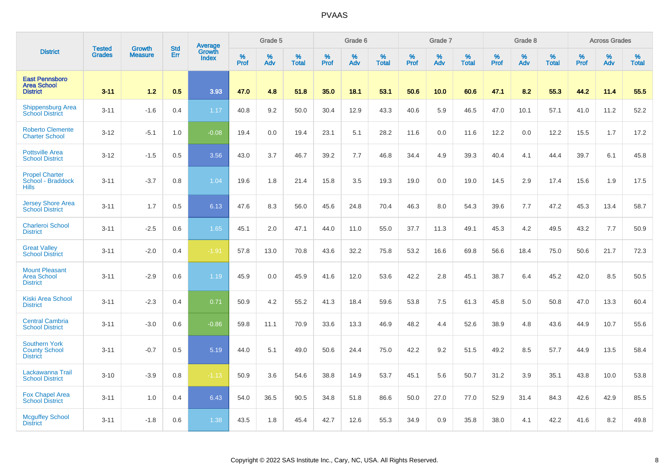|                                                                 |                                | <b>Growth</b>  | <b>Std</b> | Average                |              | Grade 5  |                   |           | Grade 6  |                   |           | Grade 7  |                   |           | Grade 8  |                   |           | <b>Across Grades</b> |                   |
|-----------------------------------------------------------------|--------------------------------|----------------|------------|------------------------|--------------|----------|-------------------|-----------|----------|-------------------|-----------|----------|-------------------|-----------|----------|-------------------|-----------|----------------------|-------------------|
| <b>District</b>                                                 | <b>Tested</b><br><b>Grades</b> | <b>Measure</b> | Err        | Growth<br><b>Index</b> | $\%$<br>Prof | %<br>Adv | %<br><b>Total</b> | %<br>Prof | %<br>Adv | %<br><b>Total</b> | %<br>Prof | %<br>Adv | %<br><b>Total</b> | %<br>Prof | %<br>Adv | %<br><b>Total</b> | %<br>Prof | %<br>Adv             | %<br><b>Total</b> |
| <b>East Pennsboro</b><br><b>Area School</b><br><b>District</b>  | $3 - 11$                       | 1.2            | 0.5        | 3.93                   | 47.0         | 4.8      | 51.8              | 35.0      | 18.1     | 53.1              | 50.6      | 10.0     | 60.6              | 47.1      | 8.2      | 55.3              | 44.2      | 11.4                 | 55.5              |
| <b>Shippensburg Area</b><br><b>School District</b>              | $3 - 11$                       | $-1.6$         | 0.4        | 1.17                   | 40.8         | 9.2      | 50.0              | 30.4      | 12.9     | 43.3              | 40.6      | 5.9      | 46.5              | 47.0      | 10.1     | 57.1              | 41.0      | 11.2                 | 52.2              |
| <b>Roberto Clemente</b><br><b>Charter School</b>                | $3 - 12$                       | $-5.1$         | 1.0        | $-0.08$                | 19.4         | 0.0      | 19.4              | 23.1      | 5.1      | 28.2              | 11.6      | 0.0      | 11.6              | 12.2      | 0.0      | 12.2              | 15.5      | 1.7                  | 17.2              |
| <b>Pottsville Area</b><br><b>School District</b>                | $3 - 12$                       | $-1.5$         | 0.5        | 3.56                   | 43.0         | 3.7      | 46.7              | 39.2      | 7.7      | 46.8              | 34.4      | 4.9      | 39.3              | 40.4      | 4.1      | 44.4              | 39.7      | 6.1                  | 45.8              |
| <b>Propel Charter</b><br>School - Braddock<br><b>Hills</b>      | $3 - 11$                       | $-3.7$         | 0.8        | 1.04                   | 19.6         | 1.8      | 21.4              | 15.8      | 3.5      | 19.3              | 19.0      | 0.0      | 19.0              | 14.5      | 2.9      | 17.4              | 15.6      | 1.9                  | 17.5              |
| <b>Jersey Shore Area</b><br><b>School District</b>              | $3 - 11$                       | 1.7            | 0.5        | 6.13                   | 47.6         | 8.3      | 56.0              | 45.6      | 24.8     | 70.4              | 46.3      | 8.0      | 54.3              | 39.6      | 7.7      | 47.2              | 45.3      | 13.4                 | 58.7              |
| <b>Charleroi School</b><br><b>District</b>                      | $3 - 11$                       | $-2.5$         | 0.6        | 1.65                   | 45.1         | 2.0      | 47.1              | 44.0      | 11.0     | 55.0              | 37.7      | 11.3     | 49.1              | 45.3      | 4.2      | 49.5              | 43.2      | 7.7                  | 50.9              |
| <b>Great Valley</b><br><b>School District</b>                   | $3 - 11$                       | $-2.0$         | 0.4        | $-1.91$                | 57.8         | 13.0     | 70.8              | 43.6      | 32.2     | 75.8              | 53.2      | 16.6     | 69.8              | 56.6      | 18.4     | 75.0              | 50.6      | 21.7                 | 72.3              |
| <b>Mount Pleasant</b><br><b>Area School</b><br><b>District</b>  | $3 - 11$                       | $-2.9$         | 0.6        | 1.19                   | 45.9         | 0.0      | 45.9              | 41.6      | 12.0     | 53.6              | 42.2      | 2.8      | 45.1              | 38.7      | 6.4      | 45.2              | 42.0      | 8.5                  | 50.5              |
| <b>Kiski Area School</b><br><b>District</b>                     | $3 - 11$                       | $-2.3$         | 0.4        | 0.71                   | 50.9         | 4.2      | 55.2              | 41.3      | 18.4     | 59.6              | 53.8      | 7.5      | 61.3              | 45.8      | 5.0      | 50.8              | 47.0      | 13.3                 | 60.4              |
| <b>Central Cambria</b><br><b>School District</b>                | $3 - 11$                       | $-3.0$         | 0.6        | $-0.86$                | 59.8         | 11.1     | 70.9              | 33.6      | 13.3     | 46.9              | 48.2      | 4.4      | 52.6              | 38.9      | 4.8      | 43.6              | 44.9      | 10.7                 | 55.6              |
| <b>Southern York</b><br><b>County School</b><br><b>District</b> | $3 - 11$                       | $-0.7$         | 0.5        | 5.19                   | 44.0         | 5.1      | 49.0              | 50.6      | 24.4     | 75.0              | 42.2      | 9.2      | 51.5              | 49.2      | 8.5      | 57.7              | 44.9      | 13.5                 | 58.4              |
| Lackawanna Trail<br><b>School District</b>                      | $3 - 10$                       | $-3.9$         | 0.8        | $-1.13$                | 50.9         | 3.6      | 54.6              | 38.8      | 14.9     | 53.7              | 45.1      | 5.6      | 50.7              | 31.2      | 3.9      | 35.1              | 43.8      | 10.0                 | 53.8              |
| <b>Fox Chapel Area</b><br><b>School District</b>                | $3 - 11$                       | 1.0            | 0.4        | 6.43                   | 54.0         | 36.5     | 90.5              | 34.8      | 51.8     | 86.6              | 50.0      | 27.0     | 77.0              | 52.9      | 31.4     | 84.3              | 42.6      | 42.9                 | 85.5              |
| <b>Mcguffey School</b><br><b>District</b>                       | $3 - 11$                       | $-1.8$         | 0.6        | 1.38                   | 43.5         | 1.8      | 45.4              | 42.7      | 12.6     | 55.3              | 34.9      | 0.9      | 35.8              | 38.0      | 4.1      | 42.2              | 41.6      | 8.2                  | 49.8              |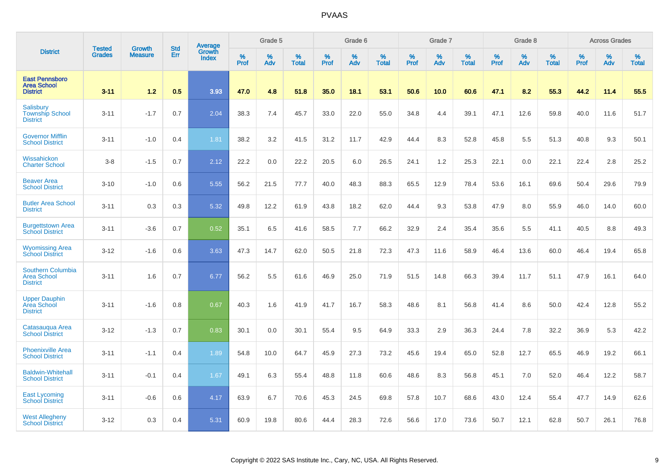|                                                                   | <b>Tested</b> | <b>Growth</b>  | <b>Std</b> | <b>Average</b><br>Growth |                     | Grade 5  |                   |           | Grade 6  |                   |           | Grade 7  |                   |           | Grade 8     |                   |                  | <b>Across Grades</b> |                   |
|-------------------------------------------------------------------|---------------|----------------|------------|--------------------------|---------------------|----------|-------------------|-----------|----------|-------------------|-----------|----------|-------------------|-----------|-------------|-------------------|------------------|----------------------|-------------------|
| <b>District</b>                                                   | <b>Grades</b> | <b>Measure</b> | Err        | <b>Index</b>             | $\%$<br><b>Prof</b> | %<br>Adv | %<br><b>Total</b> | %<br>Prof | %<br>Adv | %<br><b>Total</b> | %<br>Prof | %<br>Adv | %<br><b>Total</b> | %<br>Prof | $\%$<br>Adv | %<br><b>Total</b> | %<br><b>Prof</b> | %<br>Adv             | %<br><b>Total</b> |
| <b>East Pennsboro</b><br><b>Area School</b><br><b>District</b>    | $3 - 11$      | $1.2$          | 0.5        | 3.93                     | 47.0                | 4.8      | 51.8              | 35.0      | 18.1     | 53.1              | 50.6      | 10.0     | 60.6              | 47.1      | 8.2         | 55.3              | 44.2             | 11.4                 | 55.5              |
| Salisbury<br><b>Township School</b><br><b>District</b>            | $3 - 11$      | $-1.7$         | 0.7        | 2.04                     | 38.3                | 7.4      | 45.7              | 33.0      | 22.0     | 55.0              | 34.8      | 4.4      | 39.1              | 47.1      | 12.6        | 59.8              | 40.0             | 11.6                 | 51.7              |
| <b>Governor Mifflin</b><br><b>School District</b>                 | $3 - 11$      | $-1.0$         | 0.4        | 1.81                     | 38.2                | 3.2      | 41.5              | 31.2      | 11.7     | 42.9              | 44.4      | 8.3      | 52.8              | 45.8      | 5.5         | 51.3              | 40.8             | 9.3                  | 50.1              |
| Wissahickon<br><b>Charter School</b>                              | $3-8$         | $-1.5$         | 0.7        | 2.12                     | 22.2                | 0.0      | 22.2              | 20.5      | 6.0      | 26.5              | 24.1      | 1.2      | 25.3              | 22.1      | 0.0         | 22.1              | 22.4             | 2.8                  | 25.2              |
| <b>Beaver Area</b><br><b>School District</b>                      | $3 - 10$      | $-1.0$         | 0.6        | 5.55                     | 56.2                | 21.5     | 77.7              | 40.0      | 48.3     | 88.3              | 65.5      | 12.9     | 78.4              | 53.6      | 16.1        | 69.6              | 50.4             | 29.6                 | 79.9              |
| <b>Butler Area School</b><br><b>District</b>                      | $3 - 11$      | 0.3            | 0.3        | 5.32                     | 49.8                | 12.2     | 61.9              | 43.8      | 18.2     | 62.0              | 44.4      | 9.3      | 53.8              | 47.9      | 8.0         | 55.9              | 46.0             | 14.0                 | 60.0              |
| <b>Burgettstown Area</b><br><b>School District</b>                | $3 - 11$      | $-3.6$         | 0.7        | 0.52                     | 35.1                | 6.5      | 41.6              | 58.5      | 7.7      | 66.2              | 32.9      | 2.4      | 35.4              | 35.6      | 5.5         | 41.1              | 40.5             | 8.8                  | 49.3              |
| <b>Wyomissing Area</b><br><b>School District</b>                  | $3 - 12$      | $-1.6$         | 0.6        | 3.63                     | 47.3                | 14.7     | 62.0              | 50.5      | 21.8     | 72.3              | 47.3      | 11.6     | 58.9              | 46.4      | 13.6        | 60.0              | 46.4             | 19.4                 | 65.8              |
| <b>Southern Columbia</b><br><b>Area School</b><br><b>District</b> | $3 - 11$      | 1.6            | 0.7        | 6.77                     | 56.2                | 5.5      | 61.6              | 46.9      | 25.0     | 71.9              | 51.5      | 14.8     | 66.3              | 39.4      | 11.7        | 51.1              | 47.9             | 16.1                 | 64.0              |
| <b>Upper Dauphin</b><br>Area School<br><b>District</b>            | $3 - 11$      | $-1.6$         | 0.8        | 0.67                     | 40.3                | 1.6      | 41.9              | 41.7      | 16.7     | 58.3              | 48.6      | 8.1      | 56.8              | 41.4      | 8.6         | 50.0              | 42.4             | 12.8                 | 55.2              |
| Catasaugua Area<br><b>School District</b>                         | $3 - 12$      | $-1.3$         | 0.7        | 0.83                     | 30.1                | 0.0      | 30.1              | 55.4      | 9.5      | 64.9              | 33.3      | 2.9      | 36.3              | 24.4      | 7.8         | 32.2              | 36.9             | 5.3                  | 42.2              |
| <b>Phoenixville Area</b><br><b>School District</b>                | $3 - 11$      | $-1.1$         | 0.4        | 1.89                     | 54.8                | 10.0     | 64.7              | 45.9      | 27.3     | 73.2              | 45.6      | 19.4     | 65.0              | 52.8      | 12.7        | 65.5              | 46.9             | 19.2                 | 66.1              |
| <b>Baldwin-Whitehall</b><br><b>School District</b>                | $3 - 11$      | $-0.1$         | 0.4        | 1.67                     | 49.1                | 6.3      | 55.4              | 48.8      | 11.8     | 60.6              | 48.6      | 8.3      | 56.8              | 45.1      | 7.0         | 52.0              | 46.4             | 12.2                 | 58.7              |
| <b>East Lycoming</b><br><b>School District</b>                    | $3 - 11$      | $-0.6$         | 0.6        | 4.17                     | 63.9                | 6.7      | 70.6              | 45.3      | 24.5     | 69.8              | 57.8      | 10.7     | 68.6              | 43.0      | 12.4        | 55.4              | 47.7             | 14.9                 | 62.6              |
| <b>West Allegheny</b><br><b>School District</b>                   | $3 - 12$      | 0.3            | 0.4        | 5.31                     | 60.9                | 19.8     | 80.6              | 44.4      | 28.3     | 72.6              | 56.6      | 17.0     | 73.6              | 50.7      | 12.1        | 62.8              | 50.7             | 26.1                 | 76.8              |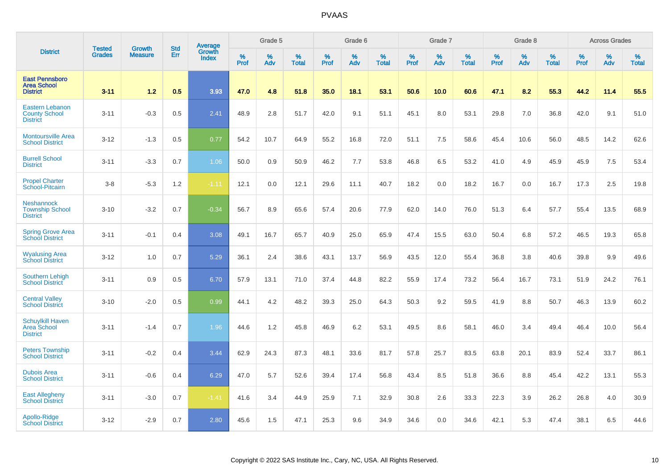|                                                                   |                                |                                 | <b>Std</b> | Average                |              | Grade 5  |                   |           | Grade 6  |                   |           | Grade 7  |                   |           | Grade 8  |                   |           | <b>Across Grades</b> |                   |
|-------------------------------------------------------------------|--------------------------------|---------------------------------|------------|------------------------|--------------|----------|-------------------|-----------|----------|-------------------|-----------|----------|-------------------|-----------|----------|-------------------|-----------|----------------------|-------------------|
| <b>District</b>                                                   | <b>Tested</b><br><b>Grades</b> | <b>Growth</b><br><b>Measure</b> | Err        | Growth<br><b>Index</b> | $\%$<br>Prof | %<br>Adv | %<br><b>Total</b> | %<br>Prof | %<br>Adv | %<br><b>Total</b> | %<br>Prof | %<br>Adv | %<br><b>Total</b> | %<br>Prof | %<br>Adv | %<br><b>Total</b> | %<br>Prof | %<br>Adv             | %<br><b>Total</b> |
| <b>East Pennsboro</b><br><b>Area School</b><br><b>District</b>    | $3 - 11$                       | 1.2                             | 0.5        | 3.93                   | 47.0         | 4.8      | 51.8              | 35.0      | 18.1     | 53.1              | 50.6      | 10.0     | 60.6              | 47.1      | 8.2      | 55.3              | 44.2      | 11.4                 | 55.5              |
| <b>Eastern Lebanon</b><br><b>County School</b><br><b>District</b> | $3 - 11$                       | $-0.3$                          | 0.5        | 2.41                   | 48.9         | 2.8      | 51.7              | 42.0      | 9.1      | 51.1              | 45.1      | 8.0      | 53.1              | 29.8      | 7.0      | 36.8              | 42.0      | 9.1                  | 51.0              |
| <b>Montoursville Area</b><br><b>School District</b>               | $3 - 12$                       | $-1.3$                          | 0.5        | 0.77                   | 54.2         | 10.7     | 64.9              | 55.2      | 16.8     | 72.0              | 51.1      | 7.5      | 58.6              | 45.4      | 10.6     | 56.0              | 48.5      | 14.2                 | 62.6              |
| <b>Burrell School</b><br><b>District</b>                          | $3 - 11$                       | $-3.3$                          | 0.7        | 1.06                   | 50.0         | 0.9      | 50.9              | 46.2      | 7.7      | 53.8              | 46.8      | 6.5      | 53.2              | 41.0      | 4.9      | 45.9              | 45.9      | 7.5                  | 53.4              |
| <b>Propel Charter</b><br>School-Pitcairn                          | $3-8$                          | $-5.3$                          | 1.2        | $-1.11$                | 12.1         | 0.0      | 12.1              | 29.6      | 11.1     | 40.7              | 18.2      | 0.0      | 18.2              | 16.7      | 0.0      | 16.7              | 17.3      | 2.5                  | 19.8              |
| <b>Neshannock</b><br><b>Township School</b><br><b>District</b>    | $3 - 10$                       | $-3.2$                          | 0.7        | $-0.34$                | 56.7         | 8.9      | 65.6              | 57.4      | 20.6     | 77.9              | 62.0      | 14.0     | 76.0              | 51.3      | 6.4      | 57.7              | 55.4      | 13.5                 | 68.9              |
| <b>Spring Grove Area</b><br><b>School District</b>                | $3 - 11$                       | $-0.1$                          | 0.4        | 3.08                   | 49.1         | 16.7     | 65.7              | 40.9      | 25.0     | 65.9              | 47.4      | 15.5     | 63.0              | 50.4      | 6.8      | 57.2              | 46.5      | 19.3                 | 65.8              |
| <b>Wyalusing Area</b><br><b>School District</b>                   | $3 - 12$                       | 1.0                             | 0.7        | 5.29                   | 36.1         | 2.4      | 38.6              | 43.1      | 13.7     | 56.9              | 43.5      | 12.0     | 55.4              | 36.8      | 3.8      | 40.6              | 39.8      | 9.9                  | 49.6              |
| <b>Southern Lehigh</b><br><b>School District</b>                  | $3 - 11$                       | 0.9                             | 0.5        | 6.70                   | 57.9         | 13.1     | 71.0              | 37.4      | 44.8     | 82.2              | 55.9      | 17.4     | 73.2              | 56.4      | 16.7     | 73.1              | 51.9      | 24.2                 | 76.1              |
| <b>Central Valley</b><br><b>School District</b>                   | $3 - 10$                       | $-2.0$                          | 0.5        | 0.99                   | 44.1         | 4.2      | 48.2              | 39.3      | 25.0     | 64.3              | 50.3      | 9.2      | 59.5              | 41.9      | 8.8      | 50.7              | 46.3      | 13.9                 | 60.2              |
| <b>Schuylkill Haven</b><br>Area School<br><b>District</b>         | $3 - 11$                       | $-1.4$                          | 0.7        | 1.96                   | 44.6         | 1.2      | 45.8              | 46.9      | 6.2      | 53.1              | 49.5      | 8.6      | 58.1              | 46.0      | 3.4      | 49.4              | 46.4      | 10.0                 | 56.4              |
| <b>Peters Township</b><br><b>School District</b>                  | $3 - 11$                       | $-0.2$                          | 0.4        | 3.44                   | 62.9         | 24.3     | 87.3              | 48.1      | 33.6     | 81.7              | 57.8      | 25.7     | 83.5              | 63.8      | 20.1     | 83.9              | 52.4      | 33.7                 | 86.1              |
| <b>Dubois Area</b><br><b>School District</b>                      | $3 - 11$                       | $-0.6$                          | 0.4        | 6.29                   | 47.0         | 5.7      | 52.6              | 39.4      | 17.4     | 56.8              | 43.4      | 8.5      | 51.8              | 36.6      | 8.8      | 45.4              | 42.2      | 13.1                 | 55.3              |
| <b>East Allegheny</b><br><b>School District</b>                   | $3 - 11$                       | $-3.0$                          | 0.7        | $-1.41$                | 41.6         | 3.4      | 44.9              | 25.9      | 7.1      | 32.9              | 30.8      | 2.6      | 33.3              | 22.3      | 3.9      | 26.2              | 26.8      | 4.0                  | 30.9              |
| Apollo-Ridge<br><b>School District</b>                            | $3 - 12$                       | $-2.9$                          | 0.7        | 2.80                   | 45.6         | 1.5      | 47.1              | 25.3      | 9.6      | 34.9              | 34.6      | 0.0      | 34.6              | 42.1      | 5.3      | 47.4              | 38.1      | 6.5                  | 44.6              |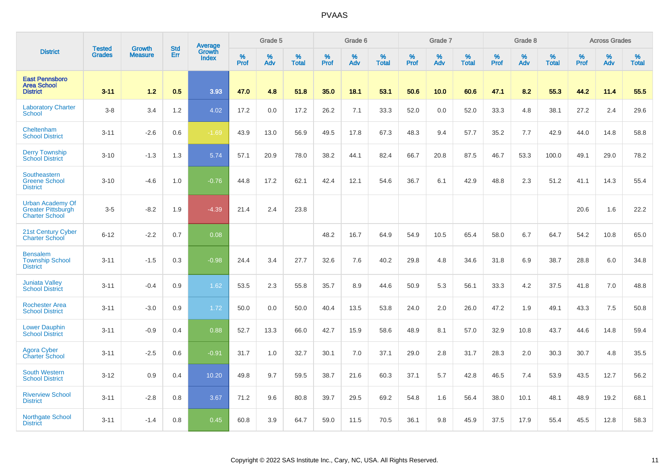|                                                                               | <b>Tested</b> | <b>Growth</b>  | <b>Std</b> | Average                |              | Grade 5  |                   |           | Grade 6  |                   |           | Grade 7  |                   |           | Grade 8  |                   |           | <b>Across Grades</b> |                   |
|-------------------------------------------------------------------------------|---------------|----------------|------------|------------------------|--------------|----------|-------------------|-----------|----------|-------------------|-----------|----------|-------------------|-----------|----------|-------------------|-----------|----------------------|-------------------|
| <b>District</b>                                                               | <b>Grades</b> | <b>Measure</b> | Err        | Growth<br><b>Index</b> | $\%$<br>Prof | %<br>Adv | %<br><b>Total</b> | %<br>Prof | %<br>Adv | %<br><b>Total</b> | %<br>Prof | %<br>Adv | %<br><b>Total</b> | %<br>Prof | %<br>Adv | %<br><b>Total</b> | %<br>Prof | %<br>Adv             | %<br><b>Total</b> |
| <b>East Pennsboro</b><br><b>Area School</b><br><b>District</b>                | $3 - 11$      | 1.2            | 0.5        | 3.93                   | 47.0         | 4.8      | 51.8              | 35.0      | 18.1     | 53.1              | 50.6      | 10.0     | 60.6              | 47.1      | 8.2      | 55.3              | 44.2      | 11.4                 | 55.5              |
| <b>Laboratory Charter</b><br><b>School</b>                                    | $3-8$         | 3.4            | 1.2        | 4.02                   | 17.2         | 0.0      | 17.2              | 26.2      | 7.1      | 33.3              | 52.0      | 0.0      | 52.0              | 33.3      | 4.8      | 38.1              | 27.2      | 2.4                  | 29.6              |
| Cheltenham<br><b>School District</b>                                          | $3 - 11$      | $-2.6$         | 0.6        | $-1.69$                | 43.9         | 13.0     | 56.9              | 49.5      | 17.8     | 67.3              | 48.3      | 9.4      | 57.7              | 35.2      | 7.7      | 42.9              | 44.0      | 14.8                 | 58.8              |
| <b>Derry Township</b><br><b>School District</b>                               | $3 - 10$      | $-1.3$         | 1.3        | 5.74                   | 57.1         | 20.9     | 78.0              | 38.2      | 44.1     | 82.4              | 66.7      | 20.8     | 87.5              | 46.7      | 53.3     | 100.0             | 49.1      | 29.0                 | 78.2              |
| Southeastern<br><b>Greene School</b><br><b>District</b>                       | $3 - 10$      | $-4.6$         | 1.0        | $-0.76$                | 44.8         | 17.2     | 62.1              | 42.4      | 12.1     | 54.6              | 36.7      | 6.1      | 42.9              | 48.8      | 2.3      | 51.2              | 41.1      | 14.3                 | 55.4              |
| <b>Urban Academy Of</b><br><b>Greater Pittsburgh</b><br><b>Charter School</b> | $3-5$         | $-8.2$         | 1.9        | $-4.39$                | 21.4         | 2.4      | 23.8              |           |          |                   |           |          |                   |           |          |                   | 20.6      | 1.6                  | 22.2              |
| 21st Century Cyber<br><b>Charter School</b>                                   | $6 - 12$      | $-2.2$         | 0.7        | 0.08                   |              |          |                   | 48.2      | 16.7     | 64.9              | 54.9      | 10.5     | 65.4              | 58.0      | 6.7      | 64.7              | 54.2      | 10.8                 | 65.0              |
| <b>Bensalem</b><br><b>Township School</b><br><b>District</b>                  | $3 - 11$      | $-1.5$         | 0.3        | $-0.98$                | 24.4         | 3.4      | 27.7              | 32.6      | 7.6      | 40.2              | 29.8      | 4.8      | 34.6              | 31.8      | 6.9      | 38.7              | 28.8      | 6.0                  | 34.8              |
| <b>Juniata Valley</b><br><b>School District</b>                               | $3 - 11$      | $-0.4$         | 0.9        | 1.62                   | 53.5         | 2.3      | 55.8              | 35.7      | 8.9      | 44.6              | 50.9      | 5.3      | 56.1              | 33.3      | 4.2      | 37.5              | 41.8      | 7.0                  | 48.8              |
| <b>Rochester Area</b><br><b>School District</b>                               | $3 - 11$      | $-3.0$         | 0.9        | 1.72                   | 50.0         | 0.0      | 50.0              | 40.4      | 13.5     | 53.8              | 24.0      | 2.0      | 26.0              | 47.2      | 1.9      | 49.1              | 43.3      | 7.5                  | 50.8              |
| <b>Lower Dauphin</b><br><b>School District</b>                                | $3 - 11$      | $-0.9$         | 0.4        | 0.88                   | 52.7         | 13.3     | 66.0              | 42.7      | 15.9     | 58.6              | 48.9      | 8.1      | 57.0              | 32.9      | 10.8     | 43.7              | 44.6      | 14.8                 | 59.4              |
| <b>Agora Cyber</b><br>Charter School                                          | $3 - 11$      | $-2.5$         | 0.6        | $-0.91$                | 31.7         | 1.0      | 32.7              | 30.1      | 7.0      | 37.1              | 29.0      | 2.8      | 31.7              | 28.3      | 2.0      | 30.3              | 30.7      | 4.8                  | 35.5              |
| <b>South Western</b><br><b>School District</b>                                | $3 - 12$      | 0.9            | 0.4        | 10.20                  | 49.8         | 9.7      | 59.5              | 38.7      | 21.6     | 60.3              | 37.1      | 5.7      | 42.8              | 46.5      | 7.4      | 53.9              | 43.5      | 12.7                 | 56.2              |
| <b>Riverview School</b><br><b>District</b>                                    | $3 - 11$      | $-2.8$         | 0.8        | 3.67                   | 71.2         | 9.6      | 80.8              | 39.7      | 29.5     | 69.2              | 54.8      | 1.6      | 56.4              | 38.0      | 10.1     | 48.1              | 48.9      | 19.2                 | 68.1              |
| <b>Northgate School</b><br><b>District</b>                                    | $3 - 11$      | $-1.4$         | 0.8        | 0.45                   | 60.8         | 3.9      | 64.7              | 59.0      | 11.5     | 70.5              | 36.1      | 9.8      | 45.9              | 37.5      | 17.9     | 55.4              | 45.5      | 12.8                 | 58.3              |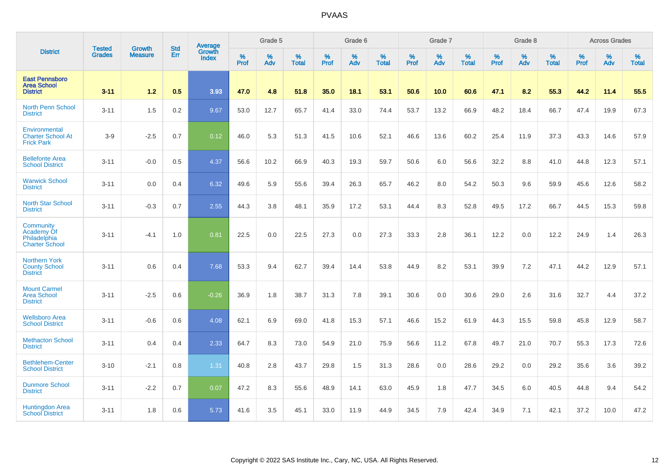|                                                                         |                                |                                 | <b>Std</b> | <b>Average</b>         |           | Grade 5  |                   |           | Grade 6  |                   |           | Grade 7  |                   |           | Grade 8  |                   |           | <b>Across Grades</b> |                   |
|-------------------------------------------------------------------------|--------------------------------|---------------------------------|------------|------------------------|-----------|----------|-------------------|-----------|----------|-------------------|-----------|----------|-------------------|-----------|----------|-------------------|-----------|----------------------|-------------------|
| <b>District</b>                                                         | <b>Tested</b><br><b>Grades</b> | <b>Growth</b><br><b>Measure</b> | Err        | Growth<br><b>Index</b> | %<br>Prof | %<br>Adv | %<br><b>Total</b> | %<br>Prof | %<br>Adv | %<br><b>Total</b> | %<br>Prof | %<br>Adv | %<br><b>Total</b> | %<br>Prof | %<br>Adv | %<br><b>Total</b> | %<br>Prof | %<br>Adv             | %<br><b>Total</b> |
| <b>East Pennsboro</b><br><b>Area School</b><br><b>District</b>          | $3 - 11$                       | 1.2                             | 0.5        | 3.93                   | 47.0      | 4.8      | 51.8              | 35.0      | 18.1     | 53.1              | 50.6      | 10.0     | 60.6              | 47.1      | 8.2      | 55.3              | 44.2      | 11.4                 | 55.5              |
| <b>North Penn School</b><br><b>District</b>                             | $3 - 11$                       | 1.5                             | 0.2        | 9.67                   | 53.0      | 12.7     | 65.7              | 41.4      | 33.0     | 74.4              | 53.7      | 13.2     | 66.9              | 48.2      | 18.4     | 66.7              | 47.4      | 19.9                 | 67.3              |
| Environmental<br><b>Charter School At</b><br><b>Frick Park</b>          | $3-9$                          | $-2.5$                          | 0.7        | 0.12                   | 46.0      | 5.3      | 51.3              | 41.5      | 10.6     | 52.1              | 46.6      | 13.6     | 60.2              | 25.4      | 11.9     | 37.3              | 43.3      | 14.6                 | 57.9              |
| <b>Bellefonte Area</b><br><b>School District</b>                        | $3 - 11$                       | $-0.0$                          | 0.5        | 4.37                   | 56.6      | 10.2     | 66.9              | 40.3      | 19.3     | 59.7              | 50.6      | 6.0      | 56.6              | 32.2      | 8.8      | 41.0              | 44.8      | 12.3                 | 57.1              |
| <b>Warwick School</b><br><b>District</b>                                | $3 - 11$                       | 0.0                             | 0.4        | 6.32                   | 49.6      | 5.9      | 55.6              | 39.4      | 26.3     | 65.7              | 46.2      | 8.0      | 54.2              | 50.3      | 9.6      | 59.9              | 45.6      | 12.6                 | 58.2              |
| <b>North Star School</b><br><b>District</b>                             | $3 - 11$                       | $-0.3$                          | 0.7        | 2.55                   | 44.3      | 3.8      | 48.1              | 35.9      | 17.2     | 53.1              | 44.4      | 8.3      | 52.8              | 49.5      | 17.2     | 66.7              | 44.5      | 15.3                 | 59.8              |
| Community<br><b>Academy Of</b><br>Philadelphia<br><b>Charter School</b> | $3 - 11$                       | $-4.1$                          | 1.0        | 0.81                   | 22.5      | 0.0      | 22.5              | 27.3      | 0.0      | 27.3              | 33.3      | 2.8      | 36.1              | 12.2      | 0.0      | 12.2              | 24.9      | 1.4                  | 26.3              |
| <b>Northern York</b><br><b>County School</b><br><b>District</b>         | $3 - 11$                       | 0.6                             | 0.4        | 7.68                   | 53.3      | 9.4      | 62.7              | 39.4      | 14.4     | 53.8              | 44.9      | 8.2      | 53.1              | 39.9      | 7.2      | 47.1              | 44.2      | 12.9                 | 57.1              |
| <b>Mount Carmel</b><br><b>Area School</b><br><b>District</b>            | $3 - 11$                       | $-2.5$                          | 0.6        | $-0.26$                | 36.9      | 1.8      | 38.7              | 31.3      | 7.8      | 39.1              | 30.6      | 0.0      | 30.6              | 29.0      | 2.6      | 31.6              | 32.7      | 4.4                  | 37.2              |
| <b>Wellsboro Area</b><br><b>School District</b>                         | $3 - 11$                       | $-0.6$                          | 0.6        | 4.08                   | 62.1      | 6.9      | 69.0              | 41.8      | 15.3     | 57.1              | 46.6      | 15.2     | 61.9              | 44.3      | 15.5     | 59.8              | 45.8      | 12.9                 | 58.7              |
| <b>Methacton School</b><br><b>District</b>                              | $3 - 11$                       | 0.4                             | 0.4        | 2.33                   | 64.7      | 8.3      | 73.0              | 54.9      | 21.0     | 75.9              | 56.6      | 11.2     | 67.8              | 49.7      | 21.0     | 70.7              | 55.3      | 17.3                 | 72.6              |
| <b>Bethlehem-Center</b><br><b>School District</b>                       | $3 - 10$                       | $-2.1$                          | 0.8        | 1.31                   | 40.8      | 2.8      | 43.7              | 29.8      | 1.5      | 31.3              | 28.6      | 0.0      | 28.6              | 29.2      | 0.0      | 29.2              | 35.6      | 3.6                  | 39.2              |
| <b>Dunmore School</b><br><b>District</b>                                | $3 - 11$                       | $-2.2$                          | 0.7        | 0.07                   | 47.2      | 8.3      | 55.6              | 48.9      | 14.1     | 63.0              | 45.9      | 1.8      | 47.7              | 34.5      | 6.0      | 40.5              | 44.8      | 9.4                  | 54.2              |
| <b>Huntingdon Area</b><br><b>School District</b>                        | $3 - 11$                       | 1.8                             | 0.6        | 5.73                   | 41.6      | 3.5      | 45.1              | 33.0      | 11.9     | 44.9              | 34.5      | 7.9      | 42.4              | 34.9      | 7.1      | 42.1              | 37.2      | 10.0                 | 47.2              |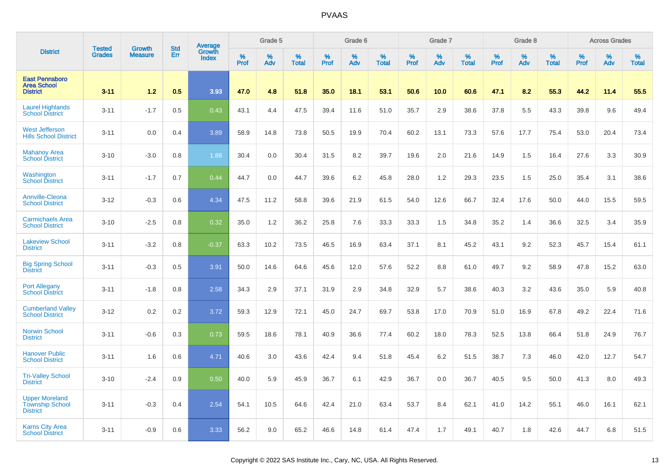|                                                                    |                         | <b>Growth</b>  | <b>Std</b> | Average                |                     | Grade 5  |                      |           | Grade 6  |                      |                     | Grade 7     |                   |                     | Grade 8     |                      |                     | <b>Across Grades</b> |                   |
|--------------------------------------------------------------------|-------------------------|----------------|------------|------------------------|---------------------|----------|----------------------|-----------|----------|----------------------|---------------------|-------------|-------------------|---------------------|-------------|----------------------|---------------------|----------------------|-------------------|
| <b>District</b>                                                    | <b>Tested</b><br>Grades | <b>Measure</b> | Err        | Growth<br><b>Index</b> | $\%$<br><b>Prof</b> | %<br>Adv | $\%$<br><b>Total</b> | %<br>Prof | %<br>Adv | $\%$<br><b>Total</b> | $\%$<br><b>Prof</b> | $\%$<br>Adv | %<br><b>Total</b> | $\%$<br><b>Prof</b> | $\%$<br>Adv | $\%$<br><b>Total</b> | $\%$<br><b>Prof</b> | %<br>Adv             | %<br><b>Total</b> |
| <b>East Pennsboro</b><br><b>Area School</b><br><b>District</b>     | $3 - 11$                | 1.2            | 0.5        | 3.93                   | 47.0                | 4.8      | 51.8                 | 35.0      | 18.1     | 53.1                 | 50.6                | 10.0        | 60.6              | 47.1                | 8.2         | 55.3                 | 44.2                | 11.4                 | 55.5              |
| <b>Laurel Highlands</b><br><b>School District</b>                  | $3 - 11$                | $-1.7$         | 0.5        | 0.43                   | 43.1                | 4.4      | 47.5                 | 39.4      | 11.6     | 51.0                 | 35.7                | 2.9         | 38.6              | 37.8                | 5.5         | 43.3                 | 39.8                | 9.6                  | 49.4              |
| <b>West Jefferson</b><br><b>Hills School District</b>              | $3 - 11$                | 0.0            | 0.4        | 3.89                   | 58.9                | 14.8     | 73.8                 | 50.5      | 19.9     | 70.4                 | 60.2                | 13.1        | 73.3              | 57.6                | 17.7        | 75.4                 | 53.0                | 20.4                 | 73.4              |
| <b>Mahanoy Area</b><br><b>School District</b>                      | $3 - 10$                | $-3.0$         | 0.8        | 1.88                   | 30.4                | 0.0      | 30.4                 | 31.5      | 8.2      | 39.7                 | 19.6                | 2.0         | 21.6              | 14.9                | 1.5         | 16.4                 | 27.6                | 3.3                  | 30.9              |
| Washington<br><b>School District</b>                               | $3 - 11$                | $-1.7$         | 0.7        | 0.44                   | 44.7                | 0.0      | 44.7                 | 39.6      | 6.2      | 45.8                 | 28.0                | 1.2         | 29.3              | 23.5                | 1.5         | 25.0                 | 35.4                | 3.1                  | 38.6              |
| <b>Annville-Cleona</b><br><b>School District</b>                   | $3 - 12$                | $-0.3$         | 0.6        | 4.34                   | 47.5                | 11.2     | 58.8                 | 39.6      | 21.9     | 61.5                 | 54.0                | 12.6        | 66.7              | 32.4                | 17.6        | 50.0                 | 44.0                | 15.5                 | 59.5              |
| <b>Carmichaels Area</b><br><b>School District</b>                  | $3 - 10$                | $-2.5$         | 0.8        | 0.32                   | 35.0                | 1.2      | 36.2                 | 25.8      | 7.6      | 33.3                 | 33.3                | 1.5         | 34.8              | 35.2                | 1.4         | 36.6                 | 32.5                | 3.4                  | 35.9              |
| <b>Lakeview School</b><br><b>District</b>                          | $3 - 11$                | $-3.2$         | 0.8        | $-0.37$                | 63.3                | 10.2     | 73.5                 | 46.5      | 16.9     | 63.4                 | 37.1                | 8.1         | 45.2              | 43.1                | 9.2         | 52.3                 | 45.7                | 15.4                 | 61.1              |
| <b>Big Spring School</b><br><b>District</b>                        | $3 - 11$                | $-0.3$         | 0.5        | 3.91                   | 50.0                | 14.6     | 64.6                 | 45.6      | 12.0     | 57.6                 | 52.2                | 8.8         | 61.0              | 49.7                | 9.2         | 58.9                 | 47.8                | 15.2                 | 63.0              |
| <b>Port Allegany</b><br><b>School District</b>                     | $3 - 11$                | $-1.8$         | 0.8        | 2.58                   | 34.3                | 2.9      | 37.1                 | 31.9      | 2.9      | 34.8                 | 32.9                | 5.7         | 38.6              | 40.3                | 3.2         | 43.6                 | 35.0                | 5.9                  | 40.8              |
| <b>Cumberland Valley</b><br><b>School District</b>                 | $3 - 12$                | 0.2            | 0.2        | 3.72                   | 59.3                | 12.9     | 72.1                 | 45.0      | 24.7     | 69.7                 | 53.8                | 17.0        | 70.9              | 51.0                | 16.9        | 67.8                 | 49.2                | 22.4                 | 71.6              |
| <b>Norwin School</b><br><b>District</b>                            | $3 - 11$                | $-0.6$         | 0.3        | 0.73                   | 59.5                | 18.6     | 78.1                 | 40.9      | 36.6     | 77.4                 | 60.2                | 18.0        | 78.3              | 52.5                | 13.8        | 66.4                 | 51.8                | 24.9                 | 76.7              |
| <b>Hanover Public</b><br><b>School District</b>                    | $3 - 11$                | 1.6            | 0.6        | 4.71                   | 40.6                | 3.0      | 43.6                 | 42.4      | 9.4      | 51.8                 | 45.4                | 6.2         | 51.5              | 38.7                | 7.3         | 46.0                 | 42.0                | 12.7                 | 54.7              |
| <b>Tri-Valley School</b><br><b>District</b>                        | $3 - 10$                | $-2.4$         | 0.9        | 0.50                   | 40.0                | 5.9      | 45.9                 | 36.7      | 6.1      | 42.9                 | 36.7                | 0.0         | 36.7              | 40.5                | 9.5         | 50.0                 | 41.3                | 8.0                  | 49.3              |
| <b>Upper Moreland</b><br><b>Township School</b><br><b>District</b> | $3 - 11$                | $-0.3$         | 0.4        | 2.54                   | 54.1                | 10.5     | 64.6                 | 42.4      | 21.0     | 63.4                 | 53.7                | 8.4         | 62.1              | 41.0                | 14.2        | 55.1                 | 46.0                | 16.1                 | 62.1              |
| <b>Karns City Area</b><br><b>School District</b>                   | $3 - 11$                | $-0.9$         | 0.6        | 3.33                   | 56.2                | 9.0      | 65.2                 | 46.6      | 14.8     | 61.4                 | 47.4                | 1.7         | 49.1              | 40.7                | 1.8         | 42.6                 | 44.7                | 6.8                  | 51.5              |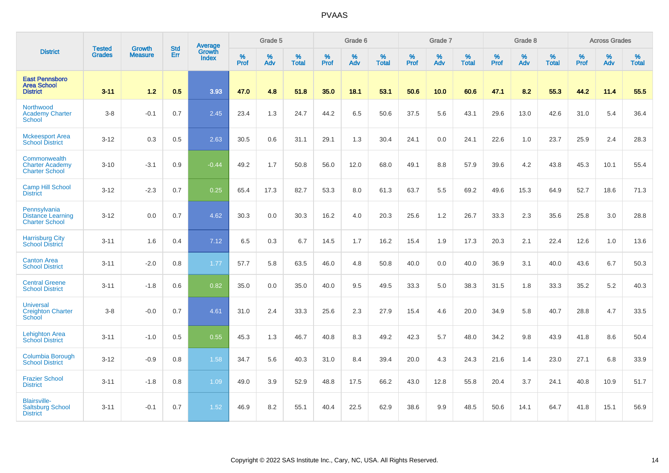|                                                                   |                                |                                 | <b>Std</b> | <b>Average</b>                |                  | Grade 5  |                   |           | Grade 6  |                   |           | Grade 7  |                   |           | Grade 8  |                   |           | <b>Across Grades</b> |                   |
|-------------------------------------------------------------------|--------------------------------|---------------------------------|------------|-------------------------------|------------------|----------|-------------------|-----------|----------|-------------------|-----------|----------|-------------------|-----------|----------|-------------------|-----------|----------------------|-------------------|
| <b>District</b>                                                   | <b>Tested</b><br><b>Grades</b> | <b>Growth</b><br><b>Measure</b> | Err        | <b>Growth</b><br><b>Index</b> | %<br><b>Prof</b> | %<br>Adv | %<br><b>Total</b> | %<br>Prof | %<br>Adv | %<br><b>Total</b> | %<br>Prof | %<br>Adv | %<br><b>Total</b> | %<br>Prof | %<br>Adv | %<br><b>Total</b> | %<br>Prof | %<br>Adv             | %<br><b>Total</b> |
| <b>East Pennsboro</b><br><b>Area School</b><br><b>District</b>    | $3 - 11$                       | 1.2                             | 0.5        | 3.93                          | 47.0             | 4.8      | 51.8              | 35.0      | 18.1     | 53.1              | 50.6      | 10.0     | 60.6              | 47.1      | 8.2      | 55.3              | 44.2      | 11.4                 | 55.5              |
| Northwood<br><b>Academy Charter</b><br><b>School</b>              | $3 - 8$                        | $-0.1$                          | 0.7        | 2.45                          | 23.4             | 1.3      | 24.7              | 44.2      | 6.5      | 50.6              | 37.5      | 5.6      | 43.1              | 29.6      | 13.0     | 42.6              | 31.0      | 5.4                  | 36.4              |
| <b>Mckeesport Area</b><br><b>School District</b>                  | $3 - 12$                       | 0.3                             | 0.5        | 2.63                          | 30.5             | 0.6      | 31.1              | 29.1      | 1.3      | 30.4              | 24.1      | 0.0      | 24.1              | 22.6      | 1.0      | 23.7              | 25.9      | 2.4                  | 28.3              |
| Commonwealth<br><b>Charter Academy</b><br><b>Charter School</b>   | $3 - 10$                       | $-3.1$                          | 0.9        | $-0.44$                       | 49.2             | 1.7      | 50.8              | 56.0      | 12.0     | 68.0              | 49.1      | 8.8      | 57.9              | 39.6      | 4.2      | 43.8              | 45.3      | 10.1                 | 55.4              |
| <b>Camp Hill School</b><br><b>District</b>                        | $3 - 12$                       | $-2.3$                          | 0.7        | 0.25                          | 65.4             | 17.3     | 82.7              | 53.3      | 8.0      | 61.3              | 63.7      | 5.5      | 69.2              | 49.6      | 15.3     | 64.9              | 52.7      | 18.6                 | 71.3              |
| Pennsylvania<br><b>Distance Learning</b><br><b>Charter School</b> | $3 - 12$                       | 0.0                             | 0.7        | 4.62                          | 30.3             | 0.0      | 30.3              | 16.2      | 4.0      | 20.3              | 25.6      | $1.2$    | 26.7              | 33.3      | 2.3      | 35.6              | 25.8      | $3.0\,$              | 28.8              |
| <b>Harrisburg City</b><br><b>School District</b>                  | $3 - 11$                       | 1.6                             | 0.4        | 7.12                          | 6.5              | 0.3      | 6.7               | 14.5      | 1.7      | 16.2              | 15.4      | 1.9      | 17.3              | 20.3      | 2.1      | 22.4              | 12.6      | 1.0                  | 13.6              |
| <b>Canton Area</b><br><b>School District</b>                      | $3 - 11$                       | $-2.0$                          | 0.8        | 1.77                          | 57.7             | 5.8      | 63.5              | 46.0      | 4.8      | 50.8              | 40.0      | 0.0      | 40.0              | 36.9      | 3.1      | 40.0              | 43.6      | 6.7                  | 50.3              |
| <b>Central Greene</b><br><b>School District</b>                   | $3 - 11$                       | $-1.8$                          | 0.6        | 0.82                          | 35.0             | 0.0      | 35.0              | 40.0      | 9.5      | 49.5              | 33.3      | 5.0      | 38.3              | 31.5      | 1.8      | 33.3              | 35.2      | $5.2\,$              | 40.3              |
| <b>Universal</b><br><b>Creighton Charter</b><br>School            | $3 - 8$                        | $-0.0$                          | 0.7        | 4.61                          | 31.0             | 2.4      | 33.3              | 25.6      | 2.3      | 27.9              | 15.4      | 4.6      | 20.0              | 34.9      | 5.8      | 40.7              | 28.8      | 4.7                  | 33.5              |
| <b>Lehighton Area</b><br><b>School District</b>                   | $3 - 11$                       | $-1.0$                          | 0.5        | 0.55                          | 45.3             | 1.3      | 46.7              | 40.8      | 8.3      | 49.2              | 42.3      | 5.7      | 48.0              | 34.2      | 9.8      | 43.9              | 41.8      | 8.6                  | 50.4              |
| Columbia Borough<br><b>School District</b>                        | $3 - 12$                       | $-0.9$                          | 0.8        | 1.58                          | 34.7             | 5.6      | 40.3              | 31.0      | 8.4      | 39.4              | 20.0      | 4.3      | 24.3              | 21.6      | 1.4      | 23.0              | 27.1      | 6.8                  | 33.9              |
| <b>Frazier School</b><br><b>District</b>                          | $3 - 11$                       | $-1.8$                          | 0.8        | 1.09                          | 49.0             | 3.9      | 52.9              | 48.8      | 17.5     | 66.2              | 43.0      | 12.8     | 55.8              | 20.4      | 3.7      | 24.1              | 40.8      | 10.9                 | 51.7              |
| <b>Blairsville-</b><br><b>Saltsburg School</b><br><b>District</b> | $3 - 11$                       | $-0.1$                          | 0.7        | 1.52                          | 46.9             | 8.2      | 55.1              | 40.4      | 22.5     | 62.9              | 38.6      | 9.9      | 48.5              | 50.6      | 14.1     | 64.7              | 41.8      | 15.1                 | 56.9              |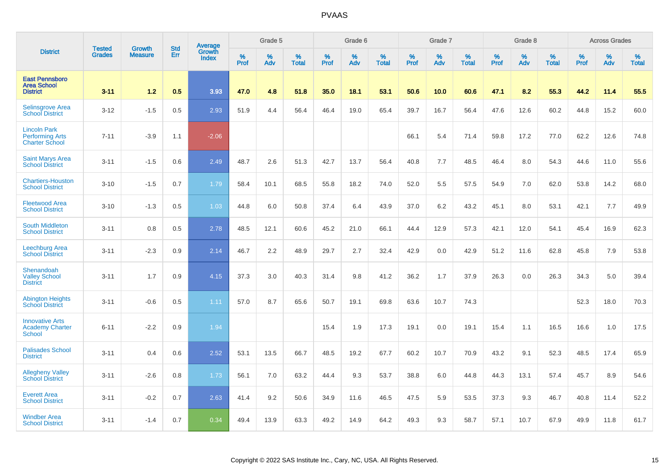|                                                                        |                                | <b>Growth</b>  | <b>Std</b> | <b>Average</b>         |              | Grade 5  |                   |           | Grade 6  |                   |           | Grade 7  |                   |           | Grade 8  |                   |           | <b>Across Grades</b> |                   |
|------------------------------------------------------------------------|--------------------------------|----------------|------------|------------------------|--------------|----------|-------------------|-----------|----------|-------------------|-----------|----------|-------------------|-----------|----------|-------------------|-----------|----------------------|-------------------|
| <b>District</b>                                                        | <b>Tested</b><br><b>Grades</b> | <b>Measure</b> | Err        | Growth<br><b>Index</b> | $\%$<br>Prof | %<br>Adv | %<br><b>Total</b> | %<br>Prof | %<br>Adv | %<br><b>Total</b> | %<br>Prof | %<br>Adv | %<br><b>Total</b> | %<br>Prof | %<br>Adv | %<br><b>Total</b> | %<br>Prof | %<br>Adv             | %<br><b>Total</b> |
| <b>East Pennsboro</b><br><b>Area School</b><br><b>District</b>         | $3 - 11$                       | 1.2            | 0.5        | 3.93                   | 47.0         | 4.8      | 51.8              | 35.0      | 18.1     | 53.1              | 50.6      | 10.0     | 60.6              | 47.1      | 8.2      | 55.3              | 44.2      | 11.4                 | 55.5              |
| <b>Selinsgrove Area</b><br><b>School District</b>                      | $3 - 12$                       | $-1.5$         | 0.5        | 2.93                   | 51.9         | 4.4      | 56.4              | 46.4      | 19.0     | 65.4              | 39.7      | 16.7     | 56.4              | 47.6      | 12.6     | 60.2              | 44.8      | 15.2                 | 60.0              |
| <b>Lincoln Park</b><br><b>Performing Arts</b><br><b>Charter School</b> | $7 - 11$                       | $-3.9$         | 1.1        | $-2.06$                |              |          |                   |           |          |                   | 66.1      | 5.4      | 71.4              | 59.8      | 17.2     | 77.0              | 62.2      | 12.6                 | 74.8              |
| <b>Saint Marys Area</b><br><b>School District</b>                      | $3 - 11$                       | $-1.5$         | 0.6        | 2.49                   | 48.7         | 2.6      | 51.3              | 42.7      | 13.7     | 56.4              | 40.8      | 7.7      | 48.5              | 46.4      | 8.0      | 54.3              | 44.6      | 11.0                 | 55.6              |
| <b>Chartiers-Houston</b><br><b>School District</b>                     | $3 - 10$                       | $-1.5$         | 0.7        | 1.79                   | 58.4         | 10.1     | 68.5              | 55.8      | 18.2     | 74.0              | 52.0      | 5.5      | 57.5              | 54.9      | 7.0      | 62.0              | 53.8      | 14.2                 | 68.0              |
| <b>Fleetwood Area</b><br><b>School District</b>                        | $3 - 10$                       | $-1.3$         | 0.5        | 1.03                   | 44.8         | 6.0      | 50.8              | 37.4      | 6.4      | 43.9              | 37.0      | 6.2      | 43.2              | 45.1      | 8.0      | 53.1              | 42.1      | 7.7                  | 49.9              |
| <b>South Middleton</b><br><b>School District</b>                       | $3 - 11$                       | 0.8            | 0.5        | 2.78                   | 48.5         | 12.1     | 60.6              | 45.2      | 21.0     | 66.1              | 44.4      | 12.9     | 57.3              | 42.1      | 12.0     | 54.1              | 45.4      | 16.9                 | 62.3              |
| Leechburg Area<br><b>School District</b>                               | $3 - 11$                       | $-2.3$         | 0.9        | 2.14                   | 46.7         | 2.2      | 48.9              | 29.7      | 2.7      | 32.4              | 42.9      | 0.0      | 42.9              | 51.2      | 11.6     | 62.8              | 45.8      | 7.9                  | 53.8              |
| Shenandoah<br><b>Valley School</b><br><b>District</b>                  | $3 - 11$                       | 1.7            | 0.9        | 4.15                   | 37.3         | 3.0      | 40.3              | 31.4      | 9.8      | 41.2              | 36.2      | 1.7      | 37.9              | 26.3      | 0.0      | 26.3              | 34.3      | 5.0                  | 39.4              |
| <b>Abington Heights</b><br><b>School District</b>                      | $3 - 11$                       | $-0.6$         | 0.5        | 1.11                   | 57.0         | 8.7      | 65.6              | 50.7      | 19.1     | 69.8              | 63.6      | 10.7     | 74.3              |           |          |                   | 52.3      | 18.0                 | 70.3              |
| <b>Innovative Arts</b><br><b>Academy Charter</b><br><b>School</b>      | $6 - 11$                       | $-2.2$         | 0.9        | 1.94                   |              |          |                   | 15.4      | 1.9      | 17.3              | 19.1      | 0.0      | 19.1              | 15.4      | 1.1      | 16.5              | 16.6      | 1.0                  | 17.5              |
| <b>Palisades School</b><br><b>District</b>                             | $3 - 11$                       | 0.4            | 0.6        | 2.52                   | 53.1         | 13.5     | 66.7              | 48.5      | 19.2     | 67.7              | 60.2      | 10.7     | 70.9              | 43.2      | 9.1      | 52.3              | 48.5      | 17.4                 | 65.9              |
| <b>Allegheny Valley</b><br><b>School District</b>                      | $3 - 11$                       | $-2.6$         | 0.8        | 1.73                   | 56.1         | 7.0      | 63.2              | 44.4      | 9.3      | 53.7              | 38.8      | 6.0      | 44.8              | 44.3      | 13.1     | 57.4              | 45.7      | 8.9                  | 54.6              |
| <b>Everett Area</b><br><b>School District</b>                          | $3 - 11$                       | $-0.2$         | 0.7        | 2.63                   | 41.4         | 9.2      | 50.6              | 34.9      | 11.6     | 46.5              | 47.5      | 5.9      | 53.5              | 37.3      | 9.3      | 46.7              | 40.8      | 11.4                 | 52.2              |
| <b>Windber Area</b><br><b>School District</b>                          | $3 - 11$                       | $-1.4$         | 0.7        | 0.34                   | 49.4         | 13.9     | 63.3              | 49.2      | 14.9     | 64.2              | 49.3      | 9.3      | 58.7              | 57.1      | 10.7     | 67.9              | 49.9      | 11.8                 | 61.7              |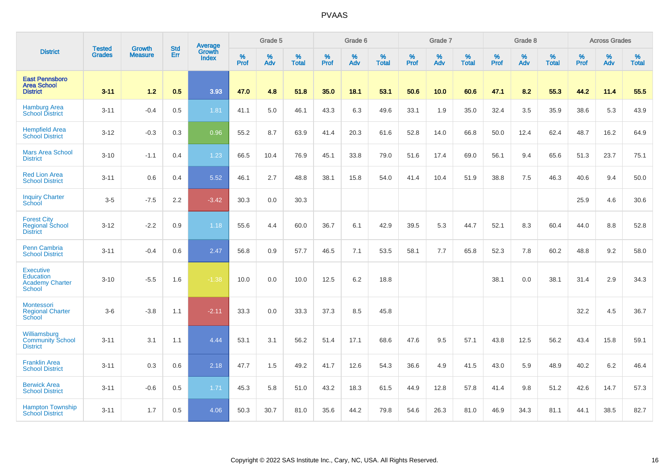|                                                                                 |                                |                                 | <b>Std</b> | Average                |           | Grade 5  |                   |           | Grade 6  |                   |           | Grade 7  |                   |           | Grade 8  |                   |           | <b>Across Grades</b> |                   |
|---------------------------------------------------------------------------------|--------------------------------|---------------------------------|------------|------------------------|-----------|----------|-------------------|-----------|----------|-------------------|-----------|----------|-------------------|-----------|----------|-------------------|-----------|----------------------|-------------------|
| <b>District</b>                                                                 | <b>Tested</b><br><b>Grades</b> | <b>Growth</b><br><b>Measure</b> | Err        | Growth<br><b>Index</b> | %<br>Prof | %<br>Adv | %<br><b>Total</b> | %<br>Prof | %<br>Adv | %<br><b>Total</b> | %<br>Prof | %<br>Adv | %<br><b>Total</b> | %<br>Prof | %<br>Adv | %<br><b>Total</b> | %<br>Prof | %<br>Adv             | %<br><b>Total</b> |
| <b>East Pennsboro</b><br><b>Area School</b><br><b>District</b>                  | $3 - 11$                       | $1.2$                           | 0.5        | 3.93                   | 47.0      | 4.8      | 51.8              | 35.0      | 18.1     | 53.1              | 50.6      | 10.0     | 60.6              | 47.1      | 8.2      | 55.3              | 44.2      | 11.4                 | 55.5              |
| <b>Hamburg Area</b><br><b>School District</b>                                   | $3 - 11$                       | $-0.4$                          | 0.5        | 1.81                   | 41.1      | 5.0      | 46.1              | 43.3      | 6.3      | 49.6              | 33.1      | 1.9      | 35.0              | 32.4      | 3.5      | 35.9              | 38.6      | 5.3                  | 43.9              |
| <b>Hempfield Area</b><br><b>School District</b>                                 | $3 - 12$                       | $-0.3$                          | 0.3        | 0.96                   | 55.2      | 8.7      | 63.9              | 41.4      | 20.3     | 61.6              | 52.8      | 14.0     | 66.8              | 50.0      | 12.4     | 62.4              | 48.7      | 16.2                 | 64.9              |
| <b>Mars Area School</b><br><b>District</b>                                      | $3 - 10$                       | $-1.1$                          | 0.4        | 1.23                   | 66.5      | 10.4     | 76.9              | 45.1      | 33.8     | 79.0              | 51.6      | 17.4     | 69.0              | 56.1      | 9.4      | 65.6              | 51.3      | 23.7                 | 75.1              |
| <b>Red Lion Area</b><br><b>School District</b>                                  | $3 - 11$                       | 0.6                             | 0.4        | 5.52                   | 46.1      | 2.7      | 48.8              | 38.1      | 15.8     | 54.0              | 41.4      | 10.4     | 51.9              | 38.8      | 7.5      | 46.3              | 40.6      | 9.4                  | 50.0              |
| <b>Inquiry Charter</b><br>School                                                | $3-5$                          | $-7.5$                          | 2.2        | $-3.42$                | 30.3      | 0.0      | 30.3              |           |          |                   |           |          |                   |           |          |                   | 25.9      | 4.6                  | 30.6              |
| <b>Forest City</b><br><b>Regional School</b><br><b>District</b>                 | $3 - 12$                       | $-2.2$                          | 0.9        | 1.18                   | 55.6      | 4.4      | 60.0              | 36.7      | 6.1      | 42.9              | 39.5      | 5.3      | 44.7              | 52.1      | 8.3      | 60.4              | 44.0      | 8.8                  | 52.8              |
| <b>Penn Cambria</b><br><b>School District</b>                                   | $3 - 11$                       | $-0.4$                          | 0.6        | 2.47                   | 56.8      | 0.9      | 57.7              | 46.5      | 7.1      | 53.5              | 58.1      | 7.7      | 65.8              | 52.3      | 7.8      | 60.2              | 48.8      | 9.2                  | 58.0              |
| <b>Executive</b><br><b>Education</b><br><b>Academy Charter</b><br><b>School</b> | $3 - 10$                       | $-5.5$                          | 1.6        | $-1.38$                | 10.0      | 0.0      | 10.0              | 12.5      | 6.2      | 18.8              |           |          |                   | 38.1      | 0.0      | 38.1              | 31.4      | 2.9                  | 34.3              |
| Montessori<br><b>Regional Charter</b><br><b>School</b>                          | $3-6$                          | $-3.8$                          | 1.1        | $-2.11$                | 33.3      | 0.0      | 33.3              | 37.3      | 8.5      | 45.8              |           |          |                   |           |          |                   | 32.2      | 4.5                  | 36.7              |
| Williamsburg<br><b>Community School</b><br><b>District</b>                      | $3 - 11$                       | 3.1                             | 1.1        | 4.44                   | 53.1      | 3.1      | 56.2              | 51.4      | 17.1     | 68.6              | 47.6      | 9.5      | 57.1              | 43.8      | 12.5     | 56.2              | 43.4      | 15.8                 | 59.1              |
| <b>Franklin Area</b><br><b>School District</b>                                  | $3 - 11$                       | 0.3                             | 0.6        | 2.18                   | 47.7      | 1.5      | 49.2              | 41.7      | 12.6     | 54.3              | 36.6      | 4.9      | 41.5              | 43.0      | 5.9      | 48.9              | 40.2      | 6.2                  | 46.4              |
| <b>Berwick Area</b><br><b>School District</b>                                   | $3 - 11$                       | $-0.6$                          | 0.5        | 1.71                   | 45.3      | 5.8      | 51.0              | 43.2      | 18.3     | 61.5              | 44.9      | 12.8     | 57.8              | 41.4      | 9.8      | 51.2              | 42.6      | 14.7                 | 57.3              |
| <b>Hampton Township</b><br><b>School District</b>                               | $3 - 11$                       | 1.7                             | 0.5        | 4.06                   | 50.3      | 30.7     | 81.0              | 35.6      | 44.2     | 79.8              | 54.6      | 26.3     | 81.0              | 46.9      | 34.3     | 81.1              | 44.1      | 38.5                 | 82.7              |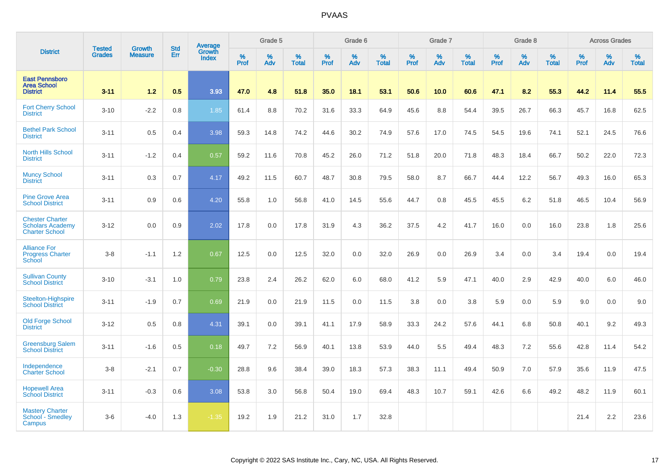|                                                                            |                                | <b>Growth</b>  | <b>Std</b> | Average                |              | Grade 5  |                   |           | Grade 6  |                   |           | Grade 7  |                   |           | Grade 8  |                   |           | <b>Across Grades</b> |                   |
|----------------------------------------------------------------------------|--------------------------------|----------------|------------|------------------------|--------------|----------|-------------------|-----------|----------|-------------------|-----------|----------|-------------------|-----------|----------|-------------------|-----------|----------------------|-------------------|
| <b>District</b>                                                            | <b>Tested</b><br><b>Grades</b> | <b>Measure</b> | Err        | Growth<br><b>Index</b> | $\%$<br>Prof | %<br>Adv | %<br><b>Total</b> | %<br>Prof | %<br>Adv | %<br><b>Total</b> | %<br>Prof | %<br>Adv | %<br><b>Total</b> | %<br>Prof | %<br>Adv | %<br><b>Total</b> | %<br>Prof | %<br>Adv             | %<br><b>Total</b> |
| <b>East Pennsboro</b><br><b>Area School</b><br><b>District</b>             | $3 - 11$                       | 1.2            | 0.5        | 3.93                   | 47.0         | 4.8      | 51.8              | 35.0      | 18.1     | 53.1              | 50.6      | 10.0     | 60.6              | 47.1      | 8.2      | 55.3              | 44.2      | 11.4                 | 55.5              |
| <b>Fort Cherry School</b><br><b>District</b>                               | $3 - 10$                       | $-2.2$         | 0.8        | 1.85                   | 61.4         | 8.8      | 70.2              | 31.6      | 33.3     | 64.9              | 45.6      | 8.8      | 54.4              | 39.5      | 26.7     | 66.3              | 45.7      | 16.8                 | 62.5              |
| <b>Bethel Park School</b><br><b>District</b>                               | $3 - 11$                       | 0.5            | 0.4        | 3.98                   | 59.3         | 14.8     | 74.2              | 44.6      | 30.2     | 74.9              | 57.6      | 17.0     | 74.5              | 54.5      | 19.6     | 74.1              | 52.1      | 24.5                 | 76.6              |
| <b>North Hills School</b><br><b>District</b>                               | $3 - 11$                       | $-1.2$         | 0.4        | 0.57                   | 59.2         | 11.6     | 70.8              | 45.2      | 26.0     | 71.2              | 51.8      | 20.0     | 71.8              | 48.3      | 18.4     | 66.7              | 50.2      | 22.0                 | 72.3              |
| <b>Muncy School</b><br><b>District</b>                                     | $3 - 11$                       | 0.3            | 0.7        | 4.17                   | 49.2         | 11.5     | 60.7              | 48.7      | 30.8     | 79.5              | 58.0      | 8.7      | 66.7              | 44.4      | 12.2     | 56.7              | 49.3      | 16.0                 | 65.3              |
| <b>Pine Grove Area</b><br><b>School District</b>                           | $3 - 11$                       | 0.9            | 0.6        | 4.20                   | 55.8         | 1.0      | 56.8              | 41.0      | 14.5     | 55.6              | 44.7      | 0.8      | 45.5              | 45.5      | $6.2\,$  | 51.8              | 46.5      | 10.4                 | 56.9              |
| <b>Chester Charter</b><br><b>Scholars Academy</b><br><b>Charter School</b> | $3 - 12$                       | 0.0            | 0.9        | 2.02                   | 17.8         | 0.0      | 17.8              | 31.9      | 4.3      | 36.2              | 37.5      | 4.2      | 41.7              | 16.0      | 0.0      | 16.0              | 23.8      | 1.8                  | 25.6              |
| <b>Alliance For</b><br><b>Progress Charter</b><br><b>School</b>            | $3-8$                          | $-1.1$         | 1.2        | 0.67                   | 12.5         | 0.0      | 12.5              | 32.0      | 0.0      | 32.0              | 26.9      | 0.0      | 26.9              | 3.4       | 0.0      | 3.4               | 19.4      | 0.0                  | 19.4              |
| <b>Sullivan County</b><br><b>School District</b>                           | $3 - 10$                       | $-3.1$         | 1.0        | 0.79                   | 23.8         | 2.4      | 26.2              | 62.0      | 6.0      | 68.0              | 41.2      | 5.9      | 47.1              | 40.0      | 2.9      | 42.9              | 40.0      | 6.0                  | 46.0              |
| Steelton-Highspire<br><b>School District</b>                               | $3 - 11$                       | $-1.9$         | 0.7        | 0.69                   | 21.9         | 0.0      | 21.9              | 11.5      | 0.0      | 11.5              | 3.8       | 0.0      | 3.8               | 5.9       | 0.0      | 5.9               | 9.0       | 0.0                  | 9.0               |
| <b>Old Forge School</b><br><b>District</b>                                 | $3 - 12$                       | 0.5            | 0.8        | 4.31                   | 39.1         | 0.0      | 39.1              | 41.1      | 17.9     | 58.9              | 33.3      | 24.2     | 57.6              | 44.1      | 6.8      | 50.8              | 40.1      | 9.2                  | 49.3              |
| <b>Greensburg Salem</b><br><b>School District</b>                          | $3 - 11$                       | $-1.6$         | 0.5        | 0.18                   | 49.7         | 7.2      | 56.9              | 40.1      | 13.8     | 53.9              | 44.0      | 5.5      | 49.4              | 48.3      | 7.2      | 55.6              | 42.8      | 11.4                 | 54.2              |
| Independence<br><b>Charter School</b>                                      | $3-8$                          | $-2.1$         | 0.7        | $-0.30$                | 28.8         | 9.6      | 38.4              | 39.0      | 18.3     | 57.3              | 38.3      | 11.1     | 49.4              | 50.9      | 7.0      | 57.9              | 35.6      | 11.9                 | 47.5              |
| <b>Hopewell Area</b><br><b>School District</b>                             | $3 - 11$                       | $-0.3$         | 0.6        | 3.08                   | 53.8         | 3.0      | 56.8              | 50.4      | 19.0     | 69.4              | 48.3      | 10.7     | 59.1              | 42.6      | 6.6      | 49.2              | 48.2      | 11.9                 | 60.1              |
| <b>Mastery Charter</b><br>School - Smedley<br>Campus                       | $3-6$                          | $-4.0$         | 1.3        | $-1.35$                | 19.2         | 1.9      | 21.2              | 31.0      | 1.7      | 32.8              |           |          |                   |           |          |                   | 21.4      | 2.2                  | 23.6              |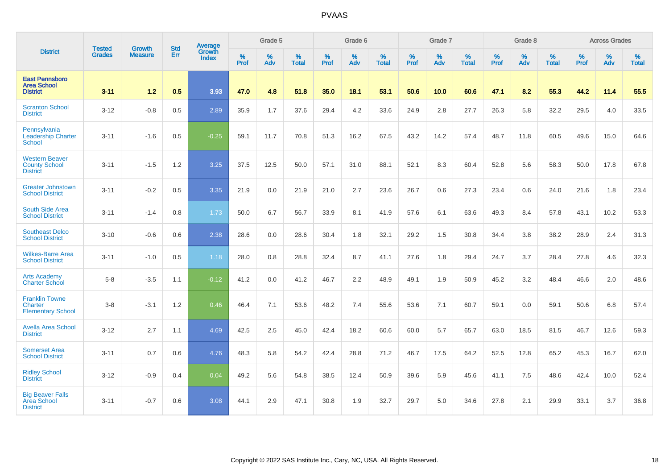|                                                                  | <b>Tested</b> | <b>Growth</b>  |            | Average                |                     | Grade 5  |                   |                     | Grade 6  |                   |              | Grade 7  |                   |                     | Grade 8     |                   |                     | <b>Across Grades</b> |                   |
|------------------------------------------------------------------|---------------|----------------|------------|------------------------|---------------------|----------|-------------------|---------------------|----------|-------------------|--------------|----------|-------------------|---------------------|-------------|-------------------|---------------------|----------------------|-------------------|
| <b>District</b>                                                  | <b>Grades</b> | <b>Measure</b> | Std<br>Err | Growth<br><b>Index</b> | $\%$<br><b>Prof</b> | %<br>Adv | %<br><b>Total</b> | $\%$<br><b>Prof</b> | %<br>Adv | %<br><b>Total</b> | $\%$<br>Prof | %<br>Adv | %<br><b>Total</b> | $\%$<br><b>Prof</b> | $\%$<br>Adv | %<br><b>Total</b> | $\%$<br><b>Prof</b> | %<br>Adv             | %<br><b>Total</b> |
| <b>East Pennsboro</b><br><b>Area School</b><br><b>District</b>   | $3 - 11$      | $1.2$          | 0.5        | 3.93                   | 47.0                | 4.8      | 51.8              | 35.0                | 18.1     | 53.1              | 50.6         | 10.0     | 60.6              | 47.1                | 8.2         | 55.3              | 44.2                | 11.4                 | 55.5              |
| <b>Scranton School</b><br><b>District</b>                        | $3 - 12$      | $-0.8$         | 0.5        | 2.89                   | 35.9                | 1.7      | 37.6              | 29.4                | 4.2      | 33.6              | 24.9         | 2.8      | 27.7              | 26.3                | 5.8         | 32.2              | 29.5                | 4.0                  | 33.5              |
| Pennsylvania<br><b>Leadership Charter</b><br><b>School</b>       | $3 - 11$      | $-1.6$         | 0.5        | $-0.25$                | 59.1                | 11.7     | 70.8              | 51.3                | 16.2     | 67.5              | 43.2         | 14.2     | 57.4              | 48.7                | 11.8        | 60.5              | 49.6                | 15.0                 | 64.6              |
| <b>Western Beaver</b><br><b>County School</b><br><b>District</b> | $3 - 11$      | $-1.5$         | 1.2        | 3.25                   | 37.5                | 12.5     | 50.0              | 57.1                | 31.0     | 88.1              | 52.1         | 8.3      | 60.4              | 52.8                | 5.6         | 58.3              | 50.0                | 17.8                 | 67.8              |
| <b>Greater Johnstown</b><br><b>School District</b>               | $3 - 11$      | $-0.2$         | 0.5        | 3.35                   | 21.9                | 0.0      | 21.9              | 21.0                | 2.7      | 23.6              | 26.7         | 0.6      | 27.3              | 23.4                | 0.6         | 24.0              | 21.6                | 1.8                  | 23.4              |
| South Side Area<br><b>School District</b>                        | $3 - 11$      | $-1.4$         | 0.8        | 1.73                   | 50.0                | 6.7      | 56.7              | 33.9                | 8.1      | 41.9              | 57.6         | 6.1      | 63.6              | 49.3                | 8.4         | 57.8              | 43.1                | 10.2                 | 53.3              |
| <b>Southeast Delco</b><br><b>School District</b>                 | $3 - 10$      | $-0.6$         | 0.6        | 2.38                   | 28.6                | 0.0      | 28.6              | 30.4                | 1.8      | 32.1              | 29.2         | 1.5      | 30.8              | 34.4                | 3.8         | 38.2              | 28.9                | 2.4                  | 31.3              |
| <b>Wilkes-Barre Area</b><br><b>School District</b>               | $3 - 11$      | $-1.0$         | 0.5        | 1.18                   | 28.0                | 0.8      | 28.8              | 32.4                | 8.7      | 41.1              | 27.6         | 1.8      | 29.4              | 24.7                | 3.7         | 28.4              | 27.8                | 4.6                  | 32.3              |
| <b>Arts Academy</b><br><b>Charter School</b>                     | $5-8$         | $-3.5$         | 1.1        | $-0.12$                | 41.2                | 0.0      | 41.2              | 46.7                | $2.2\,$  | 48.9              | 49.1         | 1.9      | 50.9              | 45.2                | 3.2         | 48.4              | 46.6                | 2.0                  | 48.6              |
| <b>Franklin Towne</b><br>Charter<br><b>Elementary School</b>     | $3 - 8$       | $-3.1$         | 1.2        | 0.46                   | 46.4                | 7.1      | 53.6              | 48.2                | 7.4      | 55.6              | 53.6         | 7.1      | 60.7              | 59.1                | 0.0         | 59.1              | 50.6                | 6.8                  | 57.4              |
| <b>Avella Area School</b><br><b>District</b>                     | $3 - 12$      | 2.7            | 1.1        | 4.69                   | 42.5                | 2.5      | 45.0              | 42.4                | 18.2     | 60.6              | 60.0         | 5.7      | 65.7              | 63.0                | 18.5        | 81.5              | 46.7                | 12.6                 | 59.3              |
| <b>Somerset Area</b><br><b>School District</b>                   | $3 - 11$      | 0.7            | 0.6        | 4.76                   | 48.3                | 5.8      | 54.2              | 42.4                | 28.8     | 71.2              | 46.7         | 17.5     | 64.2              | 52.5                | 12.8        | 65.2              | 45.3                | 16.7                 | 62.0              |
| <b>Ridley School</b><br><b>District</b>                          | $3 - 12$      | $-0.9$         | 0.4        | 0.04                   | 49.2                | 5.6      | 54.8              | 38.5                | 12.4     | 50.9              | 39.6         | 5.9      | 45.6              | 41.1                | 7.5         | 48.6              | 42.4                | 10.0                 | 52.4              |
| <b>Big Beaver Falls</b><br><b>Area School</b><br><b>District</b> | $3 - 11$      | $-0.7$         | 0.6        | 3.08                   | 44.1                | 2.9      | 47.1              | 30.8                | 1.9      | 32.7              | 29.7         | 5.0      | 34.6              | 27.8                | 2.1         | 29.9              | 33.1                | 3.7                  | 36.8              |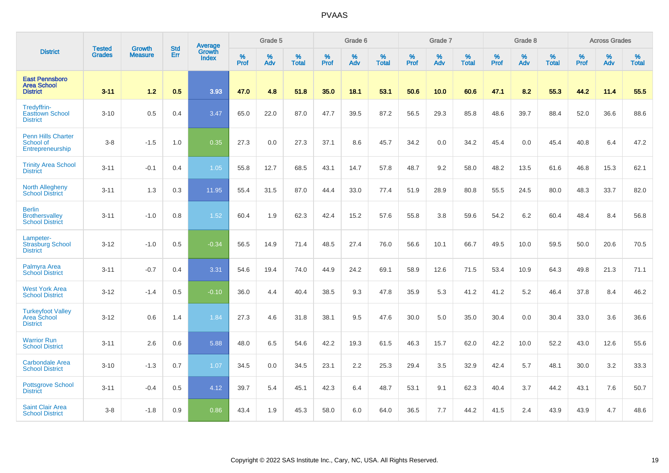|                                                                  |                                |                                 | <b>Std</b> | <b>Average</b>         |           | Grade 5  |                   |           | Grade 6  |                   |           | Grade 7  |                   |           | Grade 8  |                   |           | <b>Across Grades</b> |                   |
|------------------------------------------------------------------|--------------------------------|---------------------------------|------------|------------------------|-----------|----------|-------------------|-----------|----------|-------------------|-----------|----------|-------------------|-----------|----------|-------------------|-----------|----------------------|-------------------|
| <b>District</b>                                                  | <b>Tested</b><br><b>Grades</b> | <b>Growth</b><br><b>Measure</b> | Err        | Growth<br><b>Index</b> | %<br>Prof | %<br>Adv | %<br><b>Total</b> | %<br>Prof | %<br>Adv | %<br><b>Total</b> | %<br>Prof | %<br>Adv | %<br><b>Total</b> | %<br>Prof | %<br>Adv | %<br><b>Total</b> | %<br>Prof | %<br>Adv             | %<br><b>Total</b> |
| <b>East Pennsboro</b><br><b>Area School</b><br><b>District</b>   | $3 - 11$                       | 1.2                             | 0.5        | 3.93                   | 47.0      | 4.8      | 51.8              | 35.0      | 18.1     | 53.1              | 50.6      | 10.0     | 60.6              | 47.1      | 8.2      | 55.3              | 44.2      | 11.4                 | 55.5              |
| Tredyffrin-<br><b>Easttown School</b><br><b>District</b>         | $3 - 10$                       | 0.5                             | 0.4        | 3.47                   | 65.0      | 22.0     | 87.0              | 47.7      | 39.5     | 87.2              | 56.5      | 29.3     | 85.8              | 48.6      | 39.7     | 88.4              | 52.0      | 36.6                 | 88.6              |
| <b>Penn Hills Charter</b><br>School of<br>Entrepreneurship       | $3 - 8$                        | $-1.5$                          | 1.0        | 0.35                   | 27.3      | 0.0      | 27.3              | 37.1      | 8.6      | 45.7              | 34.2      | 0.0      | 34.2              | 45.4      | 0.0      | 45.4              | 40.8      | 6.4                  | 47.2              |
| <b>Trinity Area School</b><br><b>District</b>                    | $3 - 11$                       | $-0.1$                          | 0.4        | 1.05                   | 55.8      | 12.7     | 68.5              | 43.1      | 14.7     | 57.8              | 48.7      | 9.2      | 58.0              | 48.2      | 13.5     | 61.6              | 46.8      | 15.3                 | 62.1              |
| <b>North Allegheny</b><br><b>School District</b>                 | $3 - 11$                       | 1.3                             | 0.3        | 11.95                  | 55.4      | 31.5     | 87.0              | 44.4      | 33.0     | 77.4              | 51.9      | 28.9     | 80.8              | 55.5      | 24.5     | 80.0              | 48.3      | 33.7                 | 82.0              |
| <b>Berlin</b><br><b>Brothersvalley</b><br><b>School District</b> | $3 - 11$                       | $-1.0$                          | 0.8        | 1.52                   | 60.4      | 1.9      | 62.3              | 42.4      | 15.2     | 57.6              | 55.8      | 3.8      | 59.6              | 54.2      | $6.2\,$  | 60.4              | 48.4      | 8.4                  | 56.8              |
| Lampeter-<br><b>Strasburg School</b><br><b>District</b>          | $3 - 12$                       | $-1.0$                          | 0.5        | $-0.34$                | 56.5      | 14.9     | 71.4              | 48.5      | 27.4     | 76.0              | 56.6      | 10.1     | 66.7              | 49.5      | 10.0     | 59.5              | 50.0      | 20.6                 | 70.5              |
| Palmyra Area<br><b>School District</b>                           | $3 - 11$                       | $-0.7$                          | 0.4        | 3.31                   | 54.6      | 19.4     | 74.0              | 44.9      | 24.2     | 69.1              | 58.9      | 12.6     | 71.5              | 53.4      | 10.9     | 64.3              | 49.8      | 21.3                 | 71.1              |
| <b>West York Area</b><br><b>School District</b>                  | $3 - 12$                       | $-1.4$                          | 0.5        | $-0.10$                | 36.0      | 4.4      | 40.4              | 38.5      | 9.3      | 47.8              | 35.9      | 5.3      | 41.2              | 41.2      | 5.2      | 46.4              | 37.8      | 8.4                  | 46.2              |
| <b>Turkeyfoot Valley</b><br>Area School<br><b>District</b>       | $3 - 12$                       | 0.6                             | 1.4        | 1.84                   | 27.3      | 4.6      | 31.8              | 38.1      | 9.5      | 47.6              | 30.0      | 5.0      | 35.0              | 30.4      | 0.0      | 30.4              | 33.0      | 3.6                  | 36.6              |
| <b>Warrior Run</b><br><b>School District</b>                     | $3 - 11$                       | 2.6                             | 0.6        | 5.88                   | 48.0      | 6.5      | 54.6              | 42.2      | 19.3     | 61.5              | 46.3      | 15.7     | 62.0              | 42.2      | 10.0     | 52.2              | 43.0      | 12.6                 | 55.6              |
| <b>Carbondale Area</b><br><b>School District</b>                 | $3 - 10$                       | $-1.3$                          | 0.7        | 1.07                   | 34.5      | 0.0      | 34.5              | 23.1      | $2.2\,$  | 25.3              | 29.4      | 3.5      | 32.9              | 42.4      | 5.7      | 48.1              | 30.0      | 3.2                  | 33.3              |
| <b>Pottsgrove School</b><br><b>District</b>                      | $3 - 11$                       | $-0.4$                          | 0.5        | 4.12                   | 39.7      | 5.4      | 45.1              | 42.3      | 6.4      | 48.7              | 53.1      | 9.1      | 62.3              | 40.4      | 3.7      | 44.2              | 43.1      | 7.6                  | 50.7              |
| <b>Saint Clair Area</b><br><b>School District</b>                | $3 - 8$                        | $-1.8$                          | 0.9        | 0.86                   | 43.4      | 1.9      | 45.3              | 58.0      | 6.0      | 64.0              | 36.5      | 7.7      | 44.2              | 41.5      | 2.4      | 43.9              | 43.9      | 4.7                  | 48.6              |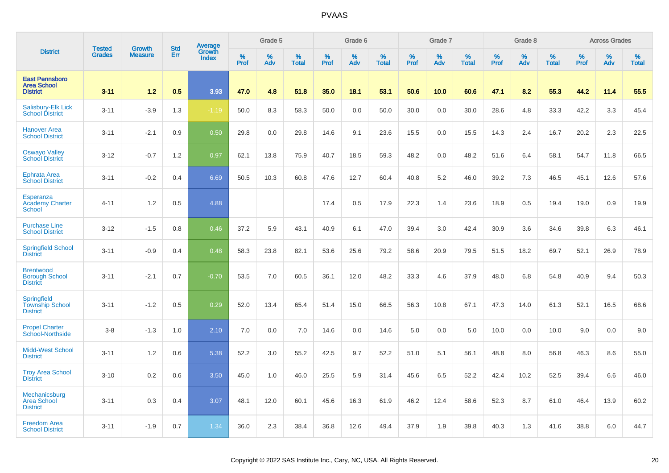|                                                                | <b>Tested</b> | <b>Growth</b>  |                   | Average                |                     | Grade 5  |                   |                  | Grade 6  |                   |                  | Grade 7  |                   |           | Grade 8  |                   |           | <b>Across Grades</b> |                   |
|----------------------------------------------------------------|---------------|----------------|-------------------|------------------------|---------------------|----------|-------------------|------------------|----------|-------------------|------------------|----------|-------------------|-----------|----------|-------------------|-----------|----------------------|-------------------|
| <b>District</b>                                                | <b>Grades</b> | <b>Measure</b> | <b>Std</b><br>Err | Growth<br><b>Index</b> | $\%$<br><b>Prof</b> | %<br>Adv | %<br><b>Total</b> | %<br><b>Prof</b> | %<br>Adv | %<br><b>Total</b> | %<br><b>Prof</b> | %<br>Adv | %<br><b>Total</b> | %<br>Prof | %<br>Adv | %<br><b>Total</b> | %<br>Prof | %<br>Adv             | %<br><b>Total</b> |
| <b>East Pennsboro</b><br><b>Area School</b><br><b>District</b> | $3 - 11$      | 1.2            | 0.5               | 3.93                   | 47.0                | 4.8      | 51.8              | 35.0             | 18.1     | 53.1              | 50.6             | 10.0     | 60.6              | 47.1      | 8.2      | 55.3              | 44.2      | 11.4                 | 55.5              |
| Salisbury-Elk Lick<br><b>School District</b>                   | $3 - 11$      | $-3.9$         | 1.3               | $-1.19$                | 50.0                | 8.3      | 58.3              | 50.0             | 0.0      | 50.0              | 30.0             | 0.0      | 30.0              | 28.6      | 4.8      | 33.3              | 42.2      | 3.3                  | 45.4              |
| <b>Hanover Area</b><br><b>School District</b>                  | $3 - 11$      | $-2.1$         | 0.9               | 0.50                   | 29.8                | 0.0      | 29.8              | 14.6             | 9.1      | 23.6              | 15.5             | 0.0      | 15.5              | 14.3      | 2.4      | 16.7              | 20.2      | 2.3                  | 22.5              |
| <b>Oswayo Valley</b><br><b>School District</b>                 | $3 - 12$      | $-0.7$         | 1.2               | 0.97                   | 62.1                | 13.8     | 75.9              | 40.7             | 18.5     | 59.3              | 48.2             | 0.0      | 48.2              | 51.6      | 6.4      | 58.1              | 54.7      | 11.8                 | 66.5              |
| <b>Ephrata Area</b><br><b>School District</b>                  | $3 - 11$      | $-0.2$         | 0.4               | 6.69                   | 50.5                | 10.3     | 60.8              | 47.6             | 12.7     | 60.4              | 40.8             | 5.2      | 46.0              | 39.2      | 7.3      | 46.5              | 45.1      | 12.6                 | 57.6              |
| Esperanza<br><b>Academy Charter</b><br>School                  | $4 - 11$      | 1.2            | 0.5               | 4.88                   |                     |          |                   | 17.4             | 0.5      | 17.9              | 22.3             | 1.4      | 23.6              | 18.9      | 0.5      | 19.4              | 19.0      | 0.9                  | 19.9              |
| <b>Purchase Line</b><br><b>School District</b>                 | $3 - 12$      | $-1.5$         | 0.8               | 0.46                   | 37.2                | 5.9      | 43.1              | 40.9             | 6.1      | 47.0              | 39.4             | 3.0      | 42.4              | 30.9      | 3.6      | 34.6              | 39.8      | 6.3                  | 46.1              |
| <b>Springfield School</b><br><b>District</b>                   | $3 - 11$      | $-0.9$         | 0.4               | 0.48                   | 58.3                | 23.8     | 82.1              | 53.6             | 25.6     | 79.2              | 58.6             | 20.9     | 79.5              | 51.5      | 18.2     | 69.7              | 52.1      | 26.9                 | 78.9              |
| <b>Brentwood</b><br><b>Borough School</b><br><b>District</b>   | $3 - 11$      | $-2.1$         | 0.7               | $-0.70$                | 53.5                | 7.0      | 60.5              | 36.1             | 12.0     | 48.2              | 33.3             | 4.6      | 37.9              | 48.0      | 6.8      | 54.8              | 40.9      | 9.4                  | 50.3              |
| Springfield<br><b>Township School</b><br><b>District</b>       | $3 - 11$      | $-1.2$         | 0.5               | 0.29                   | 52.0                | 13.4     | 65.4              | 51.4             | 15.0     | 66.5              | 56.3             | 10.8     | 67.1              | 47.3      | 14.0     | 61.3              | 52.1      | 16.5                 | 68.6              |
| <b>Propel Charter</b><br><b>School-Northside</b>               | $3 - 8$       | $-1.3$         | 1.0               | 2.10                   | 7.0                 | 0.0      | 7.0               | 14.6             | 0.0      | 14.6              | 5.0              | 0.0      | 5.0               | 10.0      | 0.0      | 10.0              | 9.0       | 0.0                  | 9.0               |
| <b>Midd-West School</b><br><b>District</b>                     | $3 - 11$      | 1.2            | 0.6               | 5.38                   | 52.2                | 3.0      | 55.2              | 42.5             | 9.7      | 52.2              | 51.0             | 5.1      | 56.1              | 48.8      | 8.0      | 56.8              | 46.3      | 8.6                  | 55.0              |
| <b>Troy Area School</b><br><b>District</b>                     | $3 - 10$      | 0.2            | 0.6               | 3.50                   | 45.0                | 1.0      | 46.0              | 25.5             | 5.9      | 31.4              | 45.6             | 6.5      | 52.2              | 42.4      | 10.2     | 52.5              | 39.4      | 6.6                  | 46.0              |
| Mechanicsburg<br><b>Area School</b><br><b>District</b>         | $3 - 11$      | 0.3            | 0.4               | 3.07                   | 48.1                | 12.0     | 60.1              | 45.6             | 16.3     | 61.9              | 46.2             | 12.4     | 58.6              | 52.3      | 8.7      | 61.0              | 46.4      | 13.9                 | 60.2              |
| <b>Freedom Area</b><br><b>School District</b>                  | $3 - 11$      | $-1.9$         | 0.7               | 1.34                   | 36.0                | 2.3      | 38.4              | 36.8             | 12.6     | 49.4              | 37.9             | 1.9      | 39.8              | 40.3      | 1.3      | 41.6              | 38.8      | 6.0                  | 44.7              |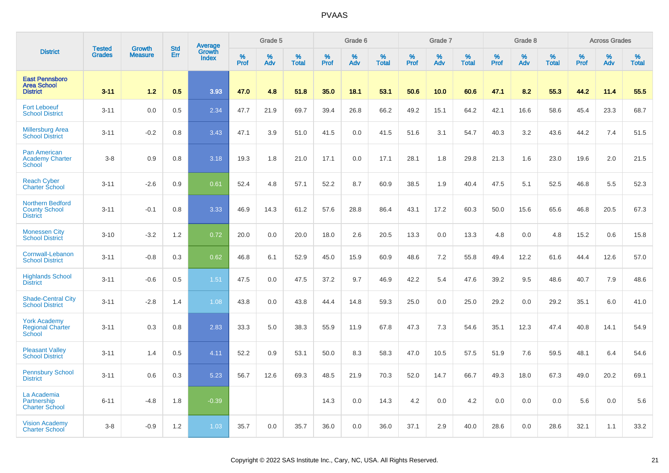|                                                                    | <b>Tested</b> | <b>Growth</b>  | <b>Std</b> | <b>Average</b><br>Growth |                     | Grade 5  |                   |           | Grade 6  |                   |           | Grade 7  |                   |                  | Grade 8  |                   |           | <b>Across Grades</b> |                   |
|--------------------------------------------------------------------|---------------|----------------|------------|--------------------------|---------------------|----------|-------------------|-----------|----------|-------------------|-----------|----------|-------------------|------------------|----------|-------------------|-----------|----------------------|-------------------|
| <b>District</b>                                                    | <b>Grades</b> | <b>Measure</b> | Err        | <b>Index</b>             | $\%$<br><b>Prof</b> | %<br>Adv | %<br><b>Total</b> | %<br>Prof | %<br>Adv | %<br><b>Total</b> | %<br>Prof | %<br>Adv | %<br><b>Total</b> | %<br><b>Prof</b> | %<br>Adv | %<br><b>Total</b> | %<br>Prof | %<br>Adv             | %<br><b>Total</b> |
| <b>East Pennsboro</b><br><b>Area School</b><br><b>District</b>     | $3 - 11$      | 1.2            | 0.5        | 3.93                     | 47.0                | 4.8      | 51.8              | 35.0      | 18.1     | 53.1              | 50.6      | 10.0     | 60.6              | 47.1             | 8.2      | 55.3              | 44.2      | 11.4                 | 55.5              |
| <b>Fort Leboeuf</b><br><b>School District</b>                      | $3 - 11$      | 0.0            | 0.5        | 2.34                     | 47.7                | 21.9     | 69.7              | 39.4      | 26.8     | 66.2              | 49.2      | 15.1     | 64.2              | 42.1             | 16.6     | 58.6              | 45.4      | 23.3                 | 68.7              |
| <b>Millersburg Area</b><br><b>School District</b>                  | $3 - 11$      | $-0.2$         | 0.8        | 3.43                     | 47.1                | 3.9      | 51.0              | 41.5      | 0.0      | 41.5              | 51.6      | 3.1      | 54.7              | 40.3             | 3.2      | 43.6              | 44.2      | 7.4                  | 51.5              |
| <b>Pan American</b><br><b>Academy Charter</b><br>School            | $3-8$         | 0.9            | 0.8        | 3.18                     | 19.3                | 1.8      | 21.0              | 17.1      | 0.0      | 17.1              | 28.1      | 1.8      | 29.8              | 21.3             | 1.6      | 23.0              | 19.6      | 2.0                  | 21.5              |
| <b>Reach Cyber</b><br><b>Charter School</b>                        | $3 - 11$      | $-2.6$         | 0.9        | 0.61                     | 52.4                | 4.8      | 57.1              | 52.2      | 8.7      | 60.9              | 38.5      | 1.9      | 40.4              | 47.5             | 5.1      | 52.5              | 46.8      | 5.5                  | 52.3              |
| <b>Northern Bedford</b><br><b>County School</b><br><b>District</b> | $3 - 11$      | $-0.1$         | 0.8        | 3.33                     | 46.9                | 14.3     | 61.2              | 57.6      | 28.8     | 86.4              | 43.1      | 17.2     | 60.3              | 50.0             | 15.6     | 65.6              | 46.8      | 20.5                 | 67.3              |
| <b>Monessen City</b><br><b>School District</b>                     | $3 - 10$      | $-3.2$         | 1.2        | 0.72                     | 20.0                | 0.0      | 20.0              | 18.0      | 2.6      | 20.5              | 13.3      | 0.0      | 13.3              | 4.8              | 0.0      | 4.8               | 15.2      | 0.6                  | 15.8              |
| Cornwall-Lebanon<br><b>School District</b>                         | $3 - 11$      | $-0.8$         | 0.3        | 0.62                     | 46.8                | 6.1      | 52.9              | 45.0      | 15.9     | 60.9              | 48.6      | 7.2      | 55.8              | 49.4             | 12.2     | 61.6              | 44.4      | 12.6                 | 57.0              |
| <b>Highlands School</b><br><b>District</b>                         | $3 - 11$      | $-0.6$         | 0.5        | 1.51                     | 47.5                | 0.0      | 47.5              | 37.2      | 9.7      | 46.9              | 42.2      | 5.4      | 47.6              | 39.2             | 9.5      | 48.6              | 40.7      | 7.9                  | 48.6              |
| <b>Shade-Central City</b><br><b>School District</b>                | $3 - 11$      | $-2.8$         | 1.4        | 1.08                     | 43.8                | 0.0      | 43.8              | 44.4      | 14.8     | 59.3              | 25.0      | 0.0      | 25.0              | 29.2             | 0.0      | 29.2              | 35.1      | 6.0                  | 41.0              |
| <b>York Academy</b><br><b>Regional Charter</b><br><b>School</b>    | $3 - 11$      | 0.3            | 0.8        | 2.83                     | 33.3                | 5.0      | 38.3              | 55.9      | 11.9     | 67.8              | 47.3      | 7.3      | 54.6              | 35.1             | 12.3     | 47.4              | 40.8      | 14.1                 | 54.9              |
| <b>Pleasant Valley</b><br><b>School District</b>                   | $3 - 11$      | 1.4            | 0.5        | 4.11                     | 52.2                | 0.9      | 53.1              | 50.0      | 8.3      | 58.3              | 47.0      | 10.5     | 57.5              | 51.9             | 7.6      | 59.5              | 48.1      | 6.4                  | 54.6              |
| <b>Pennsbury School</b><br><b>District</b>                         | $3 - 11$      | 0.6            | 0.3        | 5.23                     | 56.7                | 12.6     | 69.3              | 48.5      | 21.9     | 70.3              | 52.0      | 14.7     | 66.7              | 49.3             | 18.0     | 67.3              | 49.0      | 20.2                 | 69.1              |
| La Academia<br>Partnership<br><b>Charter School</b>                | $6 - 11$      | $-4.8$         | 1.8        | $-0.39$                  |                     |          |                   | 14.3      | 0.0      | 14.3              | 4.2       | 0.0      | 4.2               | 0.0              | 0.0      | 0.0               | 5.6       | 0.0                  | 5.6               |
| <b>Vision Academy</b><br><b>Charter School</b>                     | $3 - 8$       | $-0.9$         | 1.2        | 1.03                     | 35.7                | 0.0      | 35.7              | 36.0      | 0.0      | 36.0              | 37.1      | 2.9      | 40.0              | 28.6             | 0.0      | 28.6              | 32.1      | 1.1                  | 33.2              |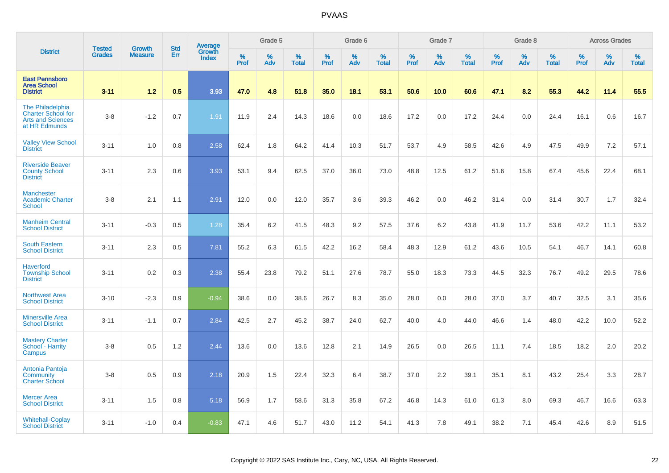|                                                                                            | <b>Tested</b> | <b>Growth</b>  | <b>Std</b> | <b>Average</b><br>Growth |              | Grade 5  |                   |           | Grade 6  |                   |              | Grade 7  |                   |           | Grade 8  |                   |              | <b>Across Grades</b> |                   |
|--------------------------------------------------------------------------------------------|---------------|----------------|------------|--------------------------|--------------|----------|-------------------|-----------|----------|-------------------|--------------|----------|-------------------|-----------|----------|-------------------|--------------|----------------------|-------------------|
| <b>District</b>                                                                            | <b>Grades</b> | <b>Measure</b> | Err        | <b>Index</b>             | $\%$<br>Prof | %<br>Adv | %<br><b>Total</b> | %<br>Prof | %<br>Adv | %<br><b>Total</b> | $\%$<br>Prof | %<br>Adv | %<br><b>Total</b> | %<br>Prof | %<br>Adv | %<br><b>Total</b> | $\%$<br>Prof | %<br>Adv             | %<br><b>Total</b> |
| <b>East Pennsboro</b><br><b>Area School</b><br><b>District</b>                             | $3 - 11$      | 1.2            | 0.5        | 3.93                     | 47.0         | 4.8      | 51.8              | 35.0      | 18.1     | 53.1              | 50.6         | 10.0     | 60.6              | 47.1      | 8.2      | 55.3              | 44.2         | 11.4                 | 55.5              |
| <b>The Philadelphia</b><br><b>Charter School for</b><br>Arts and Sciences<br>at HR Edmunds | $3 - 8$       | $-1.2$         | 0.7        | 1.91                     | 11.9         | 2.4      | 14.3              | 18.6      | 0.0      | 18.6              | 17.2         | 0.0      | 17.2              | 24.4      | 0.0      | 24.4              | 16.1         | 0.6                  | 16.7              |
| <b>Valley View School</b><br><b>District</b>                                               | $3 - 11$      | 1.0            | 0.8        | 2.58                     | 62.4         | 1.8      | 64.2              | 41.4      | 10.3     | 51.7              | 53.7         | 4.9      | 58.5              | 42.6      | 4.9      | 47.5              | 49.9         | 7.2                  | 57.1              |
| <b>Riverside Beaver</b><br><b>County School</b><br><b>District</b>                         | $3 - 11$      | 2.3            | 0.6        | 3.93                     | 53.1         | 9.4      | 62.5              | 37.0      | 36.0     | 73.0              | 48.8         | 12.5     | 61.2              | 51.6      | 15.8     | 67.4              | 45.6         | 22.4                 | 68.1              |
| <b>Manchester</b><br><b>Academic Charter</b><br><b>School</b>                              | $3 - 8$       | 2.1            | 1.1        | 2.91                     | 12.0         | 0.0      | 12.0              | 35.7      | 3.6      | 39.3              | 46.2         | 0.0      | 46.2              | 31.4      | 0.0      | 31.4              | 30.7         | 1.7                  | 32.4              |
| <b>Manheim Central</b><br><b>School District</b>                                           | $3 - 11$      | $-0.3$         | 0.5        | 1.28                     | 35.4         | 6.2      | 41.5              | 48.3      | 9.2      | 57.5              | 37.6         | 6.2      | 43.8              | 41.9      | 11.7     | 53.6              | 42.2         | 11.1                 | 53.2              |
| <b>South Eastern</b><br><b>School District</b>                                             | $3 - 11$      | 2.3            | 0.5        | 7.81                     | 55.2         | 6.3      | 61.5              | 42.2      | 16.2     | 58.4              | 48.3         | 12.9     | 61.2              | 43.6      | 10.5     | 54.1              | 46.7         | 14.1                 | 60.8              |
| <b>Haverford</b><br><b>Township School</b><br><b>District</b>                              | $3 - 11$      | 0.2            | 0.3        | 2.38                     | 55.4         | 23.8     | 79.2              | 51.1      | 27.6     | 78.7              | 55.0         | 18.3     | 73.3              | 44.5      | 32.3     | 76.7              | 49.2         | 29.5                 | 78.6              |
| <b>Northwest Area</b><br><b>School District</b>                                            | $3 - 10$      | $-2.3$         | 0.9        | $-0.94$                  | 38.6         | 0.0      | 38.6              | 26.7      | 8.3      | 35.0              | 28.0         | 0.0      | 28.0              | 37.0      | 3.7      | 40.7              | 32.5         | 3.1                  | 35.6              |
| <b>Minersville Area</b><br><b>School District</b>                                          | $3 - 11$      | $-1.1$         | 0.7        | 2.84                     | 42.5         | 2.7      | 45.2              | 38.7      | 24.0     | 62.7              | 40.0         | 4.0      | 44.0              | 46.6      | 1.4      | 48.0              | 42.2         | 10.0                 | 52.2              |
| <b>Mastery Charter</b><br>School - Harrity<br>Campus                                       | $3 - 8$       | 0.5            | 1.2        | 2.44                     | 13.6         | 0.0      | 13.6              | 12.8      | 2.1      | 14.9              | 26.5         | 0.0      | 26.5              | 11.1      | 7.4      | 18.5              | 18.2         | 2.0                  | 20.2              |
| Antonia Pantoja<br><b>Community</b><br><b>Charter School</b>                               | $3 - 8$       | 0.5            | 0.9        | 2.18                     | 20.9         | 1.5      | 22.4              | 32.3      | 6.4      | 38.7              | 37.0         | 2.2      | 39.1              | 35.1      | 8.1      | 43.2              | 25.4         | 3.3                  | 28.7              |
| <b>Mercer Area</b><br><b>School District</b>                                               | $3 - 11$      | 1.5            | 0.8        | 5.18                     | 56.9         | 1.7      | 58.6              | 31.3      | 35.8     | 67.2              | 46.8         | 14.3     | 61.0              | 61.3      | 8.0      | 69.3              | 46.7         | 16.6                 | 63.3              |
| <b>Whitehall-Coplay</b><br><b>School District</b>                                          | $3 - 11$      | $-1.0$         | 0.4        | $-0.83$                  | 47.1         | 4.6      | 51.7              | 43.0      | 11.2     | 54.1              | 41.3         | 7.8      | 49.1              | 38.2      | 7.1      | 45.4              | 42.6         | 8.9                  | 51.5              |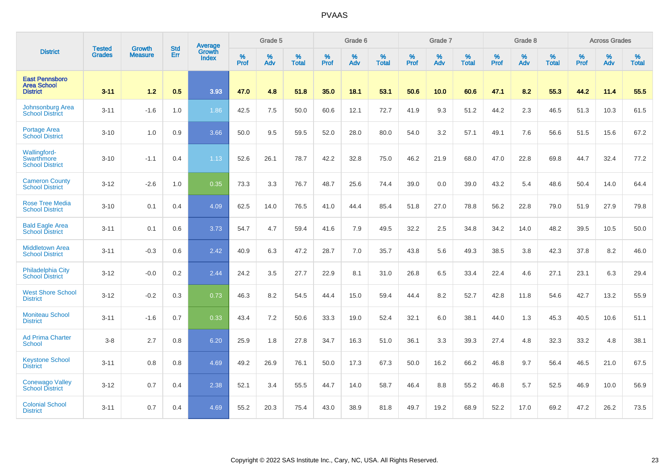|                                                                | <b>Tested</b> | <b>Growth</b>  | <b>Std</b> | <b>Average</b>         |                  | Grade 5  |                   |           | Grade 6  |                   |           | Grade 7  |                   |           | Grade 8  |                   |           | <b>Across Grades</b> |                   |
|----------------------------------------------------------------|---------------|----------------|------------|------------------------|------------------|----------|-------------------|-----------|----------|-------------------|-----------|----------|-------------------|-----------|----------|-------------------|-----------|----------------------|-------------------|
| <b>District</b>                                                | <b>Grades</b> | <b>Measure</b> | <b>Err</b> | Growth<br><b>Index</b> | %<br><b>Prof</b> | %<br>Adv | %<br><b>Total</b> | %<br>Prof | %<br>Adv | %<br><b>Total</b> | %<br>Prof | %<br>Adv | %<br><b>Total</b> | %<br>Prof | %<br>Adv | %<br><b>Total</b> | %<br>Prof | %<br>Adv             | %<br><b>Total</b> |
| <b>East Pennsboro</b><br><b>Area School</b><br><b>District</b> | $3 - 11$      | 1.2            | 0.5        | 3.93                   | 47.0             | 4.8      | 51.8              | 35.0      | 18.1     | 53.1              | 50.6      | 10.0     | 60.6              | 47.1      | 8.2      | 55.3              | 44.2      | 11.4                 | 55.5              |
| Johnsonburg Area<br><b>School District</b>                     | $3 - 11$      | $-1.6$         | 1.0        | 1.86                   | 42.5             | 7.5      | 50.0              | 60.6      | 12.1     | 72.7              | 41.9      | 9.3      | 51.2              | 44.2      | 2.3      | 46.5              | 51.3      | 10.3                 | 61.5              |
| Portage Area<br><b>School District</b>                         | $3 - 10$      | 1.0            | 0.9        | 3.66                   | 50.0             | 9.5      | 59.5              | 52.0      | 28.0     | 80.0              | 54.0      | 3.2      | 57.1              | 49.1      | 7.6      | 56.6              | 51.5      | 15.6                 | 67.2              |
| Wallingford-<br>Swarthmore<br><b>School District</b>           | $3 - 10$      | $-1.1$         | 0.4        | 1.13                   | 52.6             | 26.1     | 78.7              | 42.2      | 32.8     | 75.0              | 46.2      | 21.9     | 68.0              | 47.0      | 22.8     | 69.8              | 44.7      | 32.4                 | 77.2              |
| <b>Cameron County</b><br><b>School District</b>                | $3 - 12$      | $-2.6$         | 1.0        | 0.35                   | 73.3             | 3.3      | 76.7              | 48.7      | 25.6     | 74.4              | 39.0      | 0.0      | 39.0              | 43.2      | 5.4      | 48.6              | 50.4      | 14.0                 | 64.4              |
| <b>Rose Tree Media</b><br><b>School District</b>               | $3 - 10$      | 0.1            | 0.4        | 4.09                   | 62.5             | 14.0     | 76.5              | 41.0      | 44.4     | 85.4              | 51.8      | 27.0     | 78.8              | 56.2      | 22.8     | 79.0              | 51.9      | 27.9                 | 79.8              |
| <b>Bald Eagle Area</b><br><b>School District</b>               | $3 - 11$      | 0.1            | 0.6        | 3.73                   | 54.7             | 4.7      | 59.4              | 41.6      | 7.9      | 49.5              | 32.2      | 2.5      | 34.8              | 34.2      | 14.0     | 48.2              | 39.5      | 10.5                 | 50.0              |
| <b>Middletown Area</b><br><b>School District</b>               | $3 - 11$      | $-0.3$         | 0.6        | 2.42                   | 40.9             | 6.3      | 47.2              | 28.7      | 7.0      | 35.7              | 43.8      | 5.6      | 49.3              | 38.5      | 3.8      | 42.3              | 37.8      | 8.2                  | 46.0              |
| Philadelphia City<br><b>School District</b>                    | $3 - 12$      | $-0.0$         | 0.2        | 2.44                   | 24.2             | 3.5      | 27.7              | 22.9      | 8.1      | 31.0              | 26.8      | 6.5      | 33.4              | 22.4      | 4.6      | 27.1              | 23.1      | 6.3                  | 29.4              |
| <b>West Shore School</b><br><b>District</b>                    | $3 - 12$      | $-0.2$         | 0.3        | 0.73                   | 46.3             | 8.2      | 54.5              | 44.4      | 15.0     | 59.4              | 44.4      | 8.2      | 52.7              | 42.8      | 11.8     | 54.6              | 42.7      | 13.2                 | 55.9              |
| <b>Moniteau School</b><br><b>District</b>                      | $3 - 11$      | $-1.6$         | 0.7        | 0.33                   | 43.4             | 7.2      | 50.6              | 33.3      | 19.0     | 52.4              | 32.1      | 6.0      | 38.1              | 44.0      | 1.3      | 45.3              | 40.5      | 10.6                 | 51.1              |
| <b>Ad Prima Charter</b><br>School                              | $3-8$         | 2.7            | 0.8        | 6.20                   | 25.9             | 1.8      | 27.8              | 34.7      | 16.3     | 51.0              | 36.1      | 3.3      | 39.3              | 27.4      | 4.8      | 32.3              | 33.2      | 4.8                  | 38.1              |
| <b>Keystone School</b><br><b>District</b>                      | $3 - 11$      | 0.8            | 0.8        | 4.69                   | 49.2             | 26.9     | 76.1              | 50.0      | 17.3     | 67.3              | 50.0      | 16.2     | 66.2              | 46.8      | 9.7      | 56.4              | 46.5      | 21.0                 | 67.5              |
| <b>Conewago Valley</b><br><b>School District</b>               | $3 - 12$      | 0.7            | 0.4        | 2.38                   | 52.1             | 3.4      | 55.5              | 44.7      | 14.0     | 58.7              | 46.4      | 8.8      | 55.2              | 46.8      | 5.7      | 52.5              | 46.9      | 10.0                 | 56.9              |
| <b>Colonial School</b><br><b>District</b>                      | $3 - 11$      | 0.7            | 0.4        | 4.69                   | 55.2             | 20.3     | 75.4              | 43.0      | 38.9     | 81.8              | 49.7      | 19.2     | 68.9              | 52.2      | 17.0     | 69.2              | 47.2      | 26.2                 | 73.5              |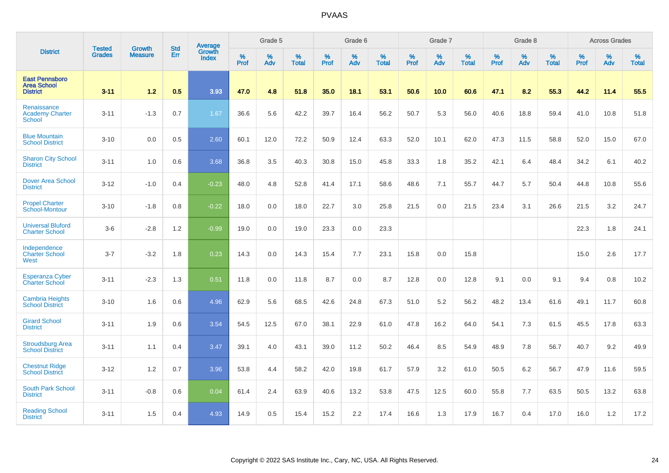|                                                                | <b>Tested</b> | <b>Growth</b>  | <b>Std</b> | Average                       |           | Grade 5  |                   |           | Grade 6  |                   |           | Grade 7  |                   |           | Grade 8  |                   |           | <b>Across Grades</b> |                   |
|----------------------------------------------------------------|---------------|----------------|------------|-------------------------------|-----------|----------|-------------------|-----------|----------|-------------------|-----------|----------|-------------------|-----------|----------|-------------------|-----------|----------------------|-------------------|
| <b>District</b>                                                | <b>Grades</b> | <b>Measure</b> | <b>Err</b> | <b>Growth</b><br><b>Index</b> | %<br>Prof | %<br>Adv | %<br><b>Total</b> | %<br>Prof | %<br>Adv | %<br><b>Total</b> | %<br>Prof | %<br>Adv | %<br><b>Total</b> | %<br>Prof | %<br>Adv | %<br><b>Total</b> | %<br>Prof | %<br>Adv             | %<br><b>Total</b> |
| <b>East Pennsboro</b><br><b>Area School</b><br><b>District</b> | $3 - 11$      | $1.2$          | 0.5        | 3.93                          | 47.0      | 4.8      | 51.8              | 35.0      | 18.1     | 53.1              | 50.6      | 10.0     | 60.6              | 47.1      | 8.2      | 55.3              | 44.2      | 11.4                 | 55.5              |
| Renaissance<br><b>Academy Charter</b><br><b>School</b>         | $3 - 11$      | $-1.3$         | 0.7        | 1.67                          | 36.6      | 5.6      | 42.2              | 39.7      | 16.4     | 56.2              | 50.7      | 5.3      | 56.0              | 40.6      | 18.8     | 59.4              | 41.0      | 10.8                 | 51.8              |
| <b>Blue Mountain</b><br><b>School District</b>                 | $3 - 10$      | 0.0            | 0.5        | 2.60                          | 60.1      | 12.0     | 72.2              | 50.9      | 12.4     | 63.3              | 52.0      | 10.1     | 62.0              | 47.3      | 11.5     | 58.8              | 52.0      | 15.0                 | 67.0              |
| <b>Sharon City School</b><br><b>District</b>                   | $3 - 11$      | 1.0            | 0.6        | 3.68                          | 36.8      | 3.5      | 40.3              | 30.8      | 15.0     | 45.8              | 33.3      | 1.8      | 35.2              | 42.1      | 6.4      | 48.4              | 34.2      | 6.1                  | 40.2              |
| <b>Dover Area School</b><br><b>District</b>                    | $3 - 12$      | $-1.0$         | 0.4        | $-0.23$                       | 48.0      | 4.8      | 52.8              | 41.4      | 17.1     | 58.6              | 48.6      | 7.1      | 55.7              | 44.7      | 5.7      | 50.4              | 44.8      | 10.8                 | 55.6              |
| <b>Propel Charter</b><br>School-Montour                        | $3 - 10$      | $-1.8$         | 0.8        | $-0.22$                       | 18.0      | 0.0      | 18.0              | 22.7      | 3.0      | 25.8              | 21.5      | 0.0      | 21.5              | 23.4      | 3.1      | 26.6              | 21.5      | 3.2                  | 24.7              |
| <b>Universal Bluford</b><br><b>Charter School</b>              | $3-6$         | $-2.8$         | 1.2        | $-0.99$                       | 19.0      | 0.0      | 19.0              | 23.3      | 0.0      | 23.3              |           |          |                   |           |          |                   | 22.3      | 1.8                  | 24.1              |
| Independence<br><b>Charter School</b><br>West                  | $3 - 7$       | $-3.2$         | 1.8        | 0.23                          | 14.3      | 0.0      | 14.3              | 15.4      | 7.7      | 23.1              | 15.8      | 0.0      | 15.8              |           |          |                   | 15.0      | 2.6                  | 17.7              |
| <b>Esperanza Cyber</b><br><b>Charter School</b>                | $3 - 11$      | $-2.3$         | 1.3        | 0.51                          | 11.8      | 0.0      | 11.8              | 8.7       | 0.0      | 8.7               | 12.8      | 0.0      | 12.8              | 9.1       | 0.0      | 9.1               | 9.4       | 0.8                  | 10.2              |
| <b>Cambria Heights</b><br><b>School District</b>               | $3 - 10$      | 1.6            | 0.6        | 4.96                          | 62.9      | 5.6      | 68.5              | 42.6      | 24.8     | 67.3              | 51.0      | 5.2      | 56.2              | 48.2      | 13.4     | 61.6              | 49.1      | 11.7                 | 60.8              |
| <b>Girard School</b><br><b>District</b>                        | $3 - 11$      | 1.9            | 0.6        | 3.54                          | 54.5      | 12.5     | 67.0              | 38.1      | 22.9     | 61.0              | 47.8      | 16.2     | 64.0              | 54.1      | 7.3      | 61.5              | 45.5      | 17.8                 | 63.3              |
| <b>Stroudsburg Area</b><br><b>School District</b>              | $3 - 11$      | 1.1            | 0.4        | 3.47                          | 39.1      | 4.0      | 43.1              | 39.0      | 11.2     | 50.2              | 46.4      | 8.5      | 54.9              | 48.9      | 7.8      | 56.7              | 40.7      | 9.2                  | 49.9              |
| <b>Chestnut Ridge</b><br><b>School District</b>                | $3 - 12$      | 1.2            | 0.7        | 3.96                          | 53.8      | 4.4      | 58.2              | 42.0      | 19.8     | 61.7              | 57.9      | 3.2      | 61.0              | 50.5      | 6.2      | 56.7              | 47.9      | 11.6                 | 59.5              |
| South Park School<br><b>District</b>                           | $3 - 11$      | $-0.8$         | 0.6        | 0.04                          | 61.4      | 2.4      | 63.9              | 40.6      | 13.2     | 53.8              | 47.5      | 12.5     | 60.0              | 55.8      | 7.7      | 63.5              | 50.5      | 13.2                 | 63.8              |
| <b>Reading School</b><br><b>District</b>                       | $3 - 11$      | 1.5            | 0.4        | 4.93                          | 14.9      | 0.5      | 15.4              | 15.2      | 2.2      | 17.4              | 16.6      | 1.3      | 17.9              | 16.7      | 0.4      | 17.0              | 16.0      | 1.2                  | 17.2              |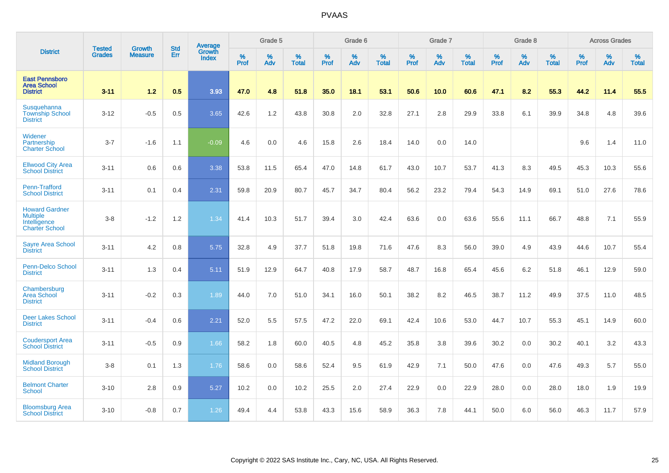|                                                                                   |                                |                                 | <b>Std</b> | <b>Average</b>         |           | Grade 5  |                   |           | Grade 6  |                   |           | Grade 7  |                   |           | Grade 8  |                   |           | <b>Across Grades</b> |                   |
|-----------------------------------------------------------------------------------|--------------------------------|---------------------------------|------------|------------------------|-----------|----------|-------------------|-----------|----------|-------------------|-----------|----------|-------------------|-----------|----------|-------------------|-----------|----------------------|-------------------|
| <b>District</b>                                                                   | <b>Tested</b><br><b>Grades</b> | <b>Growth</b><br><b>Measure</b> | Err        | Growth<br><b>Index</b> | %<br>Prof | %<br>Adv | %<br><b>Total</b> | %<br>Prof | %<br>Adv | %<br><b>Total</b> | %<br>Prof | %<br>Adv | %<br><b>Total</b> | %<br>Prof | %<br>Adv | %<br><b>Total</b> | %<br>Prof | %<br>Adv             | %<br><b>Total</b> |
| <b>East Pennsboro</b><br><b>Area School</b><br><b>District</b>                    | $3 - 11$                       | 1.2                             | 0.5        | 3.93                   | 47.0      | 4.8      | 51.8              | 35.0      | 18.1     | 53.1              | 50.6      | 10.0     | 60.6              | 47.1      | 8.2      | 55.3              | 44.2      | 11.4                 | 55.5              |
| Susquehanna<br><b>Township School</b><br><b>District</b>                          | $3 - 12$                       | $-0.5$                          | 0.5        | 3.65                   | 42.6      | 1.2      | 43.8              | 30.8      | 2.0      | 32.8              | 27.1      | 2.8      | 29.9              | 33.8      | 6.1      | 39.9              | 34.8      | 4.8                  | 39.6              |
| Widener<br>Partnership<br><b>Charter School</b>                                   | $3 - 7$                        | $-1.6$                          | 1.1        | $-0.09$                | 4.6       | 0.0      | 4.6               | 15.8      | 2.6      | 18.4              | 14.0      | 0.0      | 14.0              |           |          |                   | 9.6       | 1.4                  | 11.0              |
| <b>Ellwood City Area</b><br><b>School District</b>                                | $3 - 11$                       | 0.6                             | 0.6        | 3.38                   | 53.8      | 11.5     | 65.4              | 47.0      | 14.8     | 61.7              | 43.0      | 10.7     | 53.7              | 41.3      | 8.3      | 49.5              | 45.3      | 10.3                 | 55.6              |
| Penn-Trafford<br><b>School District</b>                                           | $3 - 11$                       | 0.1                             | 0.4        | 2.31                   | 59.8      | 20.9     | 80.7              | 45.7      | 34.7     | 80.4              | 56.2      | 23.2     | 79.4              | 54.3      | 14.9     | 69.1              | 51.0      | 27.6                 | 78.6              |
| <b>Howard Gardner</b><br><b>Multiple</b><br>Intelligence<br><b>Charter School</b> | $3-8$                          | $-1.2$                          | 1.2        | 1.34                   | 41.4      | 10.3     | 51.7              | 39.4      | 3.0      | 42.4              | 63.6      | 0.0      | 63.6              | 55.6      | 11.1     | 66.7              | 48.8      | 7.1                  | 55.9              |
| <b>Sayre Area School</b><br><b>District</b>                                       | $3 - 11$                       | 4.2                             | 0.8        | 5.75                   | 32.8      | 4.9      | 37.7              | 51.8      | 19.8     | 71.6              | 47.6      | 8.3      | 56.0              | 39.0      | 4.9      | 43.9              | 44.6      | 10.7                 | 55.4              |
| <b>Penn-Delco School</b><br><b>District</b>                                       | $3 - 11$                       | 1.3                             | 0.4        | 5.11                   | 51.9      | 12.9     | 64.7              | 40.8      | 17.9     | 58.7              | 48.7      | 16.8     | 65.4              | 45.6      | 6.2      | 51.8              | 46.1      | 12.9                 | 59.0              |
| Chambersburg<br>Area School<br><b>District</b>                                    | $3 - 11$                       | $-0.2$                          | 0.3        | 1.89                   | 44.0      | 7.0      | 51.0              | 34.1      | 16.0     | 50.1              | 38.2      | 8.2      | 46.5              | 38.7      | 11.2     | 49.9              | 37.5      | 11.0                 | 48.5              |
| <b>Deer Lakes School</b><br><b>District</b>                                       | $3 - 11$                       | $-0.4$                          | 0.6        | 2.21                   | 52.0      | 5.5      | 57.5              | 47.2      | 22.0     | 69.1              | 42.4      | 10.6     | 53.0              | 44.7      | 10.7     | 55.3              | 45.1      | 14.9                 | 60.0              |
| <b>Coudersport Area</b><br><b>School District</b>                                 | $3 - 11$                       | $-0.5$                          | 0.9        | 1.66                   | 58.2      | 1.8      | 60.0              | 40.5      | 4.8      | 45.2              | 35.8      | 3.8      | 39.6              | 30.2      | 0.0      | 30.2              | 40.1      | 3.2                  | 43.3              |
| <b>Midland Borough</b><br><b>School District</b>                                  | $3 - 8$                        | 0.1                             | 1.3        | 1.76                   | 58.6      | 0.0      | 58.6              | 52.4      | 9.5      | 61.9              | 42.9      | 7.1      | 50.0              | 47.6      | 0.0      | 47.6              | 49.3      | 5.7                  | 55.0              |
| <b>Belmont Charter</b><br><b>School</b>                                           | $3 - 10$                       | 2.8                             | 0.9        | 5.27                   | 10.2      | 0.0      | 10.2              | 25.5      | 2.0      | 27.4              | 22.9      | 0.0      | 22.9              | 28.0      | 0.0      | 28.0              | 18.0      | 1.9                  | 19.9              |
| <b>Bloomsburg Area</b><br><b>School District</b>                                  | $3 - 10$                       | $-0.8$                          | 0.7        | 1.26                   | 49.4      | 4.4      | 53.8              | 43.3      | 15.6     | 58.9              | 36.3      | 7.8      | 44.1              | 50.0      | 6.0      | 56.0              | 46.3      | 11.7                 | 57.9              |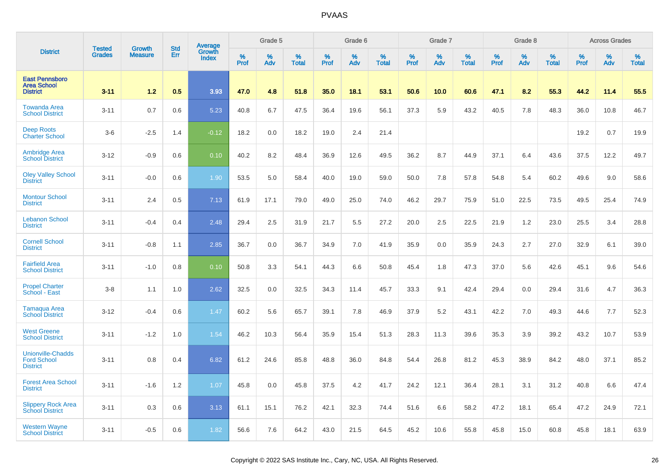|                                                                   |                                |                                 | <b>Std</b> |                                   |                     | Grade 5  |                   |              | Grade 6  |                   |              | Grade 7  |                   |           | Grade 8  |                   |                  | <b>Across Grades</b> |                   |
|-------------------------------------------------------------------|--------------------------------|---------------------------------|------------|-----------------------------------|---------------------|----------|-------------------|--------------|----------|-------------------|--------------|----------|-------------------|-----------|----------|-------------------|------------------|----------------------|-------------------|
| <b>District</b>                                                   | <b>Tested</b><br><b>Grades</b> | <b>Growth</b><br><b>Measure</b> | Err        | Average<br>Growth<br><b>Index</b> | $\%$<br><b>Prof</b> | %<br>Adv | %<br><b>Total</b> | $\%$<br>Prof | %<br>Adv | %<br><b>Total</b> | $\%$<br>Prof | %<br>Adv | %<br><b>Total</b> | %<br>Prof | %<br>Adv | %<br><b>Total</b> | %<br><b>Prof</b> | %<br>Adv             | %<br><b>Total</b> |
| <b>East Pennsboro</b><br><b>Area School</b><br><b>District</b>    | $3 - 11$                       | 1.2                             | 0.5        | 3.93                              | 47.0                | 4.8      | 51.8              | 35.0         | 18.1     | 53.1              | 50.6         | 10.0     | 60.6              | 47.1      | 8.2      | 55.3              | 44.2             | 11.4                 | 55.5              |
| <b>Towanda Area</b><br><b>School District</b>                     | $3 - 11$                       | 0.7                             | 0.6        | 5.23                              | 40.8                | 6.7      | 47.5              | 36.4         | 19.6     | 56.1              | 37.3         | 5.9      | 43.2              | 40.5      | 7.8      | 48.3              | 36.0             | 10.8                 | 46.7              |
| <b>Deep Roots</b><br><b>Charter School</b>                        | $3-6$                          | $-2.5$                          | 1.4        | $-0.12$                           | 18.2                | 0.0      | 18.2              | 19.0         | 2.4      | 21.4              |              |          |                   |           |          |                   | 19.2             | 0.7                  | 19.9              |
| <b>Ambridge Area</b><br><b>School District</b>                    | $3 - 12$                       | $-0.9$                          | 0.6        | 0.10                              | 40.2                | 8.2      | 48.4              | 36.9         | 12.6     | 49.5              | 36.2         | 8.7      | 44.9              | 37.1      | 6.4      | 43.6              | 37.5             | 12.2                 | 49.7              |
| <b>Oley Valley School</b><br><b>District</b>                      | $3 - 11$                       | $-0.0$                          | 0.6        | 1.90                              | 53.5                | 5.0      | 58.4              | 40.0         | 19.0     | 59.0              | 50.0         | 7.8      | 57.8              | 54.8      | 5.4      | 60.2              | 49.6             | 9.0                  | 58.6              |
| <b>Montour School</b><br><b>District</b>                          | $3 - 11$                       | 2.4                             | 0.5        | 7.13                              | 61.9                | 17.1     | 79.0              | 49.0         | 25.0     | 74.0              | 46.2         | 29.7     | 75.9              | 51.0      | 22.5     | 73.5              | 49.5             | 25.4                 | 74.9              |
| <b>Lebanon School</b><br><b>District</b>                          | $3 - 11$                       | $-0.4$                          | 0.4        | 2.48                              | 29.4                | 2.5      | 31.9              | 21.7         | 5.5      | 27.2              | 20.0         | 2.5      | 22.5              | 21.9      | 1.2      | 23.0              | 25.5             | 3.4                  | 28.8              |
| <b>Cornell School</b><br><b>District</b>                          | $3 - 11$                       | $-0.8$                          | 1.1        | 2.85                              | 36.7                | 0.0      | 36.7              | 34.9         | 7.0      | 41.9              | 35.9         | 0.0      | 35.9              | 24.3      | 2.7      | 27.0              | 32.9             | 6.1                  | 39.0              |
| <b>Fairfield Area</b><br><b>School District</b>                   | $3 - 11$                       | $-1.0$                          | 0.8        | 0.10                              | 50.8                | 3.3      | 54.1              | 44.3         | 6.6      | 50.8              | 45.4         | 1.8      | 47.3              | 37.0      | 5.6      | 42.6              | 45.1             | 9.6                  | 54.6              |
| <b>Propel Charter</b><br>School - East                            | $3-8$                          | 1.1                             | 1.0        | 2.62                              | 32.5                | 0.0      | 32.5              | 34.3         | 11.4     | 45.7              | 33.3         | 9.1      | 42.4              | 29.4      | 0.0      | 29.4              | 31.6             | 4.7                  | 36.3              |
| <b>Tamaqua Area</b><br><b>School District</b>                     | $3 - 12$                       | $-0.4$                          | 0.6        | 1.47                              | 60.2                | 5.6      | 65.7              | 39.1         | 7.8      | 46.9              | 37.9         | 5.2      | 43.1              | 42.2      | 7.0      | 49.3              | 44.6             | 7.7                  | 52.3              |
| <b>West Greene</b><br><b>School District</b>                      | $3 - 11$                       | $-1.2$                          | 1.0        | 1.54                              | 46.2                | 10.3     | 56.4              | 35.9         | 15.4     | 51.3              | 28.3         | 11.3     | 39.6              | 35.3      | 3.9      | 39.2              | 43.2             | 10.7                 | 53.9              |
| <b>Unionville-Chadds</b><br><b>Ford School</b><br><b>District</b> | $3 - 11$                       | 0.8                             | 0.4        | 6.82                              | 61.2                | 24.6     | 85.8              | 48.8         | 36.0     | 84.8              | 54.4         | 26.8     | 81.2              | 45.3      | 38.9     | 84.2              | 48.0             | 37.1                 | 85.2              |
| <b>Forest Area School</b><br><b>District</b>                      | $3 - 11$                       | $-1.6$                          | 1.2        | 1.07                              | 45.8                | 0.0      | 45.8              | 37.5         | 4.2      | 41.7              | 24.2         | 12.1     | 36.4              | 28.1      | 3.1      | 31.2              | 40.8             | 6.6                  | 47.4              |
| <b>Slippery Rock Area</b><br><b>School District</b>               | $3 - 11$                       | 0.3                             | 0.6        | 3.13                              | 61.1                | 15.1     | 76.2              | 42.1         | 32.3     | 74.4              | 51.6         | 6.6      | 58.2              | 47.2      | 18.1     | 65.4              | 47.2             | 24.9                 | 72.1              |
| <b>Western Wayne</b><br><b>School District</b>                    | $3 - 11$                       | $-0.5$                          | 0.6        | 1.82                              | 56.6                | 7.6      | 64.2              | 43.0         | 21.5     | 64.5              | 45.2         | 10.6     | 55.8              | 45.8      | 15.0     | 60.8              | 45.8             | 18.1                 | 63.9              |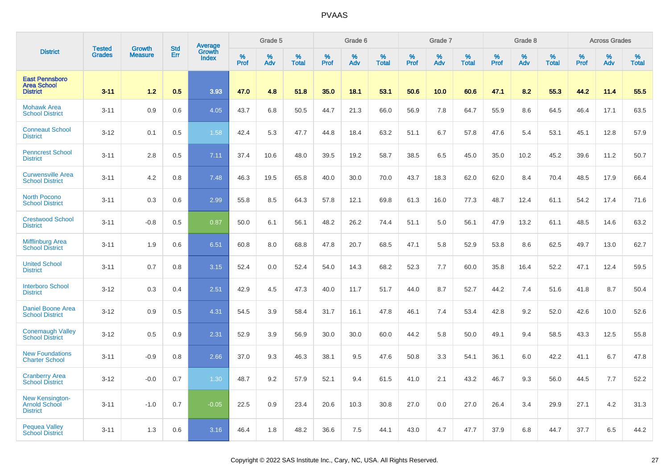|                                                                | <b>Tested</b> | <b>Growth</b>  | <b>Std</b> |                                   |                     | Grade 5  |                   |              | Grade 6  |                   |              | Grade 7  |                   |           | Grade 8  |                   |                  | <b>Across Grades</b> |                   |
|----------------------------------------------------------------|---------------|----------------|------------|-----------------------------------|---------------------|----------|-------------------|--------------|----------|-------------------|--------------|----------|-------------------|-----------|----------|-------------------|------------------|----------------------|-------------------|
| <b>District</b>                                                | <b>Grades</b> | <b>Measure</b> | Err        | Average<br>Growth<br><b>Index</b> | $\%$<br><b>Prof</b> | %<br>Adv | %<br><b>Total</b> | $\%$<br>Prof | %<br>Adv | %<br><b>Total</b> | $\%$<br>Prof | %<br>Adv | %<br><b>Total</b> | %<br>Prof | %<br>Adv | %<br><b>Total</b> | %<br><b>Prof</b> | %<br>Adv             | %<br><b>Total</b> |
| <b>East Pennsboro</b><br><b>Area School</b><br><b>District</b> | $3 - 11$      | 1.2            | 0.5        | 3.93                              | 47.0                | 4.8      | 51.8              | 35.0         | 18.1     | 53.1              | 50.6         | 10.0     | 60.6              | 47.1      | 8.2      | 55.3              | 44.2             | 11.4                 | 55.5              |
| <b>Mohawk Area</b><br><b>School District</b>                   | $3 - 11$      | 0.9            | 0.6        | 4.05                              | 43.7                | 6.8      | 50.5              | 44.7         | 21.3     | 66.0              | 56.9         | 7.8      | 64.7              | 55.9      | 8.6      | 64.5              | 46.4             | 17.1                 | 63.5              |
| <b>Conneaut School</b><br><b>District</b>                      | $3 - 12$      | 0.1            | 0.5        | 1.58                              | 42.4                | 5.3      | 47.7              | 44.8         | 18.4     | 63.2              | 51.1         | 6.7      | 57.8              | 47.6      | 5.4      | 53.1              | 45.1             | 12.8                 | 57.9              |
| <b>Penncrest School</b><br><b>District</b>                     | $3 - 11$      | 2.8            | 0.5        | 7.11                              | 37.4                | 10.6     | 48.0              | 39.5         | 19.2     | 58.7              | 38.5         | 6.5      | 45.0              | 35.0      | 10.2     | 45.2              | 39.6             | 11.2                 | 50.7              |
| <b>Curwensville Area</b><br><b>School District</b>             | $3 - 11$      | 4.2            | 0.8        | 7.48                              | 46.3                | 19.5     | 65.8              | 40.0         | 30.0     | 70.0              | 43.7         | 18.3     | 62.0              | 62.0      | 8.4      | 70.4              | 48.5             | 17.9                 | 66.4              |
| <b>North Pocono</b><br><b>School District</b>                  | $3 - 11$      | 0.3            | 0.6        | 2.99                              | 55.8                | 8.5      | 64.3              | 57.8         | 12.1     | 69.8              | 61.3         | 16.0     | 77.3              | 48.7      | 12.4     | 61.1              | 54.2             | 17.4                 | 71.6              |
| <b>Crestwood School</b><br><b>District</b>                     | $3 - 11$      | $-0.8$         | 0.5        | 0.87                              | 50.0                | 6.1      | 56.1              | 48.2         | 26.2     | 74.4              | 51.1         | 5.0      | 56.1              | 47.9      | 13.2     | 61.1              | 48.5             | 14.6                 | 63.2              |
| <b>Mifflinburg Area</b><br><b>School District</b>              | $3 - 11$      | 1.9            | 0.6        | 6.51                              | 60.8                | 8.0      | 68.8              | 47.8         | 20.7     | 68.5              | 47.1         | 5.8      | 52.9              | 53.8      | 8.6      | 62.5              | 49.7             | 13.0                 | 62.7              |
| <b>United School</b><br><b>District</b>                        | $3 - 11$      | 0.7            | 0.8        | 3.15                              | 52.4                | 0.0      | 52.4              | 54.0         | 14.3     | 68.2              | 52.3         | 7.7      | 60.0              | 35.8      | 16.4     | 52.2              | 47.1             | 12.4                 | 59.5              |
| <b>Interboro School</b><br><b>District</b>                     | $3 - 12$      | 0.3            | 0.4        | 2.51                              | 42.9                | 4.5      | 47.3              | 40.0         | 11.7     | 51.7              | 44.0         | 8.7      | 52.7              | 44.2      | 7.4      | 51.6              | 41.8             | 8.7                  | 50.4              |
| <b>Daniel Boone Area</b><br><b>School District</b>             | $3 - 12$      | 0.9            | 0.5        | 4.31                              | 54.5                | 3.9      | 58.4              | 31.7         | 16.1     | 47.8              | 46.1         | 7.4      | 53.4              | 42.8      | 9.2      | 52.0              | 42.6             | 10.0                 | 52.6              |
| <b>Conemaugh Valley</b><br><b>School District</b>              | $3 - 12$      | 0.5            | 0.9        | 2.31                              | 52.9                | 3.9      | 56.9              | 30.0         | 30.0     | 60.0              | 44.2         | 5.8      | 50.0              | 49.1      | 9.4      | 58.5              | 43.3             | 12.5                 | 55.8              |
| <b>New Foundations</b><br><b>Charter School</b>                | $3 - 11$      | $-0.9$         | 0.8        | 2.66                              | 37.0                | 9.3      | 46.3              | 38.1         | 9.5      | 47.6              | 50.8         | 3.3      | 54.1              | 36.1      | 6.0      | 42.2              | 41.1             | 6.7                  | 47.8              |
| <b>Cranberry Area</b><br><b>School District</b>                | $3 - 12$      | $-0.0$         | 0.7        | 1.30                              | 48.7                | 9.2      | 57.9              | 52.1         | 9.4      | 61.5              | 41.0         | 2.1      | 43.2              | 46.7      | 9.3      | 56.0              | 44.5             | 7.7                  | 52.2              |
| New Kensington-<br>Arnold School<br><b>District</b>            | $3 - 11$      | $-1.0$         | 0.7        | $-0.05$                           | 22.5                | 0.9      | 23.4              | 20.6         | 10.3     | 30.8              | 27.0         | 0.0      | 27.0              | 26.4      | 3.4      | 29.9              | 27.1             | 4.2                  | 31.3              |
| <b>Pequea Valley</b><br><b>School District</b>                 | $3 - 11$      | 1.3            | 0.6        | 3.16                              | 46.4                | 1.8      | 48.2              | 36.6         | 7.5      | 44.1              | 43.0         | 4.7      | 47.7              | 37.9      | 6.8      | 44.7              | 37.7             | 6.5                  | 44.2              |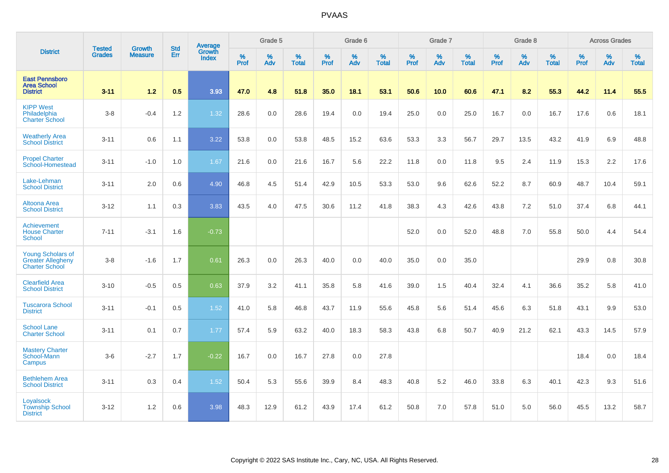|                                                                               |                                |                                 | <b>Std</b> | Average                |                  | Grade 5  |                   |           | Grade 6  |                   |           | Grade 7  |                   |           | Grade 8  |                   |           | <b>Across Grades</b> |                   |
|-------------------------------------------------------------------------------|--------------------------------|---------------------------------|------------|------------------------|------------------|----------|-------------------|-----------|----------|-------------------|-----------|----------|-------------------|-----------|----------|-------------------|-----------|----------------------|-------------------|
| <b>District</b>                                                               | <b>Tested</b><br><b>Grades</b> | <b>Growth</b><br><b>Measure</b> | Err        | Growth<br><b>Index</b> | %<br><b>Prof</b> | %<br>Adv | %<br><b>Total</b> | %<br>Prof | %<br>Adv | %<br><b>Total</b> | %<br>Prof | %<br>Adv | %<br><b>Total</b> | %<br>Prof | %<br>Adv | %<br><b>Total</b> | %<br>Prof | %<br>Adv             | %<br><b>Total</b> |
| <b>East Pennsboro</b><br><b>Area School</b><br><b>District</b>                | $3 - 11$                       | 1.2                             | 0.5        | 3.93                   | 47.0             | 4.8      | 51.8              | 35.0      | 18.1     | 53.1              | 50.6      | 10.0     | 60.6              | 47.1      | 8.2      | 55.3              | 44.2      | 11.4                 | 55.5              |
| <b>KIPP West</b><br>Philadelphia<br><b>Charter School</b>                     | $3 - 8$                        | $-0.4$                          | 1.2        | 1.32                   | 28.6             | 0.0      | 28.6              | 19.4      | 0.0      | 19.4              | 25.0      | 0.0      | 25.0              | 16.7      | 0.0      | 16.7              | 17.6      | 0.6                  | 18.1              |
| <b>Weatherly Area</b><br><b>School District</b>                               | $3 - 11$                       | 0.6                             | 1.1        | 3.22                   | 53.8             | 0.0      | 53.8              | 48.5      | 15.2     | 63.6              | 53.3      | 3.3      | 56.7              | 29.7      | 13.5     | 43.2              | 41.9      | 6.9                  | 48.8              |
| <b>Propel Charter</b><br>School-Homestead                                     | $3 - 11$                       | $-1.0$                          | 1.0        | 1.67                   | 21.6             | 0.0      | 21.6              | 16.7      | 5.6      | 22.2              | 11.8      | 0.0      | 11.8              | 9.5       | 2.4      | 11.9              | 15.3      | 2.2                  | 17.6              |
| Lake-Lehman<br><b>School District</b>                                         | $3 - 11$                       | 2.0                             | 0.6        | 4.90                   | 46.8             | 4.5      | 51.4              | 42.9      | 10.5     | 53.3              | 53.0      | 9.6      | 62.6              | 52.2      | 8.7      | 60.9              | 48.7      | 10.4                 | 59.1              |
| Altoona Area<br><b>School District</b>                                        | $3 - 12$                       | 1.1                             | 0.3        | 3.83                   | 43.5             | 4.0      | 47.5              | 30.6      | 11.2     | 41.8              | 38.3      | 4.3      | 42.6              | 43.8      | 7.2      | 51.0              | 37.4      | 6.8                  | 44.1              |
| Achievement<br><b>House Charter</b><br><b>School</b>                          | $7 - 11$                       | $-3.1$                          | 1.6        | $-0.73$                |                  |          |                   |           |          |                   | 52.0      | 0.0      | 52.0              | 48.8      | 7.0      | 55.8              | 50.0      | 4.4                  | 54.4              |
| <b>Young Scholars of</b><br><b>Greater Allegheny</b><br><b>Charter School</b> | $3-8$                          | $-1.6$                          | 1.7        | 0.61                   | 26.3             | 0.0      | 26.3              | 40.0      | 0.0      | 40.0              | 35.0      | 0.0      | 35.0              |           |          |                   | 29.9      | 0.8                  | 30.8              |
| <b>Clearfield Area</b><br><b>School District</b>                              | $3 - 10$                       | $-0.5$                          | 0.5        | 0.63                   | 37.9             | 3.2      | 41.1              | 35.8      | 5.8      | 41.6              | 39.0      | 1.5      | 40.4              | 32.4      | 4.1      | 36.6              | 35.2      | 5.8                  | 41.0              |
| <b>Tuscarora School</b><br><b>District</b>                                    | $3 - 11$                       | $-0.1$                          | 0.5        | 1.52                   | 41.0             | 5.8      | 46.8              | 43.7      | 11.9     | 55.6              | 45.8      | 5.6      | 51.4              | 45.6      | 6.3      | 51.8              | 43.1      | 9.9                  | 53.0              |
| <b>School Lane</b><br><b>Charter School</b>                                   | $3 - 11$                       | 0.1                             | 0.7        | 1.77                   | 57.4             | 5.9      | 63.2              | 40.0      | 18.3     | 58.3              | 43.8      | 6.8      | 50.7              | 40.9      | 21.2     | 62.1              | 43.3      | 14.5                 | 57.9              |
| <b>Mastery Charter</b><br>School-Mann<br>Campus                               | $3-6$                          | $-2.7$                          | 1.7        | $-0.22$                | 16.7             | 0.0      | 16.7              | 27.8      | 0.0      | 27.8              |           |          |                   |           |          |                   | 18.4      | 0.0                  | 18.4              |
| <b>Bethlehem Area</b><br><b>School District</b>                               | $3 - 11$                       | 0.3                             | 0.4        | 1.52                   | 50.4             | 5.3      | 55.6              | 39.9      | 8.4      | 48.3              | 40.8      | 5.2      | 46.0              | 33.8      | 6.3      | 40.1              | 42.3      | 9.3                  | 51.6              |
| Loyalsock<br><b>Township School</b><br><b>District</b>                        | $3 - 12$                       | 1.2                             | 0.6        | 3.98                   | 48.3             | 12.9     | 61.2              | 43.9      | 17.4     | 61.2              | 50.8      | 7.0      | 57.8              | 51.0      | 5.0      | 56.0              | 45.5      | 13.2                 | 58.7              |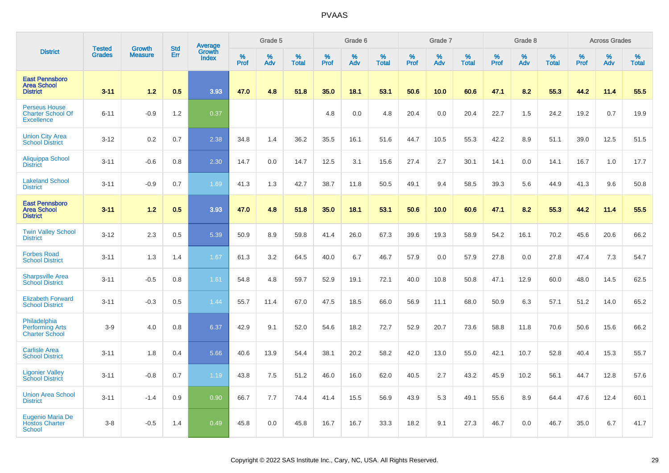|                                                                       | <b>Tested</b> | <b>Growth</b> | <b>Std</b> | <b>Average</b>         |                  | Grade 5  |                   |                  | Grade 6  |                   |           | Grade 7  |                   |           | Grade 8  |                   |                  | <b>Across Grades</b> |                   |
|-----------------------------------------------------------------------|---------------|---------------|------------|------------------------|------------------|----------|-------------------|------------------|----------|-------------------|-----------|----------|-------------------|-----------|----------|-------------------|------------------|----------------------|-------------------|
| <b>District</b>                                                       | <b>Grades</b> | Measure       | Err        | Growth<br><b>Index</b> | %<br><b>Prof</b> | %<br>Adv | %<br><b>Total</b> | %<br><b>Prof</b> | %<br>Adv | %<br><b>Total</b> | %<br>Prof | %<br>Adv | %<br><b>Total</b> | %<br>Prof | %<br>Adv | %<br><b>Total</b> | %<br><b>Prof</b> | %<br>Adv             | %<br><b>Total</b> |
| <b>East Pennsboro</b><br><b>Area School</b><br><b>District</b>        | $3 - 11$      | 1.2           | 0.5        | 3.93                   | 47.0             | 4.8      | 51.8              | 35.0             | 18.1     | 53.1              | 50.6      | 10.0     | 60.6              | 47.1      | 8.2      | 55.3              | 44.2             | 11.4                 | 55.5              |
| <b>Perseus House</b><br><b>Charter School Of</b><br><b>Excellence</b> | $6 - 11$      | $-0.9$        | 1.2        | 0.37                   |                  |          |                   | 4.8              | 0.0      | 4.8               | 20.4      | 0.0      | 20.4              | 22.7      | 1.5      | 24.2              | 19.2             | 0.7                  | 19.9              |
| <b>Union City Area</b><br><b>School District</b>                      | $3-12$        | 0.2           | 0.7        | 2.38                   | 34.8             | 1.4      | 36.2              | 35.5             | 16.1     | 51.6              | 44.7      | 10.5     | 55.3              | 42.2      | 8.9      | 51.1              | 39.0             | 12.5                 | 51.5              |
| Aliquippa School<br><b>District</b>                                   | $3 - 11$      | $-0.6$        | 0.8        | 2.30                   | 14.7             | 0.0      | 14.7              | 12.5             | 3.1      | 15.6              | 27.4      | 2.7      | 30.1              | 14.1      | 0.0      | 14.1              | 16.7             | 1.0                  | 17.7              |
| <b>Lakeland School</b><br><b>District</b>                             | $3 - 11$      | $-0.9$        | 0.7        | 1.69                   | 41.3             | 1.3      | 42.7              | 38.7             | 11.8     | 50.5              | 49.1      | 9.4      | 58.5              | 39.3      | 5.6      | 44.9              | 41.3             | 9.6                  | 50.8              |
| <b>East Pennsboro</b><br><b>Area School</b><br><b>District</b>        | $3-11$        | 1.2           | 0.5        | 3.93                   | 47.0             | 4.8      | 51.8              | 35.0             | 18.1     | 53.1              | 50.6      | 10.0     | 60.6              | 47.1      | 8.2      | 55.3              | 44.2             | 11.4                 | 55.5              |
| <b>Twin Valley School</b><br><b>District</b>                          | $3 - 12$      | 2.3           | 0.5        | 5.39                   | 50.9             | 8.9      | 59.8              | 41.4             | 26.0     | 67.3              | 39.6      | 19.3     | 58.9              | 54.2      | 16.1     | 70.2              | 45.6             | 20.6                 | 66.2              |
| <b>Forbes Road</b><br><b>School District</b>                          | $3 - 11$      | 1.3           | 1.4        | 1.67                   | 61.3             | 3.2      | 64.5              | 40.0             | 6.7      | 46.7              | 57.9      | 0.0      | 57.9              | 27.8      | 0.0      | 27.8              | 47.4             | 7.3                  | 54.7              |
| <b>Sharpsville Area</b><br><b>School District</b>                     | $3 - 11$      | $-0.5$        | 0.8        | 1.61                   | 54.8             | 4.8      | 59.7              | 52.9             | 19.1     | 72.1              | 40.0      | 10.8     | 50.8              | 47.1      | 12.9     | 60.0              | 48.0             | 14.5                 | 62.5              |
| <b>Elizabeth Forward</b><br><b>School District</b>                    | $3 - 11$      | $-0.3$        | 0.5        | 1.44                   | 55.7             | 11.4     | 67.0              | 47.5             | 18.5     | 66.0              | 56.9      | 11.1     | 68.0              | 50.9      | 6.3      | 57.1              | 51.2             | 14.0                 | 65.2              |
| Philadelphia<br><b>Performing Arts</b><br><b>Charter School</b>       | $3-9$         | 4.0           | 0.8        | 6.37                   | 42.9             | 9.1      | 52.0              | 54.6             | 18.2     | 72.7              | 52.9      | 20.7     | 73.6              | 58.8      | 11.8     | 70.6              | 50.6             | 15.6                 | 66.2              |
| <b>Carlisle Area</b><br><b>School District</b>                        | $3 - 11$      | 1.8           | 0.4        | 5.66                   | 40.6             | 13.9     | 54.4              | 38.1             | 20.2     | 58.2              | 42.0      | 13.0     | 55.0              | 42.1      | 10.7     | 52.8              | 40.4             | 15.3                 | 55.7              |
| <b>Ligonier Valley</b><br><b>School District</b>                      | $3 - 11$      | $-0.8$        | 0.7        | 1.19                   | 43.8             | 7.5      | 51.2              | 46.0             | 16.0     | 62.0              | 40.5      | 2.7      | 43.2              | 45.9      | 10.2     | 56.1              | 44.7             | 12.8                 | 57.6              |
| <b>Union Area School</b><br><b>District</b>                           | $3 - 11$      | $-1.4$        | 0.9        | 0.90                   | 66.7             | 7.7      | 74.4              | 41.4             | 15.5     | 56.9              | 43.9      | 5.3      | 49.1              | 55.6      | 8.9      | 64.4              | 47.6             | 12.4                 | 60.1              |
| <b>Eugenio Maria De</b><br><b>Hostos Charter</b><br>School            | $3 - 8$       | $-0.5$        | 1.4        | 0.49                   | 45.8             | 0.0      | 45.8              | 16.7             | 16.7     | 33.3              | 18.2      | 9.1      | 27.3              | 46.7      | 0.0      | 46.7              | 35.0             | 6.7                  | 41.7              |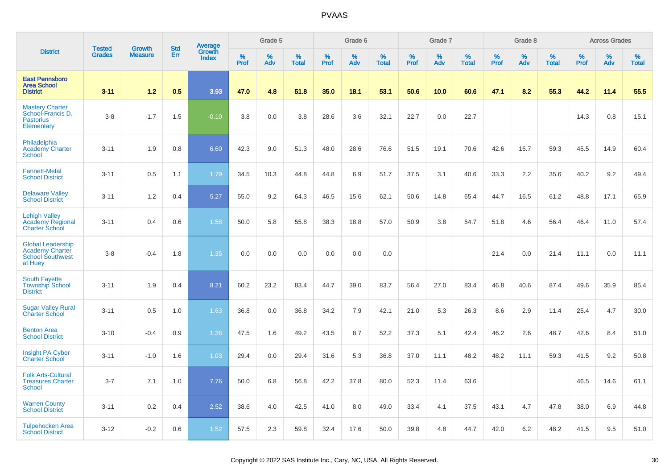|                                                                                          | <b>Tested</b> | <b>Growth</b>  | <b>Std</b> | Average                |                     | Grade 5  |                   |                  | Grade 6  |                   |              | Grade 7  |                   |              | Grade 8  |                   |              | <b>Across Grades</b> |                   |
|------------------------------------------------------------------------------------------|---------------|----------------|------------|------------------------|---------------------|----------|-------------------|------------------|----------|-------------------|--------------|----------|-------------------|--------------|----------|-------------------|--------------|----------------------|-------------------|
| <b>District</b>                                                                          | <b>Grades</b> | <b>Measure</b> | Err        | Growth<br><b>Index</b> | $\%$<br><b>Prof</b> | %<br>Adv | %<br><b>Total</b> | %<br><b>Prof</b> | %<br>Adv | %<br><b>Total</b> | $\%$<br>Prof | %<br>Adv | %<br><b>Total</b> | $\%$<br>Prof | %<br>Adv | %<br><b>Total</b> | $\%$<br>Prof | %<br>Adv             | %<br><b>Total</b> |
| <b>East Pennsboro</b><br><b>Area School</b><br><b>District</b>                           | $3 - 11$      | 1.2            | 0.5        | 3.93                   | 47.0                | 4.8      | 51.8              | 35.0             | 18.1     | 53.1              | 50.6         | 10.0     | 60.6              | 47.1         | 8.2      | 55.3              | 44.2         | 11.4                 | 55.5              |
| <b>Mastery Charter</b><br>School-Francis D.<br><b>Pastorius</b><br>Elementary            | $3 - 8$       | $-1.7$         | 1.5        | $-0.10$                | 3.8                 | 0.0      | 3.8               | 28.6             | 3.6      | 32.1              | 22.7         | 0.0      | 22.7              |              |          |                   | 14.3         | 0.8                  | 15.1              |
| Philadelphia<br><b>Academy Charter</b><br><b>School</b>                                  | $3 - 11$      | 1.9            | 0.8        | 6.60                   | 42.3                | 9.0      | 51.3              | 48.0             | 28.6     | 76.6              | 51.5         | 19.1     | 70.6              | 42.6         | 16.7     | 59.3              | 45.5         | 14.9                 | 60.4              |
| <b>Fannett-Metal</b><br><b>School District</b>                                           | $3 - 11$      | 0.5            | 1.1        | 1.79                   | 34.5                | 10.3     | 44.8              | 44.8             | 6.9      | 51.7              | 37.5         | 3.1      | 40.6              | 33.3         | 2.2      | 35.6              | 40.2         | 9.2                  | 49.4              |
| <b>Delaware Valley</b><br><b>School District</b>                                         | $3 - 11$      | 1.2            | 0.4        | 5.27                   | 55.0                | 9.2      | 64.3              | 46.5             | 15.6     | 62.1              | 50.6         | 14.8     | 65.4              | 44.7         | 16.5     | 61.2              | 48.8         | 17.1                 | 65.9              |
| <b>Lehigh Valley</b><br>Academy Regional<br><b>Charter School</b>                        | $3 - 11$      | 0.4            | 0.6        | 1.58                   | 50.0                | 5.8      | 55.8              | 38.3             | 18.8     | 57.0              | 50.9         | 3.8      | 54.7              | 51.8         | 4.6      | 56.4              | 46.4         | 11.0                 | 57.4              |
| <b>Global Leadership</b><br><b>Academy Charter</b><br><b>School Southwest</b><br>at Huey | $3 - 8$       | $-0.4$         | 1.8        | 1.35                   | 0.0                 | 0.0      | 0.0               | 0.0              | 0.0      | 0.0               |              |          |                   | 21.4         | 0.0      | 21.4              | 11.1         | 0.0                  | 11.1              |
| <b>South Fayette</b><br><b>Township School</b><br><b>District</b>                        | $3 - 11$      | 1.9            | 0.4        | 8.21                   | 60.2                | 23.2     | 83.4              | 44.7             | 39.0     | 83.7              | 56.4         | 27.0     | 83.4              | 46.8         | 40.6     | 87.4              | 49.6         | 35.9                 | 85.4              |
| <b>Sugar Valley Rural</b><br><b>Charter School</b>                                       | $3 - 11$      | 0.5            | 1.0        | 1.63                   | 36.8                | 0.0      | 36.8              | 34.2             | 7.9      | 42.1              | 21.0         | 5.3      | 26.3              | 8.6          | 2.9      | 11.4              | 25.4         | 4.7                  | 30.0              |
| <b>Benton Area</b><br><b>School District</b>                                             | $3 - 10$      | $-0.4$         | 0.9        | 1.36                   | 47.5                | 1.6      | 49.2              | 43.5             | 8.7      | 52.2              | 37.3         | 5.1      | 42.4              | 46.2         | 2.6      | 48.7              | 42.6         | 8.4                  | 51.0              |
| Insight PA Cyber<br><b>Charter School</b>                                                | $3 - 11$      | $-1.0$         | 1.6        | 1.03                   | 29.4                | 0.0      | 29.4              | 31.6             | 5.3      | 36.8              | 37.0         | 11.1     | 48.2              | 48.2         | 11.1     | 59.3              | 41.5         | 9.2                  | 50.8              |
| <b>Folk Arts-Cultural</b><br><b>Treasures Charter</b><br><b>School</b>                   | $3 - 7$       | 7.1            | 1.0        | 7.76                   | 50.0                | 6.8      | 56.8              | 42.2             | 37.8     | 80.0              | 52.3         | 11.4     | 63.6              |              |          |                   | 46.5         | 14.6                 | 61.1              |
| <b>Warren County</b><br><b>School District</b>                                           | $3 - 11$      | 0.2            | 0.4        | 2.52                   | 38.6                | 4.0      | 42.5              | 41.0             | 8.0      | 49.0              | 33.4         | 4.1      | 37.5              | 43.1         | 4.7      | 47.8              | 38.0         | 6.9                  | 44.8              |
| <b>Tulpehocken Area</b><br><b>School District</b>                                        | $3 - 12$      | $-0.2$         | 0.6        | 1.52                   | 57.5                | 2.3      | 59.8              | 32.4             | 17.6     | 50.0              | 39.8         | 4.8      | 44.7              | 42.0         | $6.2\,$  | 48.2              | 41.5         | 9.5                  | 51.0              |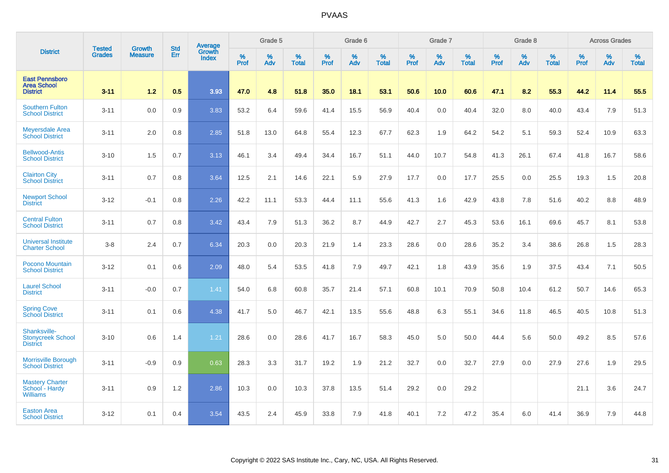|                                                                |                                |                                 | <b>Std</b> | Average                |              | Grade 5  |                   |           | Grade 6  |                   |           | Grade 7  |                   |           | Grade 8  |                   |           | <b>Across Grades</b> |                   |
|----------------------------------------------------------------|--------------------------------|---------------------------------|------------|------------------------|--------------|----------|-------------------|-----------|----------|-------------------|-----------|----------|-------------------|-----------|----------|-------------------|-----------|----------------------|-------------------|
| <b>District</b>                                                | <b>Tested</b><br><b>Grades</b> | <b>Growth</b><br><b>Measure</b> | Err        | Growth<br><b>Index</b> | $\%$<br>Prof | %<br>Adv | %<br><b>Total</b> | %<br>Prof | %<br>Adv | %<br><b>Total</b> | %<br>Prof | %<br>Adv | %<br><b>Total</b> | %<br>Prof | %<br>Adv | %<br><b>Total</b> | %<br>Prof | %<br>Adv             | %<br><b>Total</b> |
| <b>East Pennsboro</b><br><b>Area School</b><br><b>District</b> | $3 - 11$                       | 1.2                             | 0.5        | 3.93                   | 47.0         | 4.8      | 51.8              | 35.0      | 18.1     | 53.1              | 50.6      | 10.0     | 60.6              | 47.1      | 8.2      | 55.3              | 44.2      | 11.4                 | 55.5              |
| <b>Southern Fulton</b><br><b>School District</b>               | $3 - 11$                       | 0.0                             | 0.9        | 3.83                   | 53.2         | 6.4      | 59.6              | 41.4      | 15.5     | 56.9              | 40.4      | 0.0      | 40.4              | 32.0      | 8.0      | 40.0              | 43.4      | 7.9                  | 51.3              |
| <b>Meyersdale Area</b><br><b>School District</b>               | $3 - 11$                       | 2.0                             | 0.8        | 2.85                   | 51.8         | 13.0     | 64.8              | 55.4      | 12.3     | 67.7              | 62.3      | 1.9      | 64.2              | 54.2      | 5.1      | 59.3              | 52.4      | 10.9                 | 63.3              |
| <b>Bellwood-Antis</b><br><b>School District</b>                | $3 - 10$                       | 1.5                             | 0.7        | 3.13                   | 46.1         | 3.4      | 49.4              | 34.4      | 16.7     | 51.1              | 44.0      | 10.7     | 54.8              | 41.3      | 26.1     | 67.4              | 41.8      | 16.7                 | 58.6              |
| <b>Clairton City</b><br><b>School District</b>                 | $3 - 11$                       | 0.7                             | 0.8        | 3.64                   | 12.5         | 2.1      | 14.6              | 22.1      | 5.9      | 27.9              | 17.7      | 0.0      | 17.7              | 25.5      | 0.0      | 25.5              | 19.3      | 1.5                  | 20.8              |
| <b>Newport School</b><br><b>District</b>                       | $3 - 12$                       | $-0.1$                          | 0.8        | 2.26                   | 42.2         | 11.1     | 53.3              | 44.4      | 11.1     | 55.6              | 41.3      | 1.6      | 42.9              | 43.8      | 7.8      | 51.6              | 40.2      | 8.8                  | 48.9              |
| <b>Central Fulton</b><br><b>School District</b>                | $3 - 11$                       | 0.7                             | 0.8        | 3.42                   | 43.4         | 7.9      | 51.3              | 36.2      | 8.7      | 44.9              | 42.7      | 2.7      | 45.3              | 53.6      | 16.1     | 69.6              | 45.7      | 8.1                  | 53.8              |
| <b>Universal Institute</b><br><b>Charter School</b>            | $3-8$                          | 2.4                             | 0.7        | 6.34                   | 20.3         | 0.0      | 20.3              | 21.9      | 1.4      | 23.3              | 28.6      | 0.0      | 28.6              | 35.2      | 3.4      | 38.6              | 26.8      | 1.5                  | 28.3              |
| <b>Pocono Mountain</b><br><b>School District</b>               | $3 - 12$                       | 0.1                             | 0.6        | 2.09                   | 48.0         | 5.4      | 53.5              | 41.8      | 7.9      | 49.7              | 42.1      | 1.8      | 43.9              | 35.6      | 1.9      | 37.5              | 43.4      | 7.1                  | 50.5              |
| <b>Laurel School</b><br><b>District</b>                        | $3 - 11$                       | $-0.0$                          | 0.7        | 1.41                   | 54.0         | 6.8      | 60.8              | 35.7      | 21.4     | 57.1              | 60.8      | 10.1     | 70.9              | 50.8      | 10.4     | 61.2              | 50.7      | 14.6                 | 65.3              |
| <b>Spring Cove</b><br>School District                          | $3 - 11$                       | 0.1                             | 0.6        | 4.38                   | 41.7         | 5.0      | 46.7              | 42.1      | 13.5     | 55.6              | 48.8      | 6.3      | 55.1              | 34.6      | 11.8     | 46.5              | 40.5      | 10.8                 | 51.3              |
| Shanksville-<br><b>Stonycreek School</b><br><b>District</b>    | $3 - 10$                       | 0.6                             | 1.4        | 1.21                   | 28.6         | 0.0      | 28.6              | 41.7      | 16.7     | 58.3              | 45.0      | 5.0      | 50.0              | 44.4      | 5.6      | 50.0              | 49.2      | 8.5                  | 57.6              |
| <b>Morrisville Borough</b><br><b>School District</b>           | $3 - 11$                       | $-0.9$                          | 0.9        | 0.63                   | 28.3         | 3.3      | 31.7              | 19.2      | 1.9      | 21.2              | 32.7      | 0.0      | 32.7              | 27.9      | 0.0      | 27.9              | 27.6      | 1.9                  | 29.5              |
| <b>Mastery Charter</b><br>School - Hardy<br><b>Williams</b>    | $3 - 11$                       | 0.9                             | 1.2        | 2.86                   | 10.3         | 0.0      | 10.3              | 37.8      | 13.5     | 51.4              | 29.2      | 0.0      | 29.2              |           |          |                   | 21.1      | 3.6                  | 24.7              |
| <b>Easton Area</b><br><b>School District</b>                   | $3 - 12$                       | 0.1                             | 0.4        | 3.54                   | 43.5         | 2.4      | 45.9              | 33.8      | 7.9      | 41.8              | 40.1      | 7.2      | 47.2              | 35.4      | 6.0      | 41.4              | 36.9      | 7.9                  | 44.8              |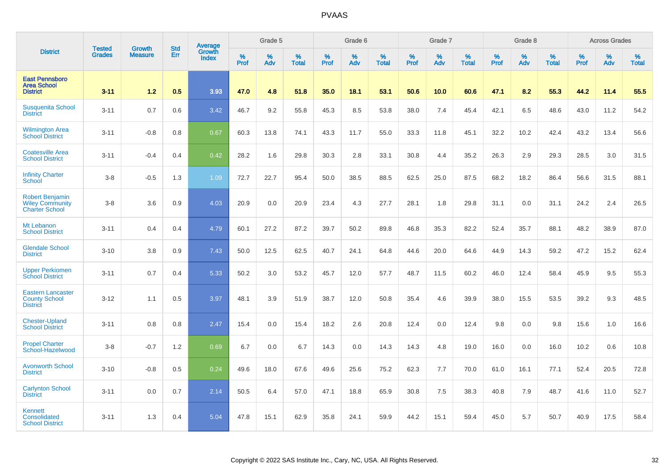|                                                                           |                                |                                 | <b>Std</b> | <b>Average</b>  |           | Grade 5  |                   |           | Grade 6  |                   |           | Grade 7  |                   |                  | Grade 8  |                   |                  | <b>Across Grades</b> |                   |
|---------------------------------------------------------------------------|--------------------------------|---------------------------------|------------|-----------------|-----------|----------|-------------------|-----------|----------|-------------------|-----------|----------|-------------------|------------------|----------|-------------------|------------------|----------------------|-------------------|
| <b>District</b>                                                           | <b>Tested</b><br><b>Grades</b> | <b>Growth</b><br><b>Measure</b> | Err        | Growth<br>Index | %<br>Prof | %<br>Adv | %<br><b>Total</b> | %<br>Prof | %<br>Adv | %<br><b>Total</b> | %<br>Prof | %<br>Adv | %<br><b>Total</b> | %<br><b>Prof</b> | %<br>Adv | %<br><b>Total</b> | %<br><b>Prof</b> | %<br>Adv             | %<br><b>Total</b> |
| <b>East Pennsboro</b><br><b>Area School</b><br><b>District</b>            | $3 - 11$                       | 1.2                             | 0.5        | 3.93            | 47.0      | 4.8      | 51.8              | 35.0      | 18.1     | 53.1              | 50.6      | 10.0     | 60.6              | 47.1             | 8.2      | 55.3              | 44.2             | 11.4                 | 55.5              |
| <b>Susquenita School</b><br><b>District</b>                               | $3 - 11$                       | 0.7                             | 0.6        | 3.42            | 46.7      | 9.2      | 55.8              | 45.3      | 8.5      | 53.8              | 38.0      | 7.4      | 45.4              | 42.1             | 6.5      | 48.6              | 43.0             | 11.2                 | 54.2              |
| <b>Wilmington Area</b><br><b>School District</b>                          | $3 - 11$                       | $-0.8$                          | 0.8        | 0.67            | 60.3      | 13.8     | 74.1              | 43.3      | 11.7     | 55.0              | 33.3      | 11.8     | 45.1              | 32.2             | 10.2     | 42.4              | 43.2             | 13.4                 | 56.6              |
| <b>Coatesville Area</b><br><b>School District</b>                         | $3 - 11$                       | $-0.4$                          | 0.4        | 0.42            | 28.2      | 1.6      | 29.8              | 30.3      | 2.8      | 33.1              | 30.8      | 4.4      | 35.2              | 26.3             | 2.9      | 29.3              | 28.5             | 3.0                  | 31.5              |
| <b>Infinity Charter</b><br><b>School</b>                                  | $3-8$                          | $-0.5$                          | 1.3        | 1.09            | 72.7      | 22.7     | 95.4              | 50.0      | 38.5     | 88.5              | 62.5      | 25.0     | 87.5              | 68.2             | 18.2     | 86.4              | 56.6             | 31.5                 | 88.1              |
| <b>Robert Benjamin</b><br><b>Wiley Community</b><br><b>Charter School</b> | $3-8$                          | 3.6                             | 0.9        | 4.03            | 20.9      | 0.0      | 20.9              | 23.4      | 4.3      | 27.7              | 28.1      | 1.8      | 29.8              | 31.1             | 0.0      | 31.1              | 24.2             | 2.4                  | 26.5              |
| Mt Lebanon<br><b>School District</b>                                      | $3 - 11$                       | 0.4                             | 0.4        | 4.79            | 60.1      | 27.2     | 87.2              | 39.7      | 50.2     | 89.8              | 46.8      | 35.3     | 82.2              | 52.4             | 35.7     | 88.1              | 48.2             | 38.9                 | 87.0              |
| <b>Glendale School</b><br><b>District</b>                                 | $3 - 10$                       | 3.8                             | 0.9        | 7.43            | 50.0      | 12.5     | 62.5              | 40.7      | 24.1     | 64.8              | 44.6      | 20.0     | 64.6              | 44.9             | 14.3     | 59.2              | 47.2             | 15.2                 | 62.4              |
| <b>Upper Perkiomen</b><br><b>School District</b>                          | $3 - 11$                       | 0.7                             | 0.4        | 5.33            | 50.2      | 3.0      | 53.2              | 45.7      | 12.0     | 57.7              | 48.7      | 11.5     | 60.2              | 46.0             | 12.4     | 58.4              | 45.9             | 9.5                  | 55.3              |
| <b>Eastern Lancaster</b><br><b>County School</b><br><b>District</b>       | $3 - 12$                       | 1.1                             | 0.5        | 3.97            | 48.1      | 3.9      | 51.9              | 38.7      | 12.0     | 50.8              | 35.4      | 4.6      | 39.9              | 38.0             | 15.5     | 53.5              | 39.2             | 9.3                  | 48.5              |
| <b>Chester-Upland</b><br><b>School District</b>                           | $3 - 11$                       | 0.8                             | 0.8        | 2.47            | 15.4      | 0.0      | 15.4              | 18.2      | 2.6      | 20.8              | 12.4      | 0.0      | 12.4              | 9.8              | 0.0      | 9.8               | 15.6             | 1.0                  | 16.6              |
| <b>Propel Charter</b><br>School-Hazelwood                                 | $3-8$                          | $-0.7$                          | 1.2        | 0.69            | 6.7       | 0.0      | 6.7               | 14.3      | 0.0      | 14.3              | 14.3      | 4.8      | 19.0              | 16.0             | 0.0      | 16.0              | 10.2             | 0.6                  | 10.8              |
| <b>Avonworth School</b><br><b>District</b>                                | $3 - 10$                       | $-0.8$                          | 0.5        | 0.24            | 49.6      | 18.0     | 67.6              | 49.6      | 25.6     | 75.2              | 62.3      | 7.7      | 70.0              | 61.0             | 16.1     | 77.1              | 52.4             | 20.5                 | 72.8              |
| <b>Carlynton School</b><br><b>District</b>                                | $3 - 11$                       | 0.0                             | 0.7        | 2.14            | 50.5      | 6.4      | 57.0              | 47.1      | 18.8     | 65.9              | 30.8      | 7.5      | 38.3              | 40.8             | 7.9      | 48.7              | 41.6             | 11.0                 | 52.7              |
| Kennett<br>Consolidated<br><b>School District</b>                         | $3 - 11$                       | 1.3                             | 0.4        | 5.04            | 47.8      | 15.1     | 62.9              | 35.8      | 24.1     | 59.9              | 44.2      | 15.1     | 59.4              | 45.0             | 5.7      | 50.7              | 40.9             | 17.5                 | 58.4              |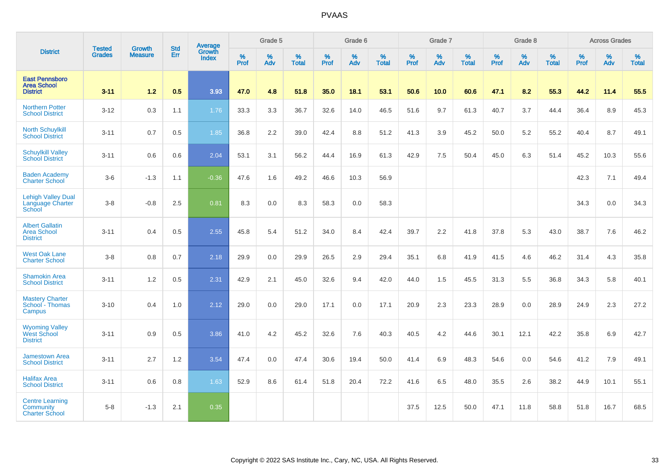|                                                                 |                                | <b>Growth</b>  |                   | Average                |                     | Grade 5  |                   |              | Grade 6  |                   |              | Grade 7  |                   |              | Grade 8  |                   |                     | <b>Across Grades</b> |                   |
|-----------------------------------------------------------------|--------------------------------|----------------|-------------------|------------------------|---------------------|----------|-------------------|--------------|----------|-------------------|--------------|----------|-------------------|--------------|----------|-------------------|---------------------|----------------------|-------------------|
| <b>District</b>                                                 | <b>Tested</b><br><b>Grades</b> | <b>Measure</b> | <b>Std</b><br>Err | Growth<br><b>Index</b> | $\%$<br><b>Prof</b> | %<br>Adv | %<br><b>Total</b> | $\%$<br>Prof | %<br>Adv | %<br><b>Total</b> | $\%$<br>Prof | %<br>Adv | %<br><b>Total</b> | $\%$<br>Prof | %<br>Adv | %<br><b>Total</b> | $\%$<br><b>Prof</b> | %<br>Adv             | %<br><b>Total</b> |
| <b>East Pennsboro</b><br><b>Area School</b><br><b>District</b>  | $3 - 11$                       | $1.2$          | 0.5               | 3.93                   | 47.0                | 4.8      | 51.8              | 35.0         | 18.1     | 53.1              | 50.6         | 10.0     | 60.6              | 47.1         | 8.2      | 55.3              | 44.2                | 11.4                 | 55.5              |
| <b>Northern Potter</b><br><b>School District</b>                | $3 - 12$                       | 0.3            | 1.1               | 1.76                   | 33.3                | 3.3      | 36.7              | 32.6         | 14.0     | 46.5              | 51.6         | 9.7      | 61.3              | 40.7         | 3.7      | 44.4              | 36.4                | 8.9                  | 45.3              |
| <b>North Schuylkill</b><br><b>School District</b>               | $3 - 11$                       | 0.7            | 0.5               | 1.85                   | 36.8                | 2.2      | 39.0              | 42.4         | 8.8      | 51.2              | 41.3         | 3.9      | 45.2              | 50.0         | 5.2      | 55.2              | 40.4                | 8.7                  | 49.1              |
| <b>Schuylkill Valley</b><br><b>School District</b>              | $3 - 11$                       | 0.6            | 0.6               | 2.04                   | 53.1                | 3.1      | 56.2              | 44.4         | 16.9     | 61.3              | 42.9         | 7.5      | 50.4              | 45.0         | 6.3      | 51.4              | 45.2                | 10.3                 | 55.6              |
| <b>Baden Academy</b><br><b>Charter School</b>                   | $3-6$                          | $-1.3$         | 1.1               | $-0.36$                | 47.6                | 1.6      | 49.2              | 46.6         | 10.3     | 56.9              |              |          |                   |              |          |                   | 42.3                | 7.1                  | 49.4              |
| <b>Lehigh Valley Dual</b><br>Language Charter<br>School         | $3 - 8$                        | $-0.8$         | 2.5               | 0.81                   | 8.3                 | 0.0      | 8.3               | 58.3         | 0.0      | 58.3              |              |          |                   |              |          |                   | 34.3                | 0.0                  | 34.3              |
| <b>Albert Gallatin</b><br><b>Area School</b><br><b>District</b> | $3 - 11$                       | 0.4            | 0.5               | 2.55                   | 45.8                | 5.4      | 51.2              | 34.0         | 8.4      | 42.4              | 39.7         | 2.2      | 41.8              | 37.8         | 5.3      | 43.0              | 38.7                | 7.6                  | 46.2              |
| <b>West Oak Lane</b><br><b>Charter School</b>                   | $3-8$                          | 0.8            | 0.7               | 2.18                   | 29.9                | 0.0      | 29.9              | 26.5         | 2.9      | 29.4              | 35.1         | 6.8      | 41.9              | 41.5         | 4.6      | 46.2              | 31.4                | 4.3                  | 35.8              |
| <b>Shamokin Area</b><br><b>School District</b>                  | $3 - 11$                       | 1.2            | 0.5               | 2.31                   | 42.9                | 2.1      | 45.0              | 32.6         | 9.4      | 42.0              | 44.0         | 1.5      | 45.5              | 31.3         | 5.5      | 36.8              | 34.3                | 5.8                  | 40.1              |
| <b>Mastery Charter</b><br>School - Thomas<br>Campus             | $3 - 10$                       | 0.4            | 1.0               | 2.12                   | 29.0                | 0.0      | 29.0              | 17.1         | 0.0      | 17.1              | 20.9         | 2.3      | 23.3              | 28.9         | 0.0      | 28.9              | 24.9                | 2.3                  | 27.2              |
| <b>Wyoming Valley</b><br><b>West School</b><br><b>District</b>  | $3 - 11$                       | 0.9            | 0.5               | 3.86                   | 41.0                | 4.2      | 45.2              | 32.6         | 7.6      | 40.3              | 40.5         | 4.2      | 44.6              | 30.1         | 12.1     | 42.2              | 35.8                | 6.9                  | 42.7              |
| <b>Jamestown Area</b><br><b>School District</b>                 | $3 - 11$                       | 2.7            | 1.2               | 3.54                   | 47.4                | 0.0      | 47.4              | 30.6         | 19.4     | 50.0              | 41.4         | 6.9      | 48.3              | 54.6         | 0.0      | 54.6              | 41.2                | 7.9                  | 49.1              |
| <b>Halifax Area</b><br><b>School District</b>                   | $3 - 11$                       | 0.6            | 0.8               | 1.63                   | 52.9                | 8.6      | 61.4              | 51.8         | 20.4     | 72.2              | 41.6         | 6.5      | 48.0              | 35.5         | 2.6      | 38.2              | 44.9                | 10.1                 | 55.1              |
| <b>Centre Learning</b><br>Community<br><b>Charter School</b>    | $5-8$                          | $-1.3$         | 2.1               | 0.35                   |                     |          |                   |              |          |                   | 37.5         | 12.5     | 50.0              | 47.1         | 11.8     | 58.8              | 51.8                | 16.7                 | 68.5              |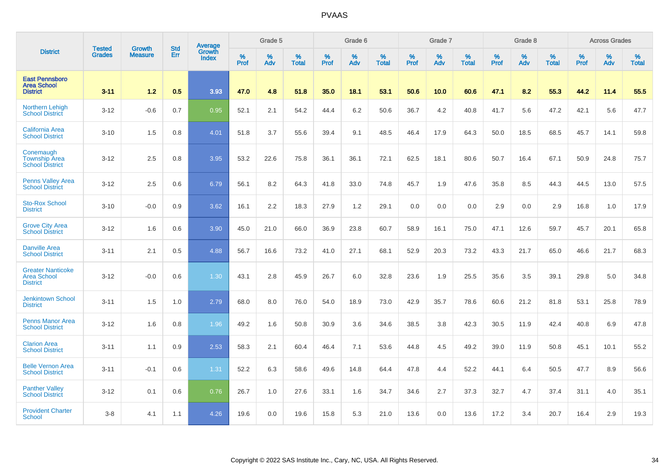|                                                                   |                                |                                 | <b>Std</b> | Average                       |           | Grade 5  |                   |           | Grade 6  |                   |           | Grade 7  |                   |           | Grade 8  |                   |           | <b>Across Grades</b> |                   |
|-------------------------------------------------------------------|--------------------------------|---------------------------------|------------|-------------------------------|-----------|----------|-------------------|-----------|----------|-------------------|-----------|----------|-------------------|-----------|----------|-------------------|-----------|----------------------|-------------------|
| <b>District</b>                                                   | <b>Tested</b><br><b>Grades</b> | <b>Growth</b><br><b>Measure</b> | Err        | <b>Growth</b><br><b>Index</b> | %<br>Prof | %<br>Adv | %<br><b>Total</b> | %<br>Prof | %<br>Adv | %<br><b>Total</b> | %<br>Prof | %<br>Adv | %<br><b>Total</b> | %<br>Prof | %<br>Adv | %<br><b>Total</b> | %<br>Prof | %<br>Adv             | %<br><b>Total</b> |
| <b>East Pennsboro</b><br><b>Area School</b><br><b>District</b>    | $3 - 11$                       | 1.2                             | 0.5        | 3.93                          | 47.0      | 4.8      | 51.8              | 35.0      | 18.1     | 53.1              | 50.6      | 10.0     | 60.6              | 47.1      | 8.2      | 55.3              | 44.2      | 11.4                 | 55.5              |
| <b>Northern Lehigh</b><br><b>School District</b>                  | $3 - 12$                       | $-0.6$                          | 0.7        | 0.95                          | 52.1      | 2.1      | 54.2              | 44.4      | 6.2      | 50.6              | 36.7      | 4.2      | 40.8              | 41.7      | 5.6      | 47.2              | 42.1      | 5.6                  | 47.7              |
| <b>California Area</b><br><b>School District</b>                  | $3 - 10$                       | 1.5                             | 0.8        | 4.01                          | 51.8      | 3.7      | 55.6              | 39.4      | 9.1      | 48.5              | 46.4      | 17.9     | 64.3              | 50.0      | 18.5     | 68.5              | 45.7      | 14.1                 | 59.8              |
| Conemaugh<br><b>Township Area</b><br><b>School District</b>       | $3 - 12$                       | 2.5                             | 0.8        | 3.95                          | 53.2      | 22.6     | 75.8              | 36.1      | 36.1     | 72.1              | 62.5      | 18.1     | 80.6              | 50.7      | 16.4     | 67.1              | 50.9      | 24.8                 | 75.7              |
| <b>Penns Valley Area</b><br><b>School District</b>                | $3 - 12$                       | 2.5                             | 0.6        | 6.79                          | 56.1      | 8.2      | 64.3              | 41.8      | 33.0     | 74.8              | 45.7      | 1.9      | 47.6              | 35.8      | 8.5      | 44.3              | 44.5      | 13.0                 | 57.5              |
| <b>Sto-Rox School</b><br><b>District</b>                          | $3 - 10$                       | $-0.0$                          | 0.9        | 3.62                          | 16.1      | 2.2      | 18.3              | 27.9      | 1.2      | 29.1              | 0.0       | 0.0      | 0.0               | 2.9       | 0.0      | 2.9               | 16.8      | 1.0                  | 17.9              |
| <b>Grove City Area</b><br><b>School District</b>                  | $3 - 12$                       | 1.6                             | 0.6        | 3.90                          | 45.0      | 21.0     | 66.0              | 36.9      | 23.8     | 60.7              | 58.9      | 16.1     | 75.0              | 47.1      | 12.6     | 59.7              | 45.7      | 20.1                 | 65.8              |
| <b>Danville Area</b><br><b>School District</b>                    | $3 - 11$                       | 2.1                             | 0.5        | 4.88                          | 56.7      | 16.6     | 73.2              | 41.0      | 27.1     | 68.1              | 52.9      | 20.3     | 73.2              | 43.3      | 21.7     | 65.0              | 46.6      | 21.7                 | 68.3              |
| <b>Greater Nanticoke</b><br><b>Area School</b><br><b>District</b> | $3 - 12$                       | $-0.0$                          | 0.6        | 1.30                          | 43.1      | 2.8      | 45.9              | 26.7      | 6.0      | 32.8              | 23.6      | 1.9      | 25.5              | 35.6      | 3.5      | 39.1              | 29.8      | 5.0                  | 34.8              |
| <b>Jenkintown School</b><br><b>District</b>                       | $3 - 11$                       | 1.5                             | 1.0        | 2.79                          | 68.0      | 8.0      | 76.0              | 54.0      | 18.9     | 73.0              | 42.9      | 35.7     | 78.6              | 60.6      | 21.2     | 81.8              | 53.1      | 25.8                 | 78.9              |
| <b>Penns Manor Area</b><br><b>School District</b>                 | $3 - 12$                       | 1.6                             | 0.8        | 1.96                          | 49.2      | 1.6      | 50.8              | 30.9      | 3.6      | 34.6              | 38.5      | 3.8      | 42.3              | 30.5      | 11.9     | 42.4              | 40.8      | 6.9                  | 47.8              |
| <b>Clarion Area</b><br><b>School District</b>                     | $3 - 11$                       | 1.1                             | 0.9        | 2.53                          | 58.3      | 2.1      | 60.4              | 46.4      | 7.1      | 53.6              | 44.8      | 4.5      | 49.2              | 39.0      | 11.9     | 50.8              | 45.1      | 10.1                 | 55.2              |
| <b>Belle Vernon Area</b><br><b>School District</b>                | $3 - 11$                       | $-0.1$                          | 0.6        | 1.31                          | 52.2      | 6.3      | 58.6              | 49.6      | 14.8     | 64.4              | 47.8      | 4.4      | 52.2              | 44.1      | 6.4      | 50.5              | 47.7      | 8.9                  | 56.6              |
| <b>Panther Valley</b><br><b>School District</b>                   | $3 - 12$                       | 0.1                             | 0.6        | 0.76                          | 26.7      | 1.0      | 27.6              | 33.1      | 1.6      | 34.7              | 34.6      | 2.7      | 37.3              | 32.7      | 4.7      | 37.4              | 31.1      | 4.0                  | 35.1              |
| <b>Provident Charter</b><br>School                                | $3 - 8$                        | 4.1                             | 1.1        | 4.26                          | 19.6      | 0.0      | 19.6              | 15.8      | 5.3      | 21.0              | 13.6      | 0.0      | 13.6              | 17.2      | 3.4      | 20.7              | 16.4      | 2.9                  | 19.3              |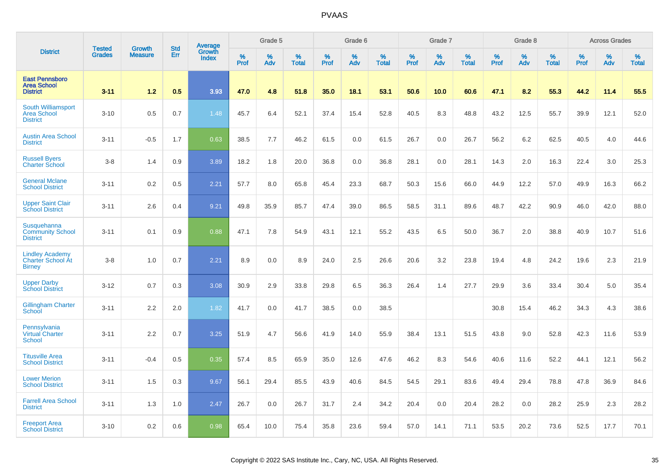|                                                                     | <b>Tested</b> |                                 | <b>Std</b> | Average         |                     | Grade 5  |                   |           | Grade 6  |                   |           | Grade 7  |                   |           | Grade 8  |                   |           | <b>Across Grades</b> |                   |
|---------------------------------------------------------------------|---------------|---------------------------------|------------|-----------------|---------------------|----------|-------------------|-----------|----------|-------------------|-----------|----------|-------------------|-----------|----------|-------------------|-----------|----------------------|-------------------|
| <b>District</b>                                                     | <b>Grades</b> | <b>Growth</b><br><b>Measure</b> | Err        | Growth<br>Index | $\%$<br><b>Prof</b> | %<br>Adv | %<br><b>Total</b> | %<br>Prof | %<br>Adv | %<br><b>Total</b> | %<br>Prof | %<br>Adv | %<br><b>Total</b> | %<br>Prof | %<br>Adv | %<br><b>Total</b> | %<br>Prof | %<br>Adv             | %<br><b>Total</b> |
| <b>East Pennsboro</b><br><b>Area School</b><br><b>District</b>      | $3 - 11$      | 1.2                             | 0.5        | 3.93            | 47.0                | 4.8      | 51.8              | 35.0      | 18.1     | 53.1              | 50.6      | 10.0     | 60.6              | 47.1      | 8.2      | 55.3              | 44.2      | 11.4                 | 55.5              |
| South Williamsport<br><b>Area School</b><br><b>District</b>         | $3 - 10$      | 0.5                             | 0.7        | 1.48            | 45.7                | 6.4      | 52.1              | 37.4      | 15.4     | 52.8              | 40.5      | 8.3      | 48.8              | 43.2      | 12.5     | 55.7              | 39.9      | 12.1                 | 52.0              |
| <b>Austin Area School</b><br><b>District</b>                        | $3 - 11$      | $-0.5$                          | 1.7        | 0.63            | 38.5                | 7.7      | 46.2              | 61.5      | 0.0      | 61.5              | 26.7      | 0.0      | 26.7              | 56.2      | 6.2      | 62.5              | 40.5      | 4.0                  | 44.6              |
| <b>Russell Byers</b><br><b>Charter School</b>                       | $3 - 8$       | 1.4                             | 0.9        | 3.89            | 18.2                | 1.8      | 20.0              | 36.8      | 0.0      | 36.8              | 28.1      | 0.0      | 28.1              | 14.3      | 2.0      | 16.3              | 22.4      | 3.0                  | 25.3              |
| <b>General Mclane</b><br><b>School District</b>                     | $3 - 11$      | 0.2                             | 0.5        | 2.21            | 57.7                | 8.0      | 65.8              | 45.4      | 23.3     | 68.7              | 50.3      | 15.6     | 66.0              | 44.9      | 12.2     | 57.0              | 49.9      | 16.3                 | 66.2              |
| <b>Upper Saint Clair</b><br><b>School District</b>                  | $3 - 11$      | 2.6                             | 0.4        | 9.21            | 49.8                | 35.9     | 85.7              | 47.4      | 39.0     | 86.5              | 58.5      | 31.1     | 89.6              | 48.7      | 42.2     | 90.9              | 46.0      | 42.0                 | 88.0              |
| Susquehanna<br><b>Community School</b><br><b>District</b>           | $3 - 11$      | 0.1                             | 0.9        | 0.88            | 47.1                | 7.8      | 54.9              | 43.1      | 12.1     | 55.2              | 43.5      | 6.5      | 50.0              | 36.7      | 2.0      | 38.8              | 40.9      | 10.7                 | 51.6              |
| <b>Lindley Academy</b><br><b>Charter School At</b><br><b>Birney</b> | $3 - 8$       | 1.0                             | 0.7        | 2.21            | 8.9                 | 0.0      | 8.9               | 24.0      | 2.5      | 26.6              | 20.6      | 3.2      | 23.8              | 19.4      | 4.8      | 24.2              | 19.6      | 2.3                  | 21.9              |
| <b>Upper Darby</b><br><b>School District</b>                        | $3 - 12$      | 0.7                             | 0.3        | 3.08            | 30.9                | 2.9      | 33.8              | 29.8      | 6.5      | 36.3              | 26.4      | 1.4      | 27.7              | 29.9      | 3.6      | 33.4              | 30.4      | 5.0                  | 35.4              |
| <b>Gillingham Charter</b><br>School                                 | $3 - 11$      | 2.2                             | 2.0        | 1.82            | 41.7                | 0.0      | 41.7              | 38.5      | 0.0      | 38.5              |           |          |                   | 30.8      | 15.4     | 46.2              | 34.3      | 4.3                  | 38.6              |
| Pennsylvania<br><b>Virtual Charter</b><br>School                    | $3 - 11$      | 2.2                             | 0.7        | 3.25            | 51.9                | 4.7      | 56.6              | 41.9      | 14.0     | 55.9              | 38.4      | 13.1     | 51.5              | 43.8      | 9.0      | 52.8              | 42.3      | 11.6                 | 53.9              |
| <b>Titusville Area</b><br><b>School District</b>                    | $3 - 11$      | $-0.4$                          | 0.5        | 0.35            | 57.4                | 8.5      | 65.9              | 35.0      | 12.6     | 47.6              | 46.2      | 8.3      | 54.6              | 40.6      | 11.6     | 52.2              | 44.1      | 12.1                 | 56.2              |
| <b>Lower Merion</b><br><b>School District</b>                       | $3 - 11$      | 1.5                             | 0.3        | 9.67            | 56.1                | 29.4     | 85.5              | 43.9      | 40.6     | 84.5              | 54.5      | 29.1     | 83.6              | 49.4      | 29.4     | 78.8              | 47.8      | 36.9                 | 84.6              |
| <b>Farrell Area School</b><br><b>District</b>                       | $3 - 11$      | 1.3                             | 1.0        | 2.47            | 26.7                | 0.0      | 26.7              | 31.7      | 2.4      | 34.2              | 20.4      | 0.0      | 20.4              | 28.2      | 0.0      | 28.2              | 25.9      | 2.3                  | 28.2              |
| <b>Freeport Area</b><br><b>School District</b>                      | $3 - 10$      | 0.2                             | 0.6        | 0.98            | 65.4                | 10.0     | 75.4              | 35.8      | 23.6     | 59.4              | 57.0      | 14.1     | 71.1              | 53.5      | 20.2     | 73.6              | 52.5      | 17.7                 | 70.1              |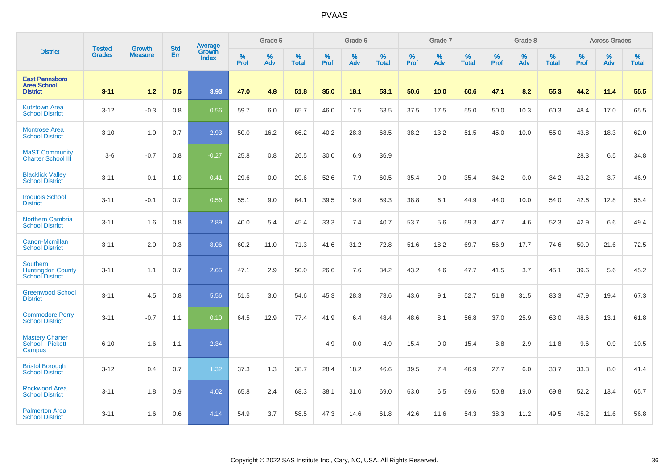|                                                                       |                                |                                 | <b>Std</b> | Average                |           | Grade 5  |                   |           | Grade 6  |                   |           | Grade 7  |                   |           | Grade 8  |                   |           | <b>Across Grades</b> |                   |
|-----------------------------------------------------------------------|--------------------------------|---------------------------------|------------|------------------------|-----------|----------|-------------------|-----------|----------|-------------------|-----------|----------|-------------------|-----------|----------|-------------------|-----------|----------------------|-------------------|
| <b>District</b>                                                       | <b>Tested</b><br><b>Grades</b> | <b>Growth</b><br><b>Measure</b> | Err        | Growth<br><b>Index</b> | %<br>Prof | %<br>Adv | %<br><b>Total</b> | %<br>Prof | %<br>Adv | %<br><b>Total</b> | %<br>Prof | %<br>Adv | %<br><b>Total</b> | %<br>Prof | %<br>Adv | %<br><b>Total</b> | %<br>Prof | %<br>Adv             | %<br><b>Total</b> |
| <b>East Pennsboro</b><br><b>Area School</b><br><b>District</b>        | $3 - 11$                       | 1.2                             | 0.5        | 3.93                   | 47.0      | 4.8      | 51.8              | 35.0      | 18.1     | 53.1              | 50.6      | 10.0     | 60.6              | 47.1      | 8.2      | 55.3              | 44.2      | 11.4                 | 55.5              |
| <b>Kutztown Area</b><br><b>School District</b>                        | $3 - 12$                       | $-0.3$                          | 0.8        | 0.56                   | 59.7      | 6.0      | 65.7              | 46.0      | 17.5     | 63.5              | 37.5      | 17.5     | 55.0              | 50.0      | 10.3     | 60.3              | 48.4      | 17.0                 | 65.5              |
| <b>Montrose Area</b><br><b>School District</b>                        | $3 - 10$                       | 1.0                             | 0.7        | 2.93                   | 50.0      | 16.2     | 66.2              | 40.2      | 28.3     | 68.5              | 38.2      | 13.2     | 51.5              | 45.0      | 10.0     | 55.0              | 43.8      | 18.3                 | 62.0              |
| <b>MaST Community</b><br>Charter School III                           | $3-6$                          | $-0.7$                          | 0.8        | $-0.27$                | 25.8      | 0.8      | 26.5              | 30.0      | 6.9      | 36.9              |           |          |                   |           |          |                   | 28.3      | 6.5                  | 34.8              |
| <b>Blacklick Valley</b><br><b>School District</b>                     | $3 - 11$                       | $-0.1$                          | 1.0        | 0.41                   | 29.6      | 0.0      | 29.6              | 52.6      | 7.9      | 60.5              | 35.4      | 0.0      | 35.4              | 34.2      | 0.0      | 34.2              | 43.2      | 3.7                  | 46.9              |
| <b>Iroquois School</b><br><b>District</b>                             | $3 - 11$                       | $-0.1$                          | 0.7        | 0.56                   | 55.1      | 9.0      | 64.1              | 39.5      | 19.8     | 59.3              | 38.8      | 6.1      | 44.9              | 44.0      | 10.0     | 54.0              | 42.6      | 12.8                 | 55.4              |
| <b>Northern Cambria</b><br><b>School District</b>                     | $3 - 11$                       | 1.6                             | 0.8        | 2.89                   | 40.0      | 5.4      | 45.4              | 33.3      | 7.4      | 40.7              | 53.7      | 5.6      | 59.3              | 47.7      | 4.6      | 52.3              | 42.9      | 6.6                  | 49.4              |
| Canon-Mcmillan<br><b>School District</b>                              | $3 - 11$                       | 2.0                             | 0.3        | 8.06                   | 60.2      | 11.0     | 71.3              | 41.6      | 31.2     | 72.8              | 51.6      | 18.2     | 69.7              | 56.9      | 17.7     | 74.6              | 50.9      | 21.6                 | 72.5              |
| <b>Southern</b><br><b>Huntingdon County</b><br><b>School District</b> | $3 - 11$                       | 1.1                             | 0.7        | 2.65                   | 47.1      | 2.9      | 50.0              | 26.6      | 7.6      | 34.2              | 43.2      | 4.6      | 47.7              | 41.5      | 3.7      | 45.1              | 39.6      | 5.6                  | 45.2              |
| <b>Greenwood School</b><br><b>District</b>                            | $3 - 11$                       | 4.5                             | 0.8        | 5.56                   | 51.5      | 3.0      | 54.6              | 45.3      | 28.3     | 73.6              | 43.6      | 9.1      | 52.7              | 51.8      | 31.5     | 83.3              | 47.9      | 19.4                 | 67.3              |
| <b>Commodore Perry</b><br><b>School District</b>                      | $3 - 11$                       | $-0.7$                          | 1.1        | 0.10                   | 64.5      | 12.9     | 77.4              | 41.9      | 6.4      | 48.4              | 48.6      | 8.1      | 56.8              | 37.0      | 25.9     | 63.0              | 48.6      | 13.1                 | 61.8              |
| <b>Mastery Charter</b><br>School - Pickett<br>Campus                  | $6 - 10$                       | 1.6                             | 1.1        | 2.34                   |           |          |                   | 4.9       | 0.0      | 4.9               | 15.4      | 0.0      | 15.4              | 8.8       | 2.9      | 11.8              | 9.6       | 0.9                  | 10.5              |
| <b>Bristol Borough</b><br><b>School District</b>                      | $3 - 12$                       | 0.4                             | 0.7        | 1.32                   | 37.3      | 1.3      | 38.7              | 28.4      | 18.2     | 46.6              | 39.5      | 7.4      | 46.9              | 27.7      | 6.0      | 33.7              | 33.3      | 8.0                  | 41.4              |
| <b>Rockwood Area</b><br><b>School District</b>                        | $3 - 11$                       | 1.8                             | 0.9        | 4.02                   | 65.8      | 2.4      | 68.3              | 38.1      | 31.0     | 69.0              | 63.0      | 6.5      | 69.6              | 50.8      | 19.0     | 69.8              | 52.2      | 13.4                 | 65.7              |
| <b>Palmerton Area</b><br><b>School District</b>                       | $3 - 11$                       | 1.6                             | 0.6        | 4.14                   | 54.9      | 3.7      | 58.5              | 47.3      | 14.6     | 61.8              | 42.6      | 11.6     | 54.3              | 38.3      | 11.2     | 49.5              | 45.2      | 11.6                 | 56.8              |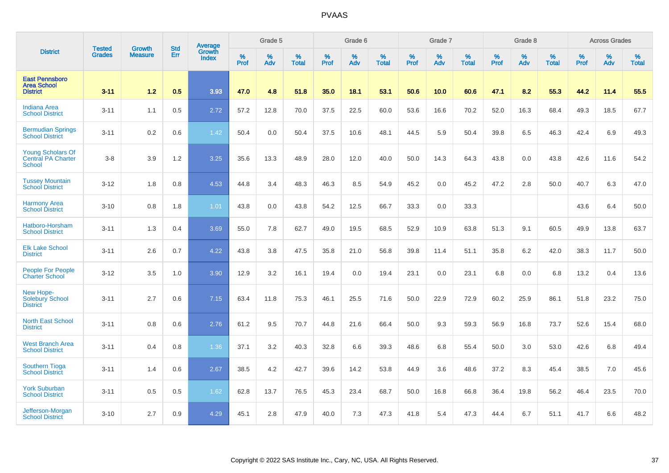|                                                                        |                                |                                 | <b>Std</b> | Average                       |           | Grade 5  |                   |           | Grade 6  |                   |           | Grade 7  |                   |           | Grade 8  |                   |           | <b>Across Grades</b> |                   |
|------------------------------------------------------------------------|--------------------------------|---------------------------------|------------|-------------------------------|-----------|----------|-------------------|-----------|----------|-------------------|-----------|----------|-------------------|-----------|----------|-------------------|-----------|----------------------|-------------------|
| <b>District</b>                                                        | <b>Tested</b><br><b>Grades</b> | <b>Growth</b><br><b>Measure</b> | Err        | <b>Growth</b><br><b>Index</b> | %<br>Prof | %<br>Adv | %<br><b>Total</b> | %<br>Prof | %<br>Adv | %<br><b>Total</b> | %<br>Prof | %<br>Adv | %<br><b>Total</b> | %<br>Prof | %<br>Adv | %<br><b>Total</b> | %<br>Prof | %<br>Adv             | %<br><b>Total</b> |
| <b>East Pennsboro</b><br><b>Area School</b><br><b>District</b>         | $3 - 11$                       | 1.2                             | 0.5        | 3.93                          | 47.0      | 4.8      | 51.8              | 35.0      | 18.1     | 53.1              | 50.6      | 10.0     | 60.6              | 47.1      | 8.2      | 55.3              | 44.2      | 11.4                 | 55.5              |
| <b>Indiana Area</b><br><b>School District</b>                          | $3 - 11$                       | 1.1                             | 0.5        | 2.72                          | 57.2      | 12.8     | 70.0              | 37.5      | 22.5     | 60.0              | 53.6      | 16.6     | 70.2              | 52.0      | 16.3     | 68.4              | 49.3      | 18.5                 | 67.7              |
| <b>Bermudian Springs</b><br><b>School District</b>                     | $3 - 11$                       | 0.2                             | 0.6        | 1.42                          | 50.4      | 0.0      | 50.4              | 37.5      | 10.6     | 48.1              | 44.5      | 5.9      | 50.4              | 39.8      | 6.5      | 46.3              | 42.4      | 6.9                  | 49.3              |
| <b>Young Scholars Of</b><br><b>Central PA Charter</b><br><b>School</b> | $3-8$                          | 3.9                             | 1.2        | 3.25                          | 35.6      | 13.3     | 48.9              | 28.0      | 12.0     | 40.0              | 50.0      | 14.3     | 64.3              | 43.8      | 0.0      | 43.8              | 42.6      | 11.6                 | 54.2              |
| <b>Tussey Mountain</b><br><b>School District</b>                       | $3 - 12$                       | 1.8                             | 0.8        | 4.53                          | 44.8      | 3.4      | 48.3              | 46.3      | 8.5      | 54.9              | 45.2      | 0.0      | 45.2              | 47.2      | 2.8      | 50.0              | 40.7      | 6.3                  | 47.0              |
| <b>Harmony Area</b><br><b>School District</b>                          | $3 - 10$                       | 0.8                             | 1.8        | 1.01                          | 43.8      | 0.0      | 43.8              | 54.2      | 12.5     | 66.7              | 33.3      | 0.0      | 33.3              |           |          |                   | 43.6      | 6.4                  | 50.0              |
| Hatboro-Horsham<br><b>School District</b>                              | $3 - 11$                       | 1.3                             | 0.4        | 3.69                          | 55.0      | 7.8      | 62.7              | 49.0      | 19.5     | 68.5              | 52.9      | 10.9     | 63.8              | 51.3      | 9.1      | 60.5              | 49.9      | 13.8                 | 63.7              |
| <b>Elk Lake School</b><br><b>District</b>                              | $3 - 11$                       | 2.6                             | 0.7        | 4.22                          | 43.8      | 3.8      | 47.5              | 35.8      | 21.0     | 56.8              | 39.8      | 11.4     | 51.1              | 35.8      | 6.2      | 42.0              | 38.3      | 11.7                 | 50.0              |
| People For People<br><b>Charter School</b>                             | $3 - 12$                       | 3.5                             | 1.0        | 3.90                          | 12.9      | 3.2      | 16.1              | 19.4      | 0.0      | 19.4              | 23.1      | 0.0      | 23.1              | 6.8       | 0.0      | 6.8               | 13.2      | 0.4                  | 13.6              |
| New Hope-<br><b>Solebury School</b><br><b>District</b>                 | $3 - 11$                       | 2.7                             | 0.6        | 7.15                          | 63.4      | 11.8     | 75.3              | 46.1      | 25.5     | 71.6              | 50.0      | 22.9     | 72.9              | 60.2      | 25.9     | 86.1              | 51.8      | 23.2                 | 75.0              |
| <b>North East School</b><br><b>District</b>                            | $3 - 11$                       | 0.8                             | 0.6        | 2.76                          | 61.2      | 9.5      | 70.7              | 44.8      | 21.6     | 66.4              | 50.0      | 9.3      | 59.3              | 56.9      | 16.8     | 73.7              | 52.6      | 15.4                 | 68.0              |
| <b>West Branch Area</b><br><b>School District</b>                      | $3 - 11$                       | 0.4                             | 0.8        | 1.36                          | 37.1      | 3.2      | 40.3              | 32.8      | 6.6      | 39.3              | 48.6      | 6.8      | 55.4              | 50.0      | 3.0      | 53.0              | 42.6      | 6.8                  | 49.4              |
| <b>Southern Tioga</b><br><b>School District</b>                        | $3 - 11$                       | 1.4                             | 0.6        | 2.67                          | 38.5      | 4.2      | 42.7              | 39.6      | 14.2     | 53.8              | 44.9      | 3.6      | 48.6              | 37.2      | 8.3      | 45.4              | 38.5      | 7.0                  | 45.6              |
| <b>York Suburban</b><br><b>School District</b>                         | $3 - 11$                       | 0.5                             | 0.5        | 1.62                          | 62.8      | 13.7     | 76.5              | 45.3      | 23.4     | 68.7              | 50.0      | 16.8     | 66.8              | 36.4      | 19.8     | 56.2              | 46.4      | 23.5                 | 70.0              |
| Jefferson-Morgan<br><b>School District</b>                             | $3 - 10$                       | 2.7                             | 0.9        | 4.29                          | 45.1      | 2.8      | 47.9              | 40.0      | 7.3      | 47.3              | 41.8      | 5.4      | 47.3              | 44.4      | 6.7      | 51.1              | 41.7      | 6.6                  | 48.2              |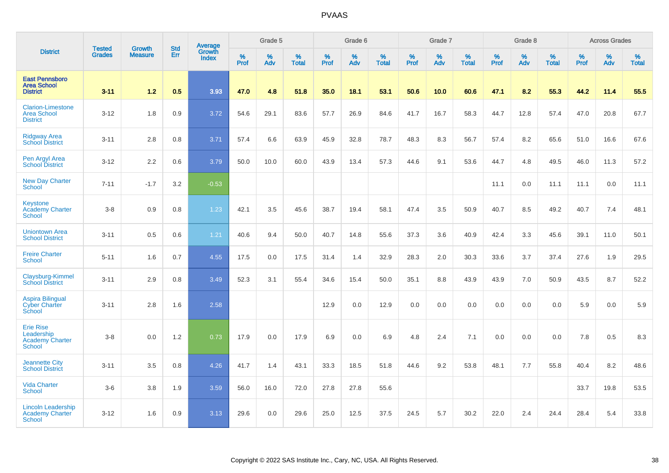|                                                                   |                                |                                 | <b>Std</b> | Average                |           | Grade 5  |                   |           | Grade 6  |                   |           | Grade 7  |                   |           | Grade 8  |                   |           | <b>Across Grades</b> |                   |
|-------------------------------------------------------------------|--------------------------------|---------------------------------|------------|------------------------|-----------|----------|-------------------|-----------|----------|-------------------|-----------|----------|-------------------|-----------|----------|-------------------|-----------|----------------------|-------------------|
| <b>District</b>                                                   | <b>Tested</b><br><b>Grades</b> | <b>Growth</b><br><b>Measure</b> | Err        | Growth<br><b>Index</b> | %<br>Prof | %<br>Adv | %<br><b>Total</b> | %<br>Prof | %<br>Adv | %<br><b>Total</b> | %<br>Prof | %<br>Adv | %<br><b>Total</b> | %<br>Prof | %<br>Adv | %<br><b>Total</b> | %<br>Prof | %<br>Adv             | %<br><b>Total</b> |
| <b>East Pennsboro</b><br><b>Area School</b><br><b>District</b>    | $3 - 11$                       | 1.2                             | 0.5        | 3.93                   | 47.0      | 4.8      | 51.8              | 35.0      | 18.1     | 53.1              | 50.6      | 10.0     | 60.6              | 47.1      | 8.2      | 55.3              | 44.2      | 11.4                 | 55.5              |
| <b>Clarion-Limestone</b><br><b>Area School</b><br><b>District</b> | $3 - 12$                       | 1.8                             | 0.9        | 3.72                   | 54.6      | 29.1     | 83.6              | 57.7      | 26.9     | 84.6              | 41.7      | 16.7     | 58.3              | 44.7      | 12.8     | 57.4              | 47.0      | 20.8                 | 67.7              |
| <b>Ridgway Area</b><br><b>School District</b>                     | $3 - 11$                       | 2.8                             | 0.8        | 3.71                   | 57.4      | 6.6      | 63.9              | 45.9      | 32.8     | 78.7              | 48.3      | 8.3      | 56.7              | 57.4      | 8.2      | 65.6              | 51.0      | 16.6                 | 67.6              |
| Pen Argyl Area<br><b>School District</b>                          | $3 - 12$                       | 2.2                             | 0.6        | 3.79                   | 50.0      | 10.0     | 60.0              | 43.9      | 13.4     | 57.3              | 44.6      | 9.1      | 53.6              | 44.7      | 4.8      | 49.5              | 46.0      | 11.3                 | 57.2              |
| <b>New Day Charter</b><br>School                                  | $7 - 11$                       | $-1.7$                          | 3.2        | $-0.53$                |           |          |                   |           |          |                   |           |          |                   | 11.1      | 0.0      | 11.1              | 11.1      | 0.0                  | 11.1              |
| <b>Keystone</b><br><b>Academy Charter</b><br><b>School</b>        | $3-8$                          | 0.9                             | 0.8        | 1.23                   | 42.1      | 3.5      | 45.6              | 38.7      | 19.4     | 58.1              | 47.4      | 3.5      | 50.9              | 40.7      | 8.5      | 49.2              | 40.7      | 7.4                  | 48.1              |
| <b>Uniontown Area</b><br><b>School District</b>                   | $3 - 11$                       | 0.5                             | 0.6        | 1.21                   | 40.6      | 9.4      | 50.0              | 40.7      | 14.8     | 55.6              | 37.3      | 3.6      | 40.9              | 42.4      | 3.3      | 45.6              | 39.1      | 11.0                 | 50.1              |
| <b>Freire Charter</b><br><b>School</b>                            | $5 - 11$                       | 1.6                             | 0.7        | 4.55                   | 17.5      | 0.0      | 17.5              | 31.4      | 1.4      | 32.9              | 28.3      | 2.0      | 30.3              | 33.6      | 3.7      | 37.4              | 27.6      | 1.9                  | 29.5              |
| Claysburg-Kimmel<br><b>School District</b>                        | $3 - 11$                       | 2.9                             | 0.8        | 3.49                   | 52.3      | 3.1      | 55.4              | 34.6      | 15.4     | 50.0              | 35.1      | 8.8      | 43.9              | 43.9      | 7.0      | 50.9              | 43.5      | 8.7                  | 52.2              |
| <b>Aspira Bilingual</b><br><b>Cyber Charter</b><br>School         | $3 - 11$                       | 2.8                             | 1.6        | 2.58                   |           |          |                   | 12.9      | 0.0      | 12.9              | 0.0       | 0.0      | 0.0               | 0.0       | 0.0      | 0.0               | 5.9       | 0.0                  | 5.9               |
| <b>Erie Rise</b><br>Leadership<br>Academy Charter<br>School       | $3 - 8$                        | 0.0                             | 1.2        | 0.73                   | 17.9      | 0.0      | 17.9              | 6.9       | 0.0      | 6.9               | 4.8       | 2.4      | 7.1               | 0.0       | 0.0      | 0.0               | 7.8       | 0.5                  | 8.3               |
| <b>Jeannette City</b><br><b>School District</b>                   | $3 - 11$                       | 3.5                             | 0.8        | 4.26                   | 41.7      | 1.4      | 43.1              | 33.3      | 18.5     | 51.8              | 44.6      | 9.2      | 53.8              | 48.1      | 7.7      | 55.8              | 40.4      | 8.2                  | 48.6              |
| <b>Vida Charter</b><br><b>School</b>                              | $3-6$                          | 3.8                             | 1.9        | 3.59                   | 56.0      | 16.0     | 72.0              | 27.8      | 27.8     | 55.6              |           |          |                   |           |          |                   | 33.7      | 19.8                 | 53.5              |
| <b>Lincoln Leadership</b><br><b>Academy Charter</b><br>School     | $3 - 12$                       | 1.6                             | 0.9        | 3.13                   | 29.6      | 0.0      | 29.6              | 25.0      | 12.5     | 37.5              | 24.5      | 5.7      | 30.2              | 22.0      | 2.4      | 24.4              | 28.4      | 5.4                  | 33.8              |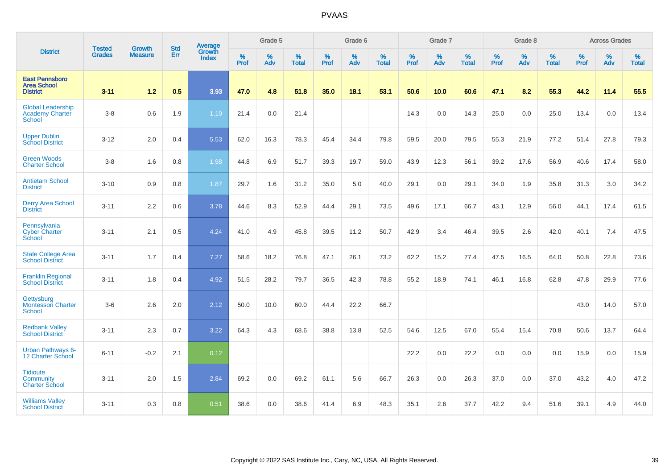|                                                                     |                                |                                 | <b>Std</b> | Average                |                     | Grade 5  |                   |           | Grade 6  |                   |                  | Grade 7  |                   |           | Grade 8  |                   |                  | <b>Across Grades</b> |                   |
|---------------------------------------------------------------------|--------------------------------|---------------------------------|------------|------------------------|---------------------|----------|-------------------|-----------|----------|-------------------|------------------|----------|-------------------|-----------|----------|-------------------|------------------|----------------------|-------------------|
| <b>District</b>                                                     | <b>Tested</b><br><b>Grades</b> | <b>Growth</b><br><b>Measure</b> | Err        | Growth<br><b>Index</b> | $\%$<br><b>Prof</b> | %<br>Adv | %<br><b>Total</b> | %<br>Prof | %<br>Adv | %<br><b>Total</b> | %<br><b>Prof</b> | %<br>Adv | %<br><b>Total</b> | %<br>Prof | %<br>Adv | %<br><b>Total</b> | %<br><b>Prof</b> | %<br>Adv             | %<br><b>Total</b> |
| <b>East Pennsboro</b><br><b>Area School</b><br><b>District</b>      | $3 - 11$                       | 1.2                             | 0.5        | 3.93                   | 47.0                | 4.8      | 51.8              | 35.0      | 18.1     | 53.1              | 50.6             | 10.0     | 60.6              | 47.1      | 8.2      | 55.3              | 44.2             | 11.4                 | 55.5              |
| <b>Global Leadership</b><br><b>Academy Charter</b><br><b>School</b> | $3-8$                          | 0.6                             | 1.9        | 1.10                   | 21.4                | 0.0      | 21.4              |           |          |                   | 14.3             | 0.0      | 14.3              | 25.0      | 0.0      | 25.0              | 13.4             | 0.0                  | 13.4              |
| <b>Upper Dublin</b><br><b>School District</b>                       | $3 - 12$                       | 2.0                             | 0.4        | 5.53                   | 62.0                | 16.3     | 78.3              | 45.4      | 34.4     | 79.8              | 59.5             | 20.0     | 79.5              | 55.3      | 21.9     | 77.2              | 51.4             | 27.8                 | 79.3              |
| <b>Green Woods</b><br><b>Charter School</b>                         | $3 - 8$                        | 1.6                             | 0.8        | 1.98                   | 44.8                | 6.9      | 51.7              | 39.3      | 19.7     | 59.0              | 43.9             | 12.3     | 56.1              | 39.2      | 17.6     | 56.9              | 40.6             | 17.4                 | 58.0              |
| <b>Antietam School</b><br><b>District</b>                           | $3 - 10$                       | 0.9                             | 0.8        | 1.87                   | 29.7                | 1.6      | 31.2              | 35.0      | 5.0      | 40.0              | 29.1             | 0.0      | 29.1              | 34.0      | 1.9      | 35.8              | 31.3             | 3.0                  | 34.2              |
| <b>Derry Area School</b><br><b>District</b>                         | $3 - 11$                       | 2.2                             | 0.6        | 3.78                   | 44.6                | 8.3      | 52.9              | 44.4      | 29.1     | 73.5              | 49.6             | 17.1     | 66.7              | 43.1      | 12.9     | 56.0              | 44.1             | 17.4                 | 61.5              |
| Pennsylvania<br><b>Cyber Charter</b><br>School                      | $3 - 11$                       | 2.1                             | 0.5        | 4.24                   | 41.0                | 4.9      | 45.8              | 39.5      | 11.2     | 50.7              | 42.9             | 3.4      | 46.4              | 39.5      | 2.6      | 42.0              | 40.1             | 7.4                  | 47.5              |
| <b>State College Area</b><br><b>School District</b>                 | $3 - 11$                       | 1.7                             | 0.4        | 7.27                   | 58.6                | 18.2     | 76.8              | 47.1      | 26.1     | 73.2              | 62.2             | 15.2     | 77.4              | 47.5      | 16.5     | 64.0              | 50.8             | 22.8                 | 73.6              |
| <b>Franklin Regional</b><br><b>School District</b>                  | $3 - 11$                       | 1.8                             | 0.4        | 4.92                   | 51.5                | 28.2     | 79.7              | 36.5      | 42.3     | 78.8              | 55.2             | 18.9     | 74.1              | 46.1      | 16.8     | 62.8              | 47.8             | 29.9                 | 77.6              |
| Gettysburg<br>Montessori Charter<br><b>School</b>                   | $3-6$                          | 2.6                             | 2.0        | 2.12                   | 50.0                | 10.0     | 60.0              | 44.4      | 22.2     | 66.7              |                  |          |                   |           |          |                   | 43.0             | 14.0                 | 57.0              |
| <b>Redbank Valley</b><br><b>School District</b>                     | $3 - 11$                       | 2.3                             | 0.7        | 3.22                   | 64.3                | 4.3      | 68.6              | 38.8      | 13.8     | 52.5              | 54.6             | 12.5     | 67.0              | 55.4      | 15.4     | 70.8              | 50.6             | 13.7                 | 64.4              |
| <b>Urban Pathways 6-</b><br>12 Charter School                       | $6 - 11$                       | $-0.2$                          | 2.1        | 0.12                   |                     |          |                   |           |          |                   | 22.2             | 0.0      | 22.2              | 0.0       | 0.0      | 0.0               | 15.9             | 0.0                  | 15.9              |
| <b>Tidioute</b><br>Community<br><b>Charter School</b>               | $3 - 11$                       | 2.0                             | 1.5        | 2.84                   | 69.2                | 0.0      | 69.2              | 61.1      | 5.6      | 66.7              | 26.3             | 0.0      | 26.3              | 37.0      | 0.0      | 37.0              | 43.2             | 4.0                  | 47.2              |
| <b>Williams Valley</b><br><b>School District</b>                    | $3 - 11$                       | 0.3                             | 0.8        | 0.51                   | 38.6                | 0.0      | 38.6              | 41.4      | 6.9      | 48.3              | 35.1             | 2.6      | 37.7              | 42.2      | 9.4      | 51.6              | 39.1             | 4.9                  | 44.0              |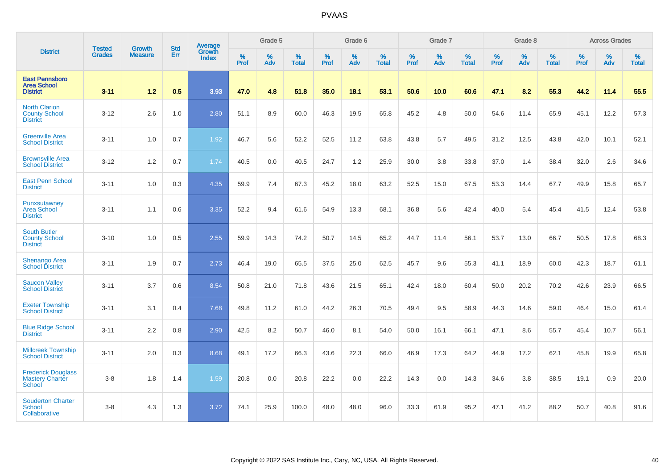|                                                                 |                                |                                 |                   | <b>Average</b>                |           | Grade 5  |                   |           | Grade 6  |                   |           | Grade 7  |                   |           | Grade 8  |                   |                  | <b>Across Grades</b> |                   |
|-----------------------------------------------------------------|--------------------------------|---------------------------------|-------------------|-------------------------------|-----------|----------|-------------------|-----------|----------|-------------------|-----------|----------|-------------------|-----------|----------|-------------------|------------------|----------------------|-------------------|
| <b>District</b>                                                 | <b>Tested</b><br><b>Grades</b> | <b>Growth</b><br><b>Measure</b> | <b>Std</b><br>Err | <b>Growth</b><br><b>Index</b> | %<br>Prof | %<br>Adv | %<br><b>Total</b> | %<br>Prof | %<br>Adv | %<br><b>Total</b> | %<br>Prof | %<br>Adv | %<br><b>Total</b> | %<br>Prof | %<br>Adv | %<br><b>Total</b> | %<br><b>Prof</b> | %<br>Adv             | %<br><b>Total</b> |
| <b>East Pennsboro</b><br><b>Area School</b><br><b>District</b>  | $3 - 11$                       | 1.2                             | 0.5               | 3.93                          | 47.0      | 4.8      | 51.8              | 35.0      | 18.1     | 53.1              | 50.6      | 10.0     | 60.6              | 47.1      | 8.2      | 55.3              | 44.2             | 11.4                 | 55.5              |
| <b>North Clarion</b><br><b>County School</b><br><b>District</b> | $3 - 12$                       | 2.6                             | 1.0               | 2.80                          | 51.1      | 8.9      | 60.0              | 46.3      | 19.5     | 65.8              | 45.2      | 4.8      | 50.0              | 54.6      | 11.4     | 65.9              | 45.1             | 12.2                 | 57.3              |
| <b>Greenville Area</b><br><b>School District</b>                | $3 - 11$                       | 1.0                             | 0.7               | 1.92                          | 46.7      | 5.6      | 52.2              | 52.5      | 11.2     | 63.8              | 43.8      | 5.7      | 49.5              | 31.2      | 12.5     | 43.8              | 42.0             | 10.1                 | 52.1              |
| <b>Brownsville Area</b><br><b>School District</b>               | $3 - 12$                       | 1.2                             | 0.7               | 1.74                          | 40.5      | 0.0      | 40.5              | 24.7      | 1.2      | 25.9              | 30.0      | 3.8      | 33.8              | 37.0      | 1.4      | 38.4              | 32.0             | 2.6                  | 34.6              |
| <b>East Penn School</b><br><b>District</b>                      | $3 - 11$                       | 1.0                             | 0.3               | 4.35                          | 59.9      | 7.4      | 67.3              | 45.2      | 18.0     | 63.2              | 52.5      | 15.0     | 67.5              | 53.3      | 14.4     | 67.7              | 49.9             | 15.8                 | 65.7              |
| Punxsutawney<br><b>Area School</b><br><b>District</b>           | $3 - 11$                       | 1.1                             | 0.6               | 3.35                          | 52.2      | 9.4      | 61.6              | 54.9      | 13.3     | 68.1              | 36.8      | 5.6      | 42.4              | 40.0      | 5.4      | 45.4              | 41.5             | 12.4                 | 53.8              |
| <b>South Butler</b><br><b>County School</b><br><b>District</b>  | $3 - 10$                       | 1.0                             | 0.5               | 2.55                          | 59.9      | 14.3     | 74.2              | 50.7      | 14.5     | 65.2              | 44.7      | 11.4     | 56.1              | 53.7      | 13.0     | 66.7              | 50.5             | 17.8                 | 68.3              |
| <b>Shenango Area</b><br><b>School District</b>                  | $3 - 11$                       | 1.9                             | 0.7               | 2.73                          | 46.4      | 19.0     | 65.5              | 37.5      | 25.0     | 62.5              | 45.7      | 9.6      | 55.3              | 41.1      | 18.9     | 60.0              | 42.3             | 18.7                 | 61.1              |
| <b>Saucon Valley</b><br><b>School District</b>                  | $3 - 11$                       | 3.7                             | 0.6               | 8.54                          | 50.8      | 21.0     | 71.8              | 43.6      | 21.5     | 65.1              | 42.4      | 18.0     | 60.4              | 50.0      | 20.2     | 70.2              | 42.6             | 23.9                 | 66.5              |
| <b>Exeter Township</b><br><b>School District</b>                | $3 - 11$                       | 3.1                             | 0.4               | 7.68                          | 49.8      | 11.2     | 61.0              | 44.2      | 26.3     | 70.5              | 49.4      | 9.5      | 58.9              | 44.3      | 14.6     | 59.0              | 46.4             | 15.0                 | 61.4              |
| <b>Blue Ridge School</b><br><b>District</b>                     | $3 - 11$                       | 2.2                             | 0.8               | 2.90                          | 42.5      | 8.2      | 50.7              | 46.0      | 8.1      | 54.0              | 50.0      | 16.1     | 66.1              | 47.1      | 8.6      | 55.7              | 45.4             | 10.7                 | 56.1              |
| <b>Millcreek Township</b><br><b>School District</b>             | $3 - 11$                       | 2.0                             | 0.3               | 8.68                          | 49.1      | 17.2     | 66.3              | 43.6      | 22.3     | 66.0              | 46.9      | 17.3     | 64.2              | 44.9      | 17.2     | 62.1              | 45.8             | 19.9                 | 65.8              |
| <b>Frederick Douglass</b><br><b>Mastery Charter</b><br>School   | $3-8$                          | 1.8                             | 1.4               | 1.59                          | 20.8      | 0.0      | 20.8              | 22.2      | 0.0      | 22.2              | 14.3      | 0.0      | 14.3              | 34.6      | 3.8      | 38.5              | 19.1             | 0.9                  | 20.0              |
| <b>Souderton Charter</b><br><b>School</b><br>Collaborative      | $3 - 8$                        | 4.3                             | 1.3               | 3.72                          | 74.1      | 25.9     | 100.0             | 48.0      | 48.0     | 96.0              | 33.3      | 61.9     | 95.2              | 47.1      | 41.2     | 88.2              | 50.7             | 40.8                 | 91.6              |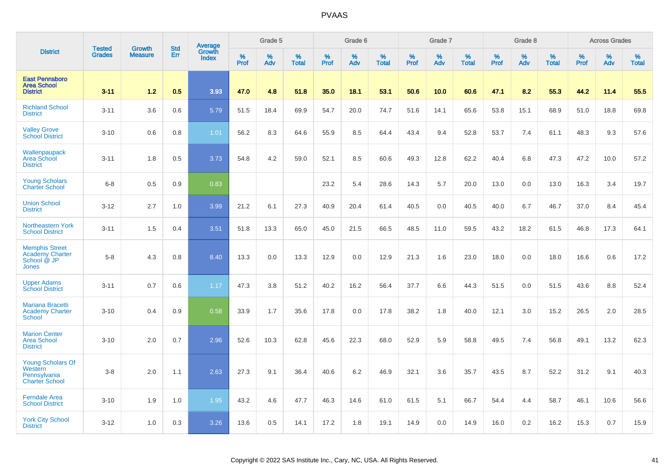|                                                                                |                         | <b>Growth</b>  | <b>Std</b> | Average                |                     | Grade 5  |                      |                  | Grade 6  |                      |                     | Grade 7     |                      |                     | Grade 8     |                      |              | <b>Across Grades</b> |                   |
|--------------------------------------------------------------------------------|-------------------------|----------------|------------|------------------------|---------------------|----------|----------------------|------------------|----------|----------------------|---------------------|-------------|----------------------|---------------------|-------------|----------------------|--------------|----------------------|-------------------|
| <b>District</b>                                                                | <b>Tested</b><br>Grades | <b>Measure</b> | Err        | Growth<br><b>Index</b> | $\%$<br><b>Prof</b> | %<br>Adv | $\%$<br><b>Total</b> | %<br><b>Prof</b> | %<br>Adv | $\%$<br><b>Total</b> | $\%$<br><b>Prof</b> | $\%$<br>Adv | $\%$<br><b>Total</b> | $\%$<br><b>Prof</b> | $\%$<br>Adv | $\%$<br><b>Total</b> | $\%$<br>Prof | $\%$<br>Adv          | %<br><b>Total</b> |
| <b>East Pennsboro</b><br><b>Area School</b><br><b>District</b>                 | $3 - 11$                | 1.2            | 0.5        | 3.93                   | 47.0                | 4.8      | 51.8                 | 35.0             | 18.1     | 53.1                 | 50.6                | 10.0        | 60.6                 | 47.1                | 8.2         | 55.3                 | 44.2         | 11.4                 | 55.5              |
| <b>Richland School</b><br><b>District</b>                                      | $3 - 11$                | 3.6            | 0.6        | 5.79                   | 51.5                | 18.4     | 69.9                 | 54.7             | 20.0     | 74.7                 | 51.6                | 14.1        | 65.6                 | 53.8                | 15.1        | 68.9                 | 51.0         | 18.8                 | 69.8              |
| <b>Valley Grove</b><br><b>School District</b>                                  | $3 - 10$                | 0.6            | 0.8        | 1.01                   | 56.2                | 8.3      | 64.6                 | 55.9             | 8.5      | 64.4                 | 43.4                | 9.4         | 52.8                 | 53.7                | 7.4         | 61.1                 | 48.3         | 9.3                  | 57.6              |
| Wallenpaupack<br>Area School<br><b>District</b>                                | $3 - 11$                | 1.8            | 0.5        | 3.73                   | 54.8                | 4.2      | 59.0                 | 52.1             | 8.5      | 60.6                 | 49.3                | 12.8        | 62.2                 | 40.4                | 6.8         | 47.3                 | 47.2         | 10.0                 | 57.2              |
| <b>Young Scholars</b><br><b>Charter School</b>                                 | $6 - 8$                 | 0.5            | 0.9        | 0.83                   |                     |          |                      | 23.2             | 5.4      | 28.6                 | 14.3                | 5.7         | 20.0                 | 13.0                | 0.0         | 13.0                 | 16.3         | 3.4                  | 19.7              |
| <b>Union School</b><br><b>District</b>                                         | $3 - 12$                | 2.7            | 1.0        | 3.99                   | 21.2                | 6.1      | 27.3                 | 40.9             | 20.4     | 61.4                 | 40.5                | 0.0         | 40.5                 | 40.0                | 6.7         | 46.7                 | 37.0         | 8.4                  | 45.4              |
| Northeastern York<br><b>School District</b>                                    | $3 - 11$                | 1.5            | 0.4        | 3.51                   | 51.8                | 13.3     | 65.0                 | 45.0             | 21.5     | 66.5                 | 48.5                | 11.0        | 59.5                 | 43.2                | 18.2        | 61.5                 | 46.8         | 17.3                 | 64.1              |
| <b>Memphis Street</b><br><b>Academy Charter</b><br>School @ JP<br><b>Jones</b> | $5-8$                   | 4.3            | 0.8        | 8.40                   | 13.3                | 0.0      | 13.3                 | 12.9             | 0.0      | 12.9                 | 21.3                | 1.6         | 23.0                 | 18.0                | 0.0         | 18.0                 | 16.6         | 0.6                  | 17.2              |
| <b>Upper Adams</b><br><b>School District</b>                                   | $3 - 11$                | 0.7            | 0.6        | 1.17                   | 47.3                | 3.8      | 51.2                 | 40.2             | 16.2     | 56.4                 | 37.7                | 6.6         | 44.3                 | 51.5                | 0.0         | 51.5                 | 43.6         | 8.8                  | 52.4              |
| Mariana Bracetti<br><b>Academy Charter</b><br><b>School</b>                    | $3 - 10$                | 0.4            | 0.9        | 0.58                   | 33.9                | 1.7      | 35.6                 | 17.8             | 0.0      | 17.8                 | 38.2                | 1.8         | 40.0                 | 12.1                | 3.0         | 15.2                 | 26.5         | 2.0                  | 28.5              |
| <b>Marion Center</b><br><b>Area School</b><br><b>District</b>                  | $3 - 10$                | 2.0            | 0.7        | 2.96                   | 52.6                | 10.3     | 62.8                 | 45.6             | 22.3     | 68.0                 | 52.9                | 5.9         | 58.8                 | 49.5                | 7.4         | 56.8                 | 49.1         | 13.2                 | 62.3              |
| <b>Young Scholars Of</b><br>Western<br>Pennsylvania<br><b>Charter School</b>   | $3-8$                   | 2.0            | 1.1        | 2.63                   | 27.3                | 9.1      | 36.4                 | 40.6             | 6.2      | 46.9                 | 32.1                | 3.6         | 35.7                 | 43.5                | 8.7         | 52.2                 | 31.2         | 9.1                  | 40.3              |
| <b>Ferndale Area</b><br><b>School District</b>                                 | $3 - 10$                | 1.9            | 1.0        | 1.95                   | 43.2                | 4.6      | 47.7                 | 46.3             | 14.6     | 61.0                 | 61.5                | 5.1         | 66.7                 | 54.4                | 4.4         | 58.7                 | 46.1         | 10.6                 | 56.6              |
| <b>York City School</b><br><b>District</b>                                     | $3 - 12$                | 1.0            | 0.3        | 3.26                   | 13.6                | 0.5      | 14.1                 | 17.2             | 1.8      | 19.1                 | 14.9                | 0.0         | 14.9                 | 16.0                | 0.2         | 16.2                 | 15.3         | 0.7                  | 15.9              |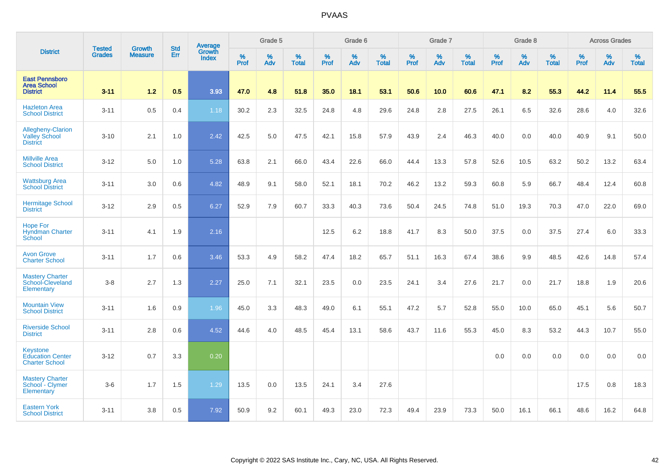|                                                                     |                                |                                 | <b>Std</b> | Average                       |                  | Grade 5  |                   |           | Grade 6  |                   |           | Grade 7  |                   |           | Grade 8  |                   |           | <b>Across Grades</b> |                   |
|---------------------------------------------------------------------|--------------------------------|---------------------------------|------------|-------------------------------|------------------|----------|-------------------|-----------|----------|-------------------|-----------|----------|-------------------|-----------|----------|-------------------|-----------|----------------------|-------------------|
| <b>District</b>                                                     | <b>Tested</b><br><b>Grades</b> | <b>Growth</b><br><b>Measure</b> | Err        | <b>Growth</b><br><b>Index</b> | %<br><b>Prof</b> | %<br>Adv | %<br><b>Total</b> | %<br>Prof | %<br>Adv | %<br><b>Total</b> | %<br>Prof | %<br>Adv | %<br><b>Total</b> | %<br>Prof | %<br>Adv | %<br><b>Total</b> | %<br>Prof | %<br>Adv             | %<br><b>Total</b> |
| <b>East Pennsboro</b><br><b>Area School</b><br><b>District</b>      | $3 - 11$                       | 1.2                             | 0.5        | 3.93                          | 47.0             | 4.8      | 51.8              | 35.0      | 18.1     | 53.1              | 50.6      | 10.0     | 60.6              | 47.1      | 8.2      | 55.3              | 44.2      | 11.4                 | 55.5              |
| <b>Hazleton Area</b><br><b>School District</b>                      | $3 - 11$                       | 0.5                             | 0.4        | 1.18                          | 30.2             | 2.3      | 32.5              | 24.8      | 4.8      | 29.6              | 24.8      | 2.8      | 27.5              | 26.1      | 6.5      | 32.6              | 28.6      | 4.0                  | 32.6              |
| <b>Allegheny-Clarion</b><br><b>Valley School</b><br><b>District</b> | $3 - 10$                       | 2.1                             | 1.0        | 2.42                          | 42.5             | 5.0      | 47.5              | 42.1      | 15.8     | 57.9              | 43.9      | 2.4      | 46.3              | 40.0      | 0.0      | 40.0              | 40.9      | 9.1                  | 50.0              |
| <b>Millville Area</b><br><b>School District</b>                     | $3 - 12$                       | 5.0                             | 1.0        | 5.28                          | 63.8             | 2.1      | 66.0              | 43.4      | 22.6     | 66.0              | 44.4      | 13.3     | 57.8              | 52.6      | 10.5     | 63.2              | 50.2      | 13.2                 | 63.4              |
| <b>Wattsburg Area</b><br><b>School District</b>                     | $3 - 11$                       | 3.0                             | 0.6        | 4.82                          | 48.9             | 9.1      | 58.0              | 52.1      | 18.1     | 70.2              | 46.2      | 13.2     | 59.3              | 60.8      | 5.9      | 66.7              | 48.4      | 12.4                 | 60.8              |
| <b>Hermitage School</b><br><b>District</b>                          | $3 - 12$                       | 2.9                             | 0.5        | 6.27                          | 52.9             | 7.9      | 60.7              | 33.3      | 40.3     | 73.6              | 50.4      | 24.5     | 74.8              | 51.0      | 19.3     | 70.3              | 47.0      | 22.0                 | 69.0              |
| <b>Hope For</b><br><b>Hyndman Charter</b><br>School                 | $3 - 11$                       | 4.1                             | 1.9        | 2.16                          |                  |          |                   | 12.5      | 6.2      | 18.8              | 41.7      | 8.3      | 50.0              | 37.5      | 0.0      | 37.5              | 27.4      | 6.0                  | 33.3              |
| <b>Avon Grove</b><br><b>Charter School</b>                          | $3 - 11$                       | 1.7                             | 0.6        | 3.46                          | 53.3             | 4.9      | 58.2              | 47.4      | 18.2     | 65.7              | 51.1      | 16.3     | 67.4              | 38.6      | 9.9      | 48.5              | 42.6      | 14.8                 | 57.4              |
| <b>Mastery Charter</b><br>School-Cleveland<br>Elementary            | $3-8$                          | 2.7                             | 1.3        | 2.27                          | 25.0             | 7.1      | 32.1              | 23.5      | 0.0      | 23.5              | 24.1      | 3.4      | 27.6              | 21.7      | 0.0      | 21.7              | 18.8      | 1.9                  | 20.6              |
| <b>Mountain View</b><br><b>School District</b>                      | $3 - 11$                       | 1.6                             | 0.9        | 1.96                          | 45.0             | 3.3      | 48.3              | 49.0      | 6.1      | 55.1              | 47.2      | 5.7      | 52.8              | 55.0      | 10.0     | 65.0              | 45.1      | 5.6                  | 50.7              |
| <b>Riverside School</b><br><b>District</b>                          | $3 - 11$                       | 2.8                             | 0.6        | 4.52                          | 44.6             | 4.0      | 48.5              | 45.4      | 13.1     | 58.6              | 43.7      | 11.6     | 55.3              | 45.0      | 8.3      | 53.2              | 44.3      | 10.7                 | 55.0              |
| Keystone<br><b>Education Center</b><br><b>Charter School</b>        | $3 - 12$                       | 0.7                             | 3.3        | 0.20                          |                  |          |                   |           |          |                   |           |          |                   | 0.0       | 0.0      | 0.0               | 0.0       | 0.0                  | 0.0               |
| <b>Mastery Charter</b><br>School - Clymer<br>Elementary             | $3-6$                          | 1.7                             | 1.5        | 1.29                          | 13.5             | 0.0      | 13.5              | 24.1      | 3.4      | 27.6              |           |          |                   |           |          |                   | 17.5      | 0.8                  | 18.3              |
| <b>Eastern York</b><br><b>School District</b>                       | $3 - 11$                       | 3.8                             | 0.5        | 7.92                          | 50.9             | 9.2      | 60.1              | 49.3      | 23.0     | 72.3              | 49.4      | 23.9     | 73.3              | 50.0      | 16.1     | 66.1              | 48.6      | 16.2                 | 64.8              |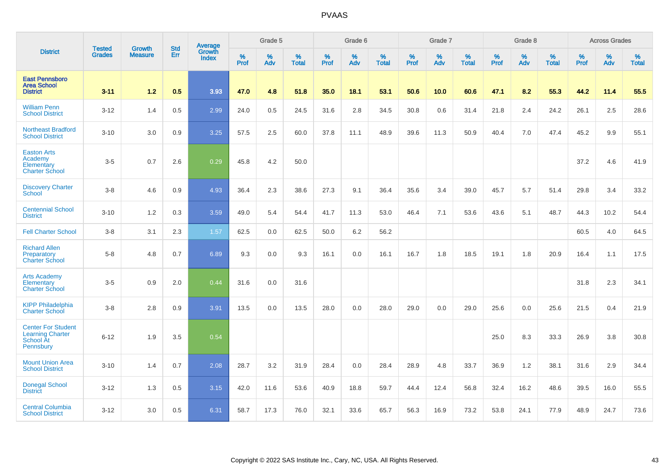|                                                                                | <b>Tested</b> | <b>Growth</b>  | <b>Std</b> | Average                |                     | Grade 5  |                   |              | Grade 6  |                   |              | Grade 7  |                   |              | Grade 8  |                   |                  | <b>Across Grades</b> |                   |
|--------------------------------------------------------------------------------|---------------|----------------|------------|------------------------|---------------------|----------|-------------------|--------------|----------|-------------------|--------------|----------|-------------------|--------------|----------|-------------------|------------------|----------------------|-------------------|
| <b>District</b>                                                                | <b>Grades</b> | <b>Measure</b> | Err        | Growth<br><b>Index</b> | $\%$<br><b>Prof</b> | %<br>Adv | %<br><b>Total</b> | $\%$<br>Prof | %<br>Adv | %<br><b>Total</b> | $\%$<br>Prof | %<br>Adv | %<br><b>Total</b> | $\%$<br>Prof | %<br>Adv | %<br><b>Total</b> | %<br><b>Prof</b> | %<br>Adv             | %<br><b>Total</b> |
| <b>East Pennsboro</b><br><b>Area School</b><br><b>District</b>                 | $3 - 11$      | $1.2$          | 0.5        | 3.93                   | 47.0                | 4.8      | 51.8              | 35.0         | 18.1     | 53.1              | 50.6         | 10.0     | 60.6              | 47.1         | 8.2      | 55.3              | 44.2             | 11.4                 | 55.5              |
| <b>William Penn</b><br><b>School District</b>                                  | $3 - 12$      | 1.4            | 0.5        | 2.99                   | 24.0                | 0.5      | 24.5              | 31.6         | 2.8      | 34.5              | 30.8         | 0.6      | 31.4              | 21.8         | 2.4      | 24.2              | 26.1             | 2.5                  | 28.6              |
| <b>Northeast Bradford</b><br><b>School District</b>                            | $3 - 10$      | 3.0            | 0.9        | 3.25                   | 57.5                | 2.5      | 60.0              | 37.8         | 11.1     | 48.9              | 39.6         | 11.3     | 50.9              | 40.4         | 7.0      | 47.4              | 45.2             | 9.9                  | 55.1              |
| <b>Easton Arts</b><br>Academy<br>Elementary<br><b>Charter School</b>           | $3-5$         | 0.7            | 2.6        | 0.29                   | 45.8                | 4.2      | 50.0              |              |          |                   |              |          |                   |              |          |                   | 37.2             | 4.6                  | 41.9              |
| <b>Discovery Charter</b><br>School                                             | $3-8$         | 4.6            | 0.9        | 4.93                   | 36.4                | 2.3      | 38.6              | 27.3         | 9.1      | 36.4              | 35.6         | 3.4      | 39.0              | 45.7         | 5.7      | 51.4              | 29.8             | 3.4                  | 33.2              |
| <b>Centennial School</b><br><b>District</b>                                    | $3 - 10$      | 1.2            | 0.3        | 3.59                   | 49.0                | 5.4      | 54.4              | 41.7         | 11.3     | 53.0              | 46.4         | 7.1      | 53.6              | 43.6         | 5.1      | 48.7              | 44.3             | 10.2                 | 54.4              |
| <b>Fell Charter School</b>                                                     | $3-8$         | 3.1            | 2.3        | 1.57                   | 62.5                | 0.0      | 62.5              | 50.0         | 6.2      | 56.2              |              |          |                   |              |          |                   | 60.5             | 4.0                  | 64.5              |
| <b>Richard Allen</b><br>Preparatory<br><b>Charter School</b>                   | $5-8$         | 4.8            | 0.7        | 6.89                   | 9.3                 | 0.0      | 9.3               | 16.1         | 0.0      | 16.1              | 16.7         | 1.8      | 18.5              | 19.1         | 1.8      | 20.9              | 16.4             | 1.1                  | 17.5              |
| <b>Arts Academy</b><br>Elementary<br><b>Charter School</b>                     | $3-5$         | 0.9            | 2.0        | 0.44                   | 31.6                | 0.0      | 31.6              |              |          |                   |              |          |                   |              |          |                   | 31.8             | 2.3                  | 34.1              |
| <b>KIPP Philadelphia</b><br><b>Charter School</b>                              | $3-8$         | 2.8            | 0.9        | 3.91                   | 13.5                | 0.0      | 13.5              | 28.0         | 0.0      | 28.0              | 29.0         | 0.0      | 29.0              | 25.6         | 0.0      | 25.6              | 21.5             | 0.4                  | 21.9              |
| <b>Center For Student</b><br><b>Learning Charter</b><br>School At<br>Pennsbury | $6 - 12$      | 1.9            | 3.5        | 0.54                   |                     |          |                   |              |          |                   |              |          |                   | 25.0         | 8.3      | 33.3              | 26.9             | 3.8                  | 30.8              |
| <b>Mount Union Area</b><br><b>School District</b>                              | $3 - 10$      | 1.4            | 0.7        | 2.08                   | 28.7                | 3.2      | 31.9              | 28.4         | 0.0      | 28.4              | 28.9         | 4.8      | 33.7              | 36.9         | 1.2      | 38.1              | 31.6             | 2.9                  | 34.4              |
| <b>Donegal School</b><br><b>District</b>                                       | $3 - 12$      | 1.3            | 0.5        | 3.15                   | 42.0                | 11.6     | 53.6              | 40.9         | 18.8     | 59.7              | 44.4         | 12.4     | 56.8              | 32.4         | 16.2     | 48.6              | 39.5             | 16.0                 | 55.5              |
| <b>Central Columbia</b><br><b>School District</b>                              | $3 - 12$      | 3.0            | 0.5        | 6.31                   | 58.7                | 17.3     | 76.0              | 32.1         | 33.6     | 65.7              | 56.3         | 16.9     | 73.2              | 53.8         | 24.1     | 77.9              | 48.9             | 24.7                 | 73.6              |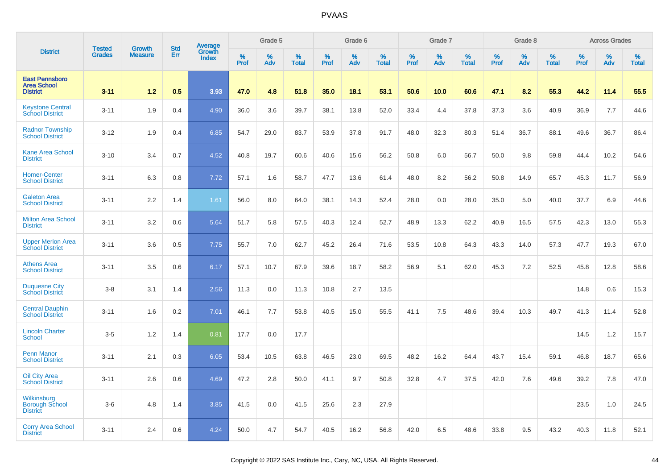|                                                                | <b>Tested</b> | <b>Growth</b>  | <b>Std</b> |                                   |                     | Grade 5  |                   |              | Grade 6  |                   |              | Grade 7  |                   |              | Grade 8  |                   |                  | <b>Across Grades</b> |                   |
|----------------------------------------------------------------|---------------|----------------|------------|-----------------------------------|---------------------|----------|-------------------|--------------|----------|-------------------|--------------|----------|-------------------|--------------|----------|-------------------|------------------|----------------------|-------------------|
| <b>District</b>                                                | <b>Grades</b> | <b>Measure</b> | Err        | Average<br>Growth<br><b>Index</b> | $\%$<br><b>Prof</b> | %<br>Adv | %<br><b>Total</b> | $\%$<br>Prof | %<br>Adv | %<br><b>Total</b> | $\%$<br>Prof | %<br>Adv | %<br><b>Total</b> | $\%$<br>Prof | %<br>Adv | %<br><b>Total</b> | %<br><b>Prof</b> | %<br>Adv             | %<br><b>Total</b> |
| <b>East Pennsboro</b><br><b>Area School</b><br><b>District</b> | $3 - 11$      | 1.2            | 0.5        | 3.93                              | 47.0                | 4.8      | 51.8              | 35.0         | 18.1     | 53.1              | 50.6         | 10.0     | 60.6              | 47.1         | 8.2      | 55.3              | 44.2             | 11.4                 | 55.5              |
| <b>Keystone Central</b><br><b>School District</b>              | $3 - 11$      | 1.9            | 0.4        | 4.90                              | 36.0                | 3.6      | 39.7              | 38.1         | 13.8     | 52.0              | 33.4         | 4.4      | 37.8              | 37.3         | 3.6      | 40.9              | 36.9             | 7.7                  | 44.6              |
| <b>Radnor Township</b><br><b>School District</b>               | $3 - 12$      | 1.9            | 0.4        | 6.85                              | 54.7                | 29.0     | 83.7              | 53.9         | 37.8     | 91.7              | 48.0         | 32.3     | 80.3              | 51.4         | 36.7     | 88.1              | 49.6             | 36.7                 | 86.4              |
| <b>Kane Area School</b><br><b>District</b>                     | $3 - 10$      | 3.4            | 0.7        | 4.52                              | 40.8                | 19.7     | 60.6              | 40.6         | 15.6     | 56.2              | 50.8         | 6.0      | 56.7              | 50.0         | 9.8      | 59.8              | 44.4             | 10.2                 | 54.6              |
| <b>Homer-Center</b><br><b>School District</b>                  | $3 - 11$      | 6.3            | 0.8        | 7.72                              | 57.1                | 1.6      | 58.7              | 47.7         | 13.6     | 61.4              | 48.0         | 8.2      | 56.2              | 50.8         | 14.9     | 65.7              | 45.3             | 11.7                 | 56.9              |
| <b>Galeton Area</b><br><b>School District</b>                  | $3 - 11$      | 2.2            | 1.4        | 1.61                              | 56.0                | 8.0      | 64.0              | 38.1         | 14.3     | 52.4              | 28.0         | 0.0      | 28.0              | 35.0         | 5.0      | 40.0              | 37.7             | 6.9                  | 44.6              |
| <b>Milton Area School</b><br><b>District</b>                   | $3 - 11$      | 3.2            | 0.6        | 5.64                              | 51.7                | 5.8      | 57.5              | 40.3         | 12.4     | 52.7              | 48.9         | 13.3     | 62.2              | 40.9         | 16.5     | 57.5              | 42.3             | 13.0                 | 55.3              |
| <b>Upper Merion Area</b><br><b>School District</b>             | $3 - 11$      | 3.6            | 0.5        | 7.75                              | 55.7                | 7.0      | 62.7              | 45.2         | 26.4     | 71.6              | 53.5         | 10.8     | 64.3              | 43.3         | 14.0     | 57.3              | 47.7             | 19.3                 | 67.0              |
| <b>Athens Area</b><br><b>School District</b>                   | $3 - 11$      | 3.5            | 0.6        | 6.17                              | 57.1                | 10.7     | 67.9              | 39.6         | 18.7     | 58.2              | 56.9         | 5.1      | 62.0              | 45.3         | 7.2      | 52.5              | 45.8             | 12.8                 | 58.6              |
| <b>Duquesne City</b><br><b>School District</b>                 | $3-8$         | 3.1            | 1.4        | 2.56                              | 11.3                | 0.0      | 11.3              | 10.8         | 2.7      | 13.5              |              |          |                   |              |          |                   | 14.8             | 0.6                  | 15.3              |
| <b>Central Dauphin</b><br><b>School District</b>               | $3 - 11$      | 1.6            | 0.2        | 7.01                              | 46.1                | 7.7      | 53.8              | 40.5         | 15.0     | 55.5              | 41.1         | 7.5      | 48.6              | 39.4         | 10.3     | 49.7              | 41.3             | 11.4                 | 52.8              |
| <b>Lincoln Charter</b><br><b>School</b>                        | $3-5$         | 1.2            | 1.4        | 0.81                              | 17.7                | 0.0      | 17.7              |              |          |                   |              |          |                   |              |          |                   | 14.5             | 1.2                  | 15.7              |
| <b>Penn Manor</b><br><b>School District</b>                    | $3 - 11$      | 2.1            | 0.3        | 6.05                              | 53.4                | 10.5     | 63.8              | 46.5         | 23.0     | 69.5              | 48.2         | 16.2     | 64.4              | 43.7         | 15.4     | 59.1              | 46.8             | 18.7                 | 65.6              |
| <b>Oil City Area</b><br><b>School District</b>                 | $3 - 11$      | 2.6            | 0.6        | 4.69                              | 47.2                | 2.8      | 50.0              | 41.1         | 9.7      | 50.8              | 32.8         | 4.7      | 37.5              | 42.0         | 7.6      | 49.6              | 39.2             | 7.8                  | 47.0              |
| Wilkinsburg<br><b>Borough School</b><br><b>District</b>        | $3-6$         | 4.8            | 1.4        | 3.85                              | 41.5                | 0.0      | 41.5              | 25.6         | 2.3      | 27.9              |              |          |                   |              |          |                   | 23.5             | 1.0                  | 24.5              |
| <b>Corry Area School</b><br><b>District</b>                    | $3 - 11$      | 2.4            | 0.6        | 4.24                              | 50.0                | 4.7      | 54.7              | 40.5         | 16.2     | 56.8              | 42.0         | 6.5      | 48.6              | 33.8         | 9.5      | 43.2              | 40.3             | 11.8                 | 52.1              |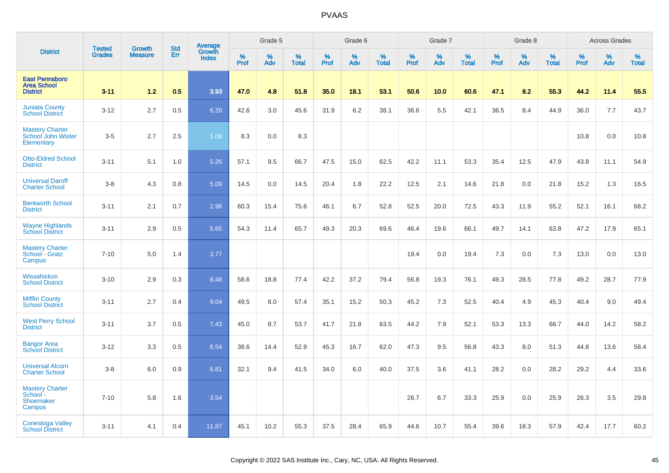|                                                                |                                | <b>Growth</b>  | <b>Std</b> | Average                |                     | Grade 5     |                   |                  | Grade 6  |                   |              | Grade 7  |                   |              | Grade 8  |                   |              | <b>Across Grades</b> |                   |
|----------------------------------------------------------------|--------------------------------|----------------|------------|------------------------|---------------------|-------------|-------------------|------------------|----------|-------------------|--------------|----------|-------------------|--------------|----------|-------------------|--------------|----------------------|-------------------|
| <b>District</b>                                                | <b>Tested</b><br><b>Grades</b> | <b>Measure</b> | Err        | Growth<br><b>Index</b> | $\%$<br><b>Prof</b> | $\%$<br>Adv | %<br><b>Total</b> | %<br><b>Prof</b> | %<br>Adv | %<br><b>Total</b> | $\%$<br>Prof | %<br>Adv | %<br><b>Total</b> | $\%$<br>Prof | %<br>Adv | %<br><b>Total</b> | $\%$<br>Prof | %<br>Adv             | %<br><b>Total</b> |
| <b>East Pennsboro</b><br><b>Area School</b><br><b>District</b> | $3 - 11$                       | 1.2            | 0.5        | 3.93                   | 47.0                | 4.8         | 51.8              | 35.0             | 18.1     | 53.1              | 50.6         | 10.0     | 60.6              | 47.1         | 8.2      | 55.3              | 44.2         | 11.4                 | 55.5              |
| <b>Juniata County</b><br><b>School District</b>                | $3 - 12$                       | 2.7            | 0.5        | 6.20                   | 42.6                | 3.0         | 45.6              | 31.9             | 6.2      | 38.1              | 36.6         | $5.5\,$  | 42.1              | 36.5         | 8.4      | 44.9              | 36.0         | 7.7                  | 43.7              |
| <b>Mastery Charter</b><br>School John Wister<br>Elementary     | $3-5$                          | 2.7            | 2.5        | 1.08                   | 8.3                 | 0.0         | 8.3               |                  |          |                   |              |          |                   |              |          |                   | 10.8         | 0.0                  | 10.8              |
| <b>Otto-Eldred School</b><br><b>District</b>                   | $3 - 11$                       | 5.1            | 1.0        | 5.26                   | 57.1                | 9.5         | 66.7              | 47.5             | 15.0     | 62.5              | 42.2         | 11.1     | 53.3              | 35.4         | 12.5     | 47.9              | 43.8         | 11.1                 | 54.9              |
| <b>Universal Daroff</b><br><b>Charter School</b>               | $3 - 8$                        | 4.3            | 0.8        | 5.09                   | 14.5                | 0.0         | 14.5              | 20.4             | 1.8      | 22.2              | 12.5         | 2.1      | 14.6              | 21.8         | 0.0      | 21.8              | 15.2         | 1.3                  | 16.5              |
| <b>Bentworth School</b><br><b>District</b>                     | $3 - 11$                       | 2.1            | 0.7        | 2.98                   | 60.3                | 15.4        | 75.6              | 46.1             | 6.7      | 52.8              | 52.5         | 20.0     | 72.5              | 43.3         | 11.9     | 55.2              | 52.1         | 16.1                 | 68.2              |
| <b>Wayne Highlands</b><br><b>School District</b>               | $3 - 11$                       | 2.9            | 0.5        | 5.65                   | 54.3                | 11.4        | 65.7              | 49.3             | 20.3     | 69.6              | 46.4         | 19.6     | 66.1              | 49.7         | 14.1     | 63.8              | 47.2         | 17.9                 | 65.1              |
| <b>Mastery Charter</b><br>School - Gratz<br>Campus             | $7 - 10$                       | 5.0            | 1.4        | 3.77                   |                     |             |                   |                  |          |                   | 19.4         | 0.0      | 19.4              | 7.3          | 0.0      | 7.3               | 13.0         | 0.0                  | 13.0              |
| Wissahickon<br><b>School District</b>                          | $3 - 10$                       | 2.9            | 0.3        | 8.48                   | 58.6                | 18.8        | 77.4              | 42.2             | 37.2     | 79.4              | 56.8         | 19.3     | 76.1              | 49.3         | 28.5     | 77.8              | 49.2         | 28.7                 | 77.9              |
| <b>Mifflin County</b><br><b>School District</b>                | $3 - 11$                       | 2.7            | 0.4        | 9.04                   | 49.5                | 8.0         | 57.4              | 35.1             | 15.2     | 50.3              | 45.2         | 7.3      | 52.5              | 40.4         | 4.9      | 45.3              | 40.4         | 9.0                  | 49.4              |
| <b>West Perry School</b><br><b>District</b>                    | $3 - 11$                       | 3.7            | 0.5        | 7.43                   | 45.0                | 8.7         | 53.7              | 41.7             | 21.8     | 63.5              | 44.2         | 7.9      | 52.1              | 53.3         | 13.3     | 66.7              | 44.0         | 14.2                 | 58.2              |
| <b>Bangor Area</b><br><b>School District</b>                   | $3 - 12$                       | 3.3            | 0.5        | 6.54                   | 38.6                | 14.4        | 52.9              | 45.3             | 16.7     | 62.0              | 47.3         | 9.5      | 56.8              | 43.3         | 8.0      | 51.3              | 44.8         | 13.6                 | 58.4              |
| <b>Universal Alcorn</b><br><b>Charter School</b>               | $3 - 8$                        | 6.0            | 0.9        | 6.81                   | 32.1                | 9.4         | 41.5              | 34.0             | 6.0      | 40.0              | 37.5         | 3.6      | 41.1              | 28.2         | 0.0      | 28.2              | 29.2         | 4.4                  | 33.6              |
| <b>Mastery Charter</b><br>School -<br>Shoemaker<br>Campus      | $7 - 10$                       | 5.8            | 1.6        | 3.54                   |                     |             |                   |                  |          |                   | 26.7         | 6.7      | 33.3              | 25.9         | 0.0      | 25.9              | 26.3         | 3.5                  | 29.8              |
| <b>Conestoga Valley</b><br><b>School District</b>              | $3 - 11$                       | 4.1            | 0.4        | 11.87                  | 45.1                | 10.2        | 55.3              | 37.5             | 28.4     | 65.9              | 44.6         | 10.7     | 55.4              | 39.6         | 18.3     | 57.9              | 42.4         | 17.7                 | 60.2              |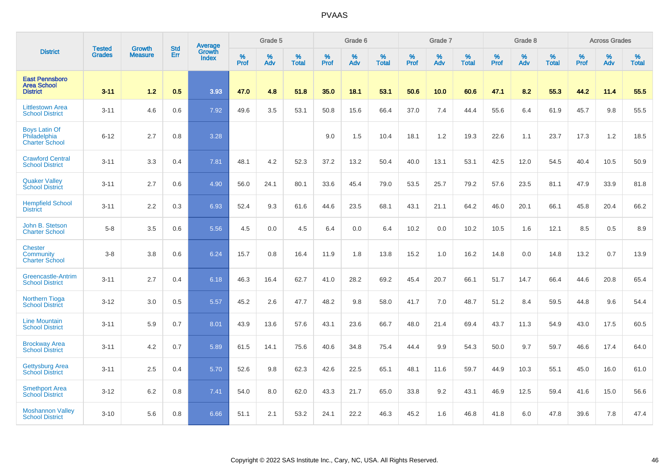|                                                                | <b>Tested</b> | <b>Growth</b>  | <b>Std</b> | Average                       |              | Grade 5  |                   |           | Grade 6  |                   |           | Grade 7  |                   |           | Grade 8  |                   |           | <b>Across Grades</b> |                   |
|----------------------------------------------------------------|---------------|----------------|------------|-------------------------------|--------------|----------|-------------------|-----------|----------|-------------------|-----------|----------|-------------------|-----------|----------|-------------------|-----------|----------------------|-------------------|
| <b>District</b>                                                | <b>Grades</b> | <b>Measure</b> | Err        | <b>Growth</b><br><b>Index</b> | $\%$<br>Prof | %<br>Adv | %<br><b>Total</b> | %<br>Prof | %<br>Adv | %<br><b>Total</b> | %<br>Prof | %<br>Adv | %<br><b>Total</b> | %<br>Prof | %<br>Adv | %<br><b>Total</b> | %<br>Prof | %<br>Adv             | %<br><b>Total</b> |
| <b>East Pennsboro</b><br><b>Area School</b><br><b>District</b> | $3 - 11$      | $1.2$          | 0.5        | 3.93                          | 47.0         | 4.8      | 51.8              | 35.0      | 18.1     | 53.1              | 50.6      | 10.0     | 60.6              | 47.1      | 8.2      | 55.3              | 44.2      | 11.4                 | 55.5              |
| <b>Littlestown Area</b><br><b>School District</b>              | $3 - 11$      | 4.6            | 0.6        | 7.92                          | 49.6         | 3.5      | 53.1              | 50.8      | 15.6     | 66.4              | 37.0      | 7.4      | 44.4              | 55.6      | 6.4      | 61.9              | 45.7      | 9.8                  | 55.5              |
| <b>Boys Latin Of</b><br>Philadelphia<br><b>Charter School</b>  | $6 - 12$      | 2.7            | 0.8        | 3.28                          |              |          |                   | 9.0       | 1.5      | 10.4              | 18.1      | 1.2      | 19.3              | 22.6      | 1.1      | 23.7              | 17.3      | 1.2                  | 18.5              |
| <b>Crawford Central</b><br><b>School District</b>              | $3 - 11$      | 3.3            | 0.4        | 7.81                          | 48.1         | 4.2      | 52.3              | 37.2      | 13.2     | 50.4              | 40.0      | 13.1     | 53.1              | 42.5      | 12.0     | 54.5              | 40.4      | 10.5                 | 50.9              |
| <b>Quaker Valley</b><br><b>School District</b>                 | $3 - 11$      | 2.7            | 0.6        | 4.90                          | 56.0         | 24.1     | 80.1              | 33.6      | 45.4     | 79.0              | 53.5      | 25.7     | 79.2              | 57.6      | 23.5     | 81.1              | 47.9      | 33.9                 | 81.8              |
| <b>Hempfield School</b><br><b>District</b>                     | $3 - 11$      | 2.2            | 0.3        | 6.93                          | 52.4         | 9.3      | 61.6              | 44.6      | 23.5     | 68.1              | 43.1      | 21.1     | 64.2              | 46.0      | 20.1     | 66.1              | 45.8      | 20.4                 | 66.2              |
| John B. Stetson<br><b>Charter School</b>                       | $5-8$         | 3.5            | 0.6        | 5.56                          | 4.5          | 0.0      | 4.5               | 6.4       | 0.0      | 6.4               | 10.2      | 0.0      | 10.2              | 10.5      | 1.6      | 12.1              | 8.5       | 0.5                  | 8.9               |
| <b>Chester</b><br>Community<br><b>Charter School</b>           | $3 - 8$       | 3.8            | 0.6        | 6.24                          | 15.7         | 0.8      | 16.4              | 11.9      | 1.8      | 13.8              | 15.2      | 1.0      | 16.2              | 14.8      | 0.0      | 14.8              | 13.2      | 0.7                  | 13.9              |
| <b>Greencastle-Antrim</b><br><b>School District</b>            | $3 - 11$      | 2.7            | 0.4        | 6.18                          | 46.3         | 16.4     | 62.7              | 41.0      | 28.2     | 69.2              | 45.4      | 20.7     | 66.1              | 51.7      | 14.7     | 66.4              | 44.6      | 20.8                 | 65.4              |
| <b>Northern Tioga</b><br><b>School District</b>                | $3 - 12$      | 3.0            | 0.5        | 5.57                          | 45.2         | 2.6      | 47.7              | 48.2      | 9.8      | 58.0              | 41.7      | 7.0      | 48.7              | 51.2      | 8.4      | 59.5              | 44.8      | 9.6                  | 54.4              |
| <b>Line Mountain</b><br><b>School District</b>                 | $3 - 11$      | 5.9            | 0.7        | 8.01                          | 43.9         | 13.6     | 57.6              | 43.1      | 23.6     | 66.7              | 48.0      | 21.4     | 69.4              | 43.7      | 11.3     | 54.9              | 43.0      | 17.5                 | 60.5              |
| <b>Brockway Area</b><br><b>School District</b>                 | $3 - 11$      | 4.2            | 0.7        | 5.89                          | 61.5         | 14.1     | 75.6              | 40.6      | 34.8     | 75.4              | 44.4      | 9.9      | 54.3              | 50.0      | 9.7      | 59.7              | 46.6      | 17.4                 | 64.0              |
| <b>Gettysburg Area</b><br><b>School District</b>               | $3 - 11$      | 2.5            | 0.4        | 5.70                          | 52.6         | 9.8      | 62.3              | 42.6      | 22.5     | 65.1              | 48.1      | 11.6     | 59.7              | 44.9      | 10.3     | 55.1              | 45.0      | 16.0                 | 61.0              |
| <b>Smethport Area</b><br><b>School District</b>                | $3 - 12$      | 6.2            | 0.8        | 7.41                          | 54.0         | 8.0      | 62.0              | 43.3      | 21.7     | 65.0              | 33.8      | 9.2      | 43.1              | 46.9      | 12.5     | 59.4              | 41.6      | 15.0                 | 56.6              |
| <b>Moshannon Valley</b><br><b>School District</b>              | $3 - 10$      | 5.6            | 0.8        | 6.66                          | 51.1         | 2.1      | 53.2              | 24.1      | 22.2     | 46.3              | 45.2      | 1.6      | 46.8              | 41.8      | 6.0      | 47.8              | 39.6      | 7.8                  | 47.4              |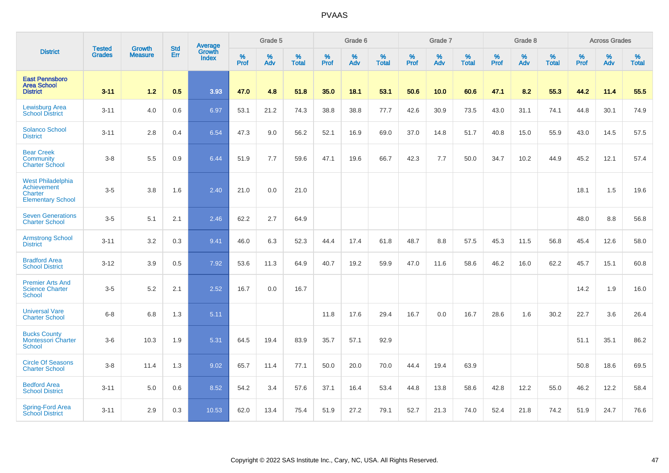|                                                                                       | <b>Tested</b> | <b>Growth</b>  | <b>Std</b> | Average                |                     | Grade 5  |                   |           | Grade 6  |                   |           | Grade 7  |                   |           | Grade 8  |                   |                  | <b>Across Grades</b> |                   |
|---------------------------------------------------------------------------------------|---------------|----------------|------------|------------------------|---------------------|----------|-------------------|-----------|----------|-------------------|-----------|----------|-------------------|-----------|----------|-------------------|------------------|----------------------|-------------------|
| <b>District</b>                                                                       | <b>Grades</b> | <b>Measure</b> | Err        | Growth<br><b>Index</b> | $\%$<br><b>Prof</b> | %<br>Adv | %<br><b>Total</b> | %<br>Prof | %<br>Adv | %<br><b>Total</b> | %<br>Prof | %<br>Adv | %<br><b>Total</b> | %<br>Prof | %<br>Adv | %<br><b>Total</b> | %<br><b>Prof</b> | %<br>Adv             | %<br><b>Total</b> |
| <b>East Pennsboro</b><br><b>Area School</b><br><b>District</b>                        | $3 - 11$      | $1.2$          | 0.5        | 3.93                   | 47.0                | 4.8      | 51.8              | 35.0      | 18.1     | 53.1              | 50.6      | 10.0     | 60.6              | 47.1      | 8.2      | 55.3              | 44.2             | 11.4                 | 55.5              |
| <b>Lewisburg Area</b><br><b>School District</b>                                       | $3 - 11$      | 4.0            | 0.6        | 6.97                   | 53.1                | 21.2     | 74.3              | 38.8      | 38.8     | 77.7              | 42.6      | 30.9     | 73.5              | 43.0      | 31.1     | 74.1              | 44.8             | 30.1                 | 74.9              |
| <b>Solanco School</b><br><b>District</b>                                              | $3 - 11$      | 2.8            | 0.4        | 6.54                   | 47.3                | 9.0      | 56.2              | 52.1      | 16.9     | 69.0              | 37.0      | 14.8     | 51.7              | 40.8      | 15.0     | 55.9              | 43.0             | 14.5                 | 57.5              |
| <b>Bear Creek</b><br>Community<br><b>Charter School</b>                               | $3-8$         | 5.5            | 0.9        | 6.44                   | 51.9                | 7.7      | 59.6              | 47.1      | 19.6     | 66.7              | 42.3      | 7.7      | 50.0              | 34.7      | 10.2     | 44.9              | 45.2             | 12.1                 | 57.4              |
| <b>West Philadelphia</b><br>Achievement<br><b>Charter</b><br><b>Elementary School</b> | $3-5$         | 3.8            | 1.6        | 2.40                   | 21.0                | 0.0      | 21.0              |           |          |                   |           |          |                   |           |          |                   | 18.1             | 1.5                  | 19.6              |
| <b>Seven Generations</b><br><b>Charter School</b>                                     | $3-5$         | 5.1            | 2.1        | 2.46                   | 62.2                | 2.7      | 64.9              |           |          |                   |           |          |                   |           |          |                   | 48.0             | 8.8                  | 56.8              |
| <b>Armstrong School</b><br><b>District</b>                                            | $3 - 11$      | 3.2            | 0.3        | 9.41                   | 46.0                | 6.3      | 52.3              | 44.4      | 17.4     | 61.8              | 48.7      | 8.8      | 57.5              | 45.3      | 11.5     | 56.8              | 45.4             | 12.6                 | 58.0              |
| <b>Bradford Area</b><br><b>School District</b>                                        | $3 - 12$      | 3.9            | 0.5        | 7.92                   | 53.6                | 11.3     | 64.9              | 40.7      | 19.2     | 59.9              | 47.0      | 11.6     | 58.6              | 46.2      | 16.0     | 62.2              | 45.7             | 15.1                 | 60.8              |
| <b>Premier Arts And</b><br><b>Science Charter</b><br><b>School</b>                    | $3-5$         | 5.2            | 2.1        | 2.52                   | 16.7                | 0.0      | 16.7              |           |          |                   |           |          |                   |           |          |                   | 14.2             | 1.9                  | 16.0              |
| <b>Universal Vare</b><br><b>Charter School</b>                                        | $6 - 8$       | 6.8            | 1.3        | 5.11                   |                     |          |                   | 11.8      | 17.6     | 29.4              | 16.7      | 0.0      | 16.7              | 28.6      | 1.6      | 30.2              | 22.7             | 3.6                  | 26.4              |
| <b>Bucks County</b><br><b>Montessori Charter</b><br><b>School</b>                     | $3-6$         | 10.3           | 1.9        | 5.31                   | 64.5                | 19.4     | 83.9              | 35.7      | 57.1     | 92.9              |           |          |                   |           |          |                   | 51.1             | 35.1                 | 86.2              |
| <b>Circle Of Seasons</b><br><b>Charter School</b>                                     | $3-8$         | 11.4           | 1.3        | 9.02                   | 65.7                | 11.4     | 77.1              | 50.0      | 20.0     | 70.0              | 44.4      | 19.4     | 63.9              |           |          |                   | 50.8             | 18.6                 | 69.5              |
| <b>Bedford Area</b><br><b>School District</b>                                         | $3 - 11$      | 5.0            | 0.6        | 8.52                   | 54.2                | 3.4      | 57.6              | 37.1      | 16.4     | 53.4              | 44.8      | 13.8     | 58.6              | 42.8      | 12.2     | 55.0              | 46.2             | 12.2                 | 58.4              |
| <b>Spring-Ford Area</b><br><b>School District</b>                                     | $3 - 11$      | 2.9            | 0.3        | 10.53                  | 62.0                | 13.4     | 75.4              | 51.9      | 27.2     | 79.1              | 52.7      | 21.3     | 74.0              | 52.4      | 21.8     | 74.2              | 51.9             | 24.7                 | 76.6              |